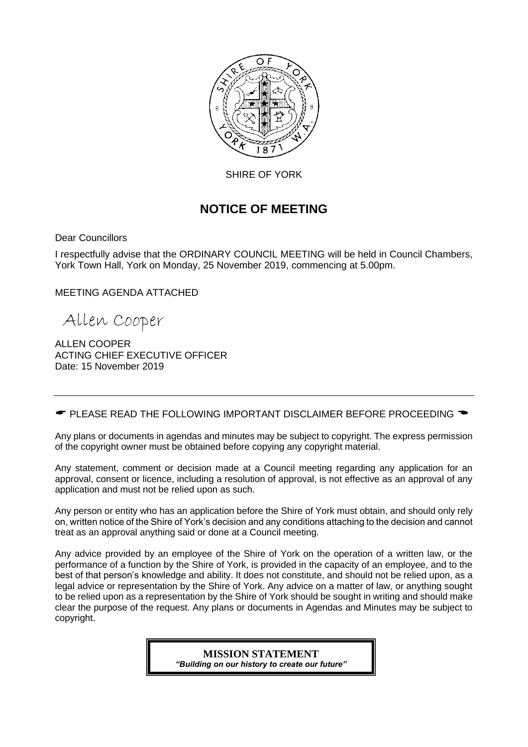

SHIRE OF YORK

# **NOTICE OF MEETING**

Dear Councillors

I respectfully advise that the ORDINARY COUNCIL MEETING will be held in Council Chambers, York Town Hall, York on Monday, 25 November 2019, commencing at 5.00pm.

MEETING AGENDA ATTACHED

Allen Cooper

ALLEN COOPER ACTING CHIEF EXECUTIVE OFFICER Date: 15 November 2019

 $\bullet$  PLEASE READ THE FOLLOWING IMPORTANT DISCLAIMER BEFORE PROCEEDING  $\bullet$ 

Any plans or documents in agendas and minutes may be subject to copyright. The express permission of the copyright owner must be obtained before copying any copyright material.

Any statement, comment or decision made at a Council meeting regarding any application for an approval, consent or licence, including a resolution of approval, is not effective as an approval of any application and must not be relied upon as such.

Any person or entity who has an application before the Shire of York must obtain, and should only rely on, written notice of the Shire of York's decision and any conditions attaching to the decision and cannot treat as an approval anything said or done at a Council meeting.

Any advice provided by an employee of the Shire of York on the operation of a written law, or the performance of a function by the Shire of York, is provided in the capacity of an employee, and to the best of that person's knowledge and ability. It does not constitute, and should not be relied upon, as a legal advice or representation by the Shire of York. Any advice on a matter of law, or anything sought to be relied upon as a representation by the Shire of York should be sought in writing and should make clear the purpose of the request. Any plans or documents in Agendas and Minutes may be subject to copyright.

> **MISSION STATEMENT** *"Building on our history to create our future"*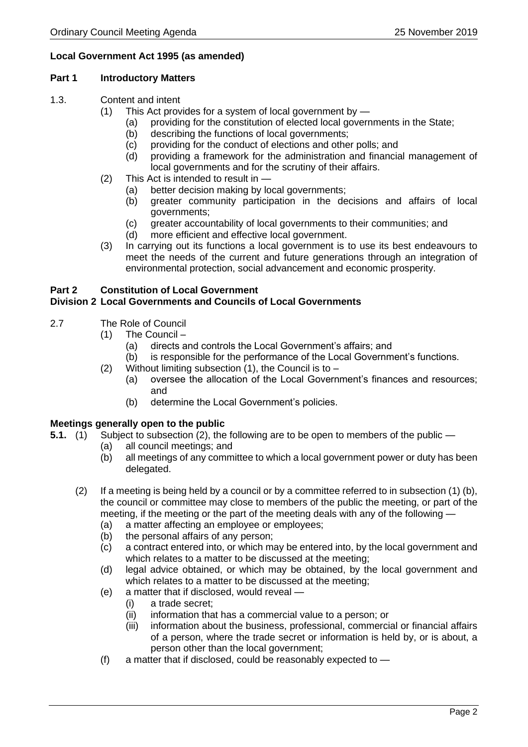### **Local Government Act 1995 (as amended)**

### **Part 1 Introductory Matters**

- 1.3. Content and intent
	- (1) This Act provides for a system of local government by
		- (a) providing for the constitution of elected local governments in the State;
		- (b) describing the functions of local governments;
		- (c) providing for the conduct of elections and other polls; and
		- (d) providing a framework for the administration and financial management of local governments and for the scrutiny of their affairs.
	- (2) This Act is intended to result in
		- (a) better decision making by local governments;
		- (b) greater community participation in the decisions and affairs of local governments;
		- (c) greater accountability of local governments to their communities; and
		- (d) more efficient and effective local government.
	- (3) In carrying out its functions a local government is to use its best endeavours to meet the needs of the current and future generations through an integration of environmental protection, social advancement and economic prosperity.

# **Part 2 Constitution of Local Government**

### **Division 2 Local Governments and Councils of Local Governments**

- 2.7 The Role of Council
	- (1) The Council
		- (a) directs and controls the Local Government's affairs; and
		- (b) is responsible for the performance of the Local Government's functions.
	- (2) Without limiting subsection  $(1)$ , the Council is to
		- (a) oversee the allocation of the Local Government's finances and resources; and
		- (b) determine the Local Government's policies.

### **Meetings generally open to the public**

- **5.1.** (1) Subject to subsection (2), the following are to be open to members of the public
	- (a) all council meetings; and
	- (b) all meetings of any committee to which a local government power or duty has been delegated.
	- (2) If a meeting is being held by a council or by a committee referred to in subsection (1) (b), the council or committee may close to members of the public the meeting, or part of the meeting, if the meeting or the part of the meeting deals with any of the following —
		- (a) a matter affecting an employee or employees;
		- (b) the personal affairs of any person;
		- (c) a contract entered into, or which may be entered into, by the local government and which relates to a matter to be discussed at the meeting;
		- (d) legal advice obtained, or which may be obtained, by the local government and which relates to a matter to be discussed at the meeting;
		- (e) a matter that if disclosed, would reveal
			- (i) a trade secret;
			- (ii) information that has a commercial value to a person; or
			- (iii) information about the business, professional, commercial or financial affairs of a person, where the trade secret or information is held by, or is about, a person other than the local government;
		- (f) a matter that if disclosed, could be reasonably expected to  $-$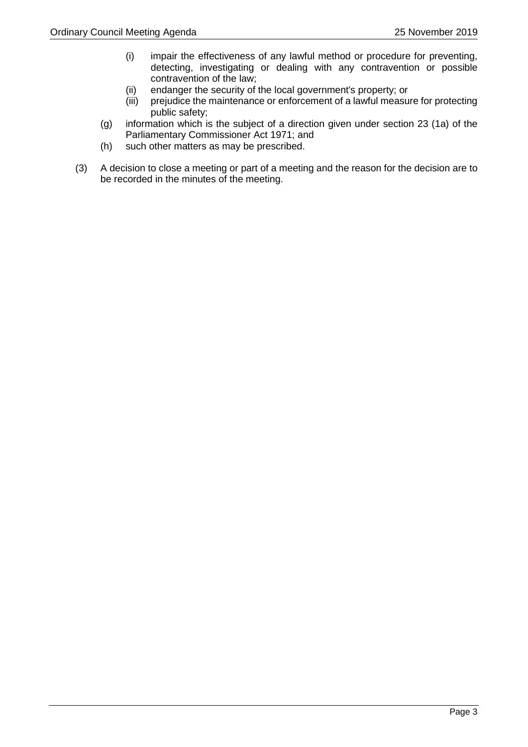- (i) impair the effectiveness of any lawful method or procedure for preventing, detecting, investigating or dealing with any contravention or possible contravention of the law;
- (ii) endanger the security of the local government's property; or
- (iii) prejudice the maintenance or enforcement of a lawful measure for protecting public safety;
- (g) information which is the subject of a direction given under section 23 (1a) of the Parliamentary Commissioner Act 1971; and
- (h) such other matters as may be prescribed.
- (3) A decision to close a meeting or part of a meeting and the reason for the decision are to be recorded in the minutes of the meeting.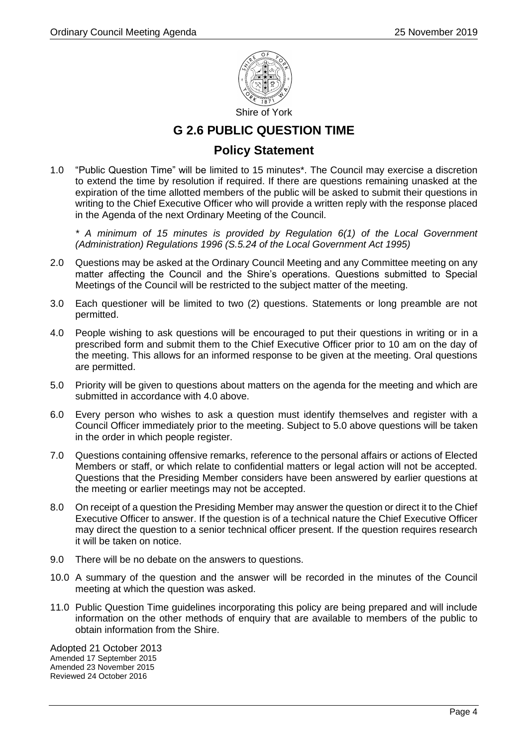

# **G 2.6 PUBLIC QUESTION TIME**

## **Policy Statement**

1.0 "Public Question Time" will be limited to 15 minutes\*. The Council may exercise a discretion to extend the time by resolution if required. If there are questions remaining unasked at the expiration of the time allotted members of the public will be asked to submit their questions in writing to the Chief Executive Officer who will provide a written reply with the response placed in the Agenda of the next Ordinary Meeting of the Council.

*\* A minimum of 15 minutes is provided by Regulation 6(1) of the Local Government (Administration) Regulations 1996 (S.5.24 of the Local Government Act 1995)*

- 2.0 Questions may be asked at the Ordinary Council Meeting and any Committee meeting on any matter affecting the Council and the Shire's operations. Questions submitted to Special Meetings of the Council will be restricted to the subject matter of the meeting.
- 3.0 Each questioner will be limited to two (2) questions. Statements or long preamble are not permitted.
- 4.0 People wishing to ask questions will be encouraged to put their questions in writing or in a prescribed form and submit them to the Chief Executive Officer prior to 10 am on the day of the meeting. This allows for an informed response to be given at the meeting. Oral questions are permitted.
- 5.0 Priority will be given to questions about matters on the agenda for the meeting and which are submitted in accordance with 4.0 above.
- 6.0 Every person who wishes to ask a question must identify themselves and register with a Council Officer immediately prior to the meeting. Subject to 5.0 above questions will be taken in the order in which people register.
- 7.0 Questions containing offensive remarks, reference to the personal affairs or actions of Elected Members or staff, or which relate to confidential matters or legal action will not be accepted. Questions that the Presiding Member considers have been answered by earlier questions at the meeting or earlier meetings may not be accepted.
- 8.0 On receipt of a question the Presiding Member may answer the question or direct it to the Chief Executive Officer to answer. If the question is of a technical nature the Chief Executive Officer may direct the question to a senior technical officer present. If the question requires research it will be taken on notice.
- 9.0 There will be no debate on the answers to questions.
- 10.0 A summary of the question and the answer will be recorded in the minutes of the Council meeting at which the question was asked.
- 11.0 Public Question Time guidelines incorporating this policy are being prepared and will include information on the other methods of enquiry that are available to members of the public to obtain information from the Shire.

Adopted 21 October 2013 Amended 17 September 2015 Amended 23 November 2015 Reviewed 24 October 2016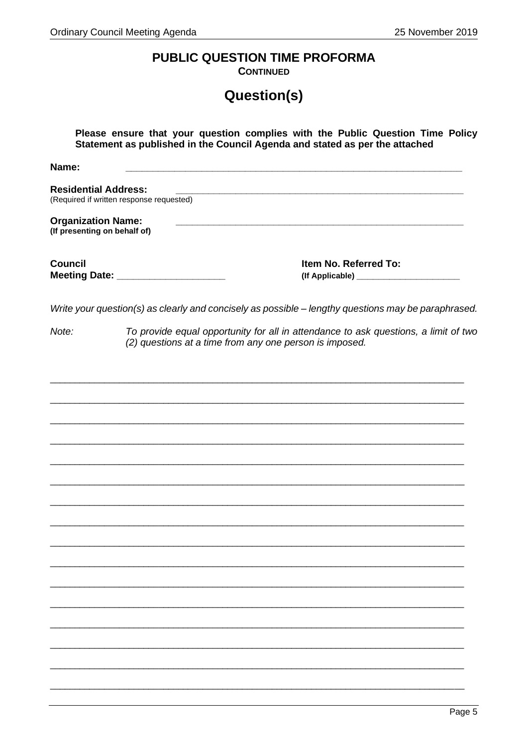# PUBLIC QUESTION TIME PROFORMA

**CONTINUED** 

# Question(s)

| Please ensure that your question complies with the Public Question Time Policy<br>Statement as published in the Council Agenda and stated as per the attached |                                                                                                                                                |
|---------------------------------------------------------------------------------------------------------------------------------------------------------------|------------------------------------------------------------------------------------------------------------------------------------------------|
| Name:                                                                                                                                                         | <u> 1980 - Johann Barbara, martxa alemaniar argumento este alemaniar alemaniar alemaniar alemaniar alemaniar al</u>                            |
| <b>Residential Address:</b>                                                                                                                                   | (Required if written response requested)                                                                                                       |
| <b>Organization Name:</b><br>(If presenting on behalf of)                                                                                                     |                                                                                                                                                |
| <b>Council</b>                                                                                                                                                | Item No. Referred To:<br>Meeting Date: _______________________                                                                                 |
|                                                                                                                                                               | Write your question(s) as clearly and concisely as possible - lengthy questions may be paraphrased.                                            |
| Note:                                                                                                                                                         | To provide equal opportunity for all in attendance to ask questions, a limit of two<br>(2) questions at a time from any one person is imposed. |
|                                                                                                                                                               |                                                                                                                                                |
|                                                                                                                                                               |                                                                                                                                                |
|                                                                                                                                                               |                                                                                                                                                |
|                                                                                                                                                               |                                                                                                                                                |
|                                                                                                                                                               |                                                                                                                                                |
|                                                                                                                                                               |                                                                                                                                                |
|                                                                                                                                                               |                                                                                                                                                |
|                                                                                                                                                               |                                                                                                                                                |
|                                                                                                                                                               |                                                                                                                                                |
|                                                                                                                                                               |                                                                                                                                                |
|                                                                                                                                                               |                                                                                                                                                |
|                                                                                                                                                               |                                                                                                                                                |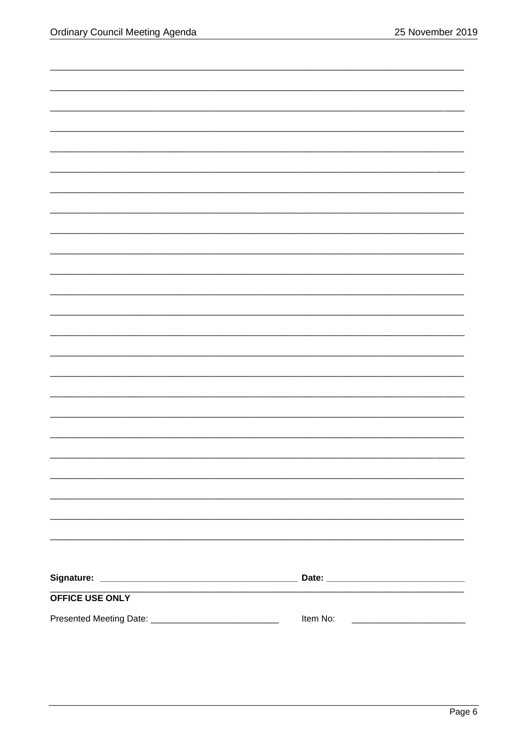| OFFICE USE ONLY |          |
|-----------------|----------|
|                 | Item No: |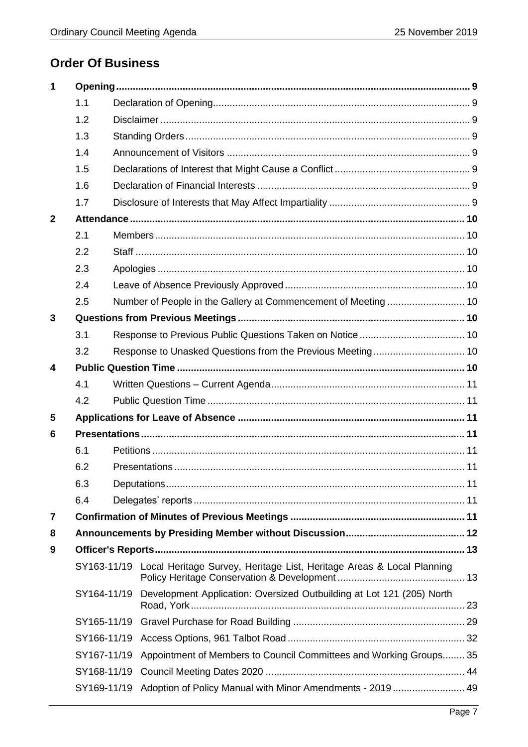# **Order Of Business**

| 1            |             |  |                                                                                   |  |
|--------------|-------------|--|-----------------------------------------------------------------------------------|--|
|              | 1.1         |  |                                                                                   |  |
|              | 1.2         |  |                                                                                   |  |
|              | 1.3         |  |                                                                                   |  |
|              | 1.4         |  |                                                                                   |  |
|              | 1.5         |  |                                                                                   |  |
|              | 1.6         |  |                                                                                   |  |
|              | 1.7         |  |                                                                                   |  |
| $\mathbf{2}$ |             |  |                                                                                   |  |
|              | 2.1         |  |                                                                                   |  |
|              | 2.2         |  |                                                                                   |  |
|              | 2.3         |  |                                                                                   |  |
|              | 2.4         |  |                                                                                   |  |
|              | 2.5         |  |                                                                                   |  |
| 3            |             |  |                                                                                   |  |
|              | 3.1         |  |                                                                                   |  |
|              | 3.2         |  |                                                                                   |  |
| 4            |             |  |                                                                                   |  |
|              | 4.1         |  |                                                                                   |  |
|              | 4.2         |  |                                                                                   |  |
| 5            |             |  |                                                                                   |  |
| 6            |             |  |                                                                                   |  |
|              | 6.1         |  |                                                                                   |  |
|              | 6.2         |  |                                                                                   |  |
|              | 6.3         |  |                                                                                   |  |
|              | 6.4         |  |                                                                                   |  |
| 7            |             |  |                                                                                   |  |
| 8            |             |  |                                                                                   |  |
| 9            |             |  |                                                                                   |  |
|              |             |  | SY163-11/19 Local Heritage Survey, Heritage List, Heritage Areas & Local Planning |  |
|              | SY164-11/19 |  | Development Application: Oversized Outbuilding at Lot 121 (205) North             |  |
|              |             |  |                                                                                   |  |
|              |             |  |                                                                                   |  |
|              | SY167-11/19 |  | Appointment of Members to Council Committees and Working Groups 35                |  |
|              |             |  |                                                                                   |  |
|              | SY169-11/19 |  | Adoption of Policy Manual with Minor Amendments - 2019 49                         |  |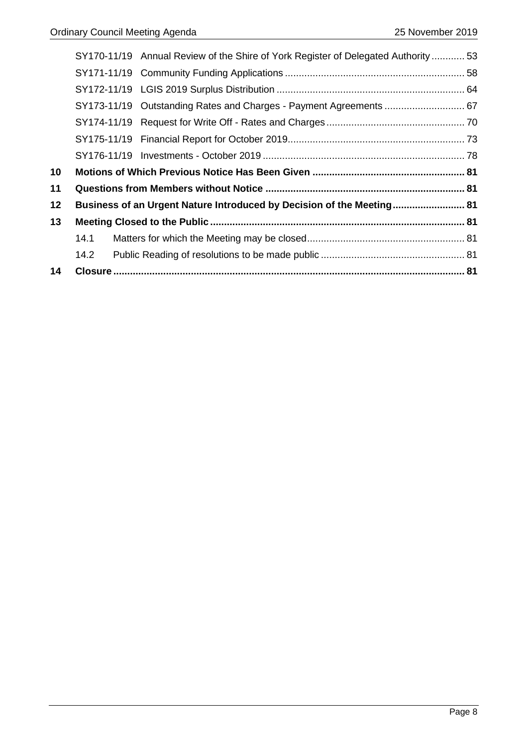|    |      | SY170-11/19 Annual Review of the Shire of York Register of Delegated Authority 53 |  |
|----|------|-----------------------------------------------------------------------------------|--|
|    |      |                                                                                   |  |
|    |      |                                                                                   |  |
|    |      |                                                                                   |  |
|    |      |                                                                                   |  |
|    |      |                                                                                   |  |
|    |      |                                                                                   |  |
| 10 |      |                                                                                   |  |
| 11 |      |                                                                                   |  |
| 12 |      | Business of an Urgent Nature Introduced by Decision of the Meeting 81             |  |
| 13 |      |                                                                                   |  |
|    | 14.1 |                                                                                   |  |
|    | 14.2 |                                                                                   |  |
| 14 |      |                                                                                   |  |
|    |      |                                                                                   |  |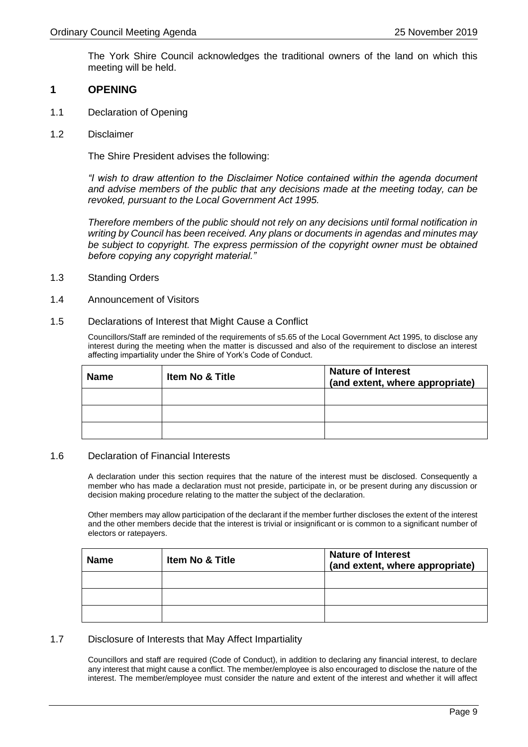The York Shire Council acknowledges the traditional owners of the land on which this meeting will be held.

#### <span id="page-8-0"></span>**1 OPENING**

- <span id="page-8-1"></span>1.1 Declaration of Opening
- <span id="page-8-2"></span>1.2 Disclaimer

The Shire President advises the following:

*"I wish to draw attention to the Disclaimer Notice contained within the agenda document and advise members of the public that any decisions made at the meeting today, can be revoked, pursuant to the Local Government Act 1995.*

*Therefore members of the public should not rely on any decisions until formal notification in writing by Council has been received. Any plans or documents in agendas and minutes may be subject to copyright. The express permission of the copyright owner must be obtained before copying any copyright material."*

- <span id="page-8-3"></span>1.3 Standing Orders
- <span id="page-8-4"></span>1.4 Announcement of Visitors
- <span id="page-8-5"></span>1.5 Declarations of Interest that Might Cause a Conflict

Councillors/Staff are reminded of the requirements of s5.65 of the Local Government Act 1995, to disclose any interest during the meeting when the matter is discussed and also of the requirement to disclose an interest affecting impartiality under the Shire of York's Code of Conduct.

| <b>Name</b> | <b>Item No &amp; Title</b> | <b>Nature of Interest</b><br>(and extent, where appropriate) |
|-------------|----------------------------|--------------------------------------------------------------|
|             |                            |                                                              |
|             |                            |                                                              |
|             |                            |                                                              |

#### <span id="page-8-6"></span>1.6 Declaration of Financial Interests

A declaration under this section requires that the nature of the interest must be disclosed. Consequently a member who has made a declaration must not preside, participate in, or be present during any discussion or decision making procedure relating to the matter the subject of the declaration.

Other members may allow participation of the declarant if the member further discloses the extent of the interest and the other members decide that the interest is trivial or insignificant or is common to a significant number of electors or ratepayers.

| <b>Name</b> | <b>Item No &amp; Title</b> | <b>Nature of Interest</b><br>(and extent, where appropriate) |
|-------------|----------------------------|--------------------------------------------------------------|
|             |                            |                                                              |
|             |                            |                                                              |
|             |                            |                                                              |

#### <span id="page-8-7"></span>1.7 Disclosure of Interests that May Affect Impartiality

Councillors and staff are required (Code of Conduct), in addition to declaring any financial interest, to declare any interest that might cause a conflict. The member/employee is also encouraged to disclose the nature of the interest. The member/employee must consider the nature and extent of the interest and whether it will affect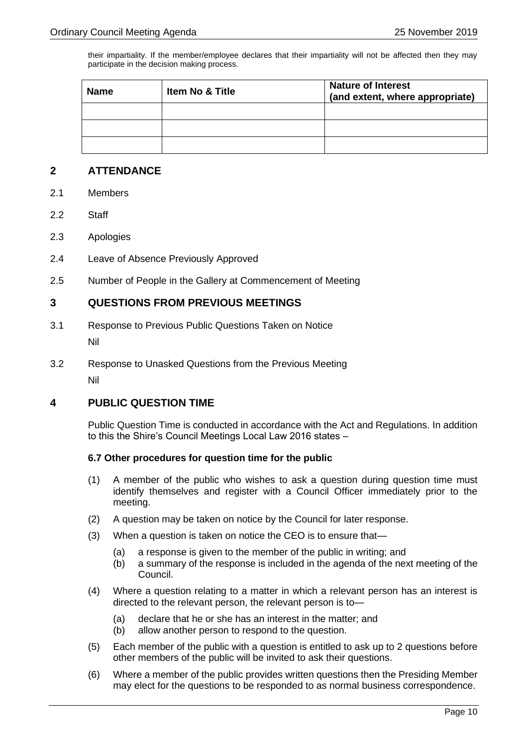their impartiality. If the member/employee declares that their impartiality will not be affected then they may participate in the decision making process.

| <b>Name</b> | <b>Item No &amp; Title</b> | <b>Nature of Interest</b><br>(and extent, where appropriate) |
|-------------|----------------------------|--------------------------------------------------------------|
|             |                            |                                                              |
|             |                            |                                                              |
|             |                            |                                                              |

### <span id="page-9-0"></span>**2 ATTENDANCE**

- <span id="page-9-1"></span>2.1 Members
- <span id="page-9-2"></span>2.2 Staff
- <span id="page-9-3"></span>2.3 Apologies
- <span id="page-9-4"></span>2.4 Leave of Absence Previously Approved
- <span id="page-9-5"></span>2.5 Number of People in the Gallery at Commencement of Meeting

### <span id="page-9-6"></span>**3 QUESTIONS FROM PREVIOUS MEETINGS**

- <span id="page-9-7"></span>3.1 Response to Previous Public Questions Taken on Notice Nil
- <span id="page-9-8"></span>3.2 Response to Unasked Questions from the Previous Meeting Nil

### <span id="page-9-9"></span>**4 PUBLIC QUESTION TIME**

Public Question Time is conducted in accordance with the Act and Regulations. In addition to this the Shire's Council Meetings Local Law 2016 states –

#### **6.7 Other procedures for question time for the public**

- (1) A member of the public who wishes to ask a question during question time must identify themselves and register with a Council Officer immediately prior to the meeting.
- (2) A question may be taken on notice by the Council for later response.
- (3) When a question is taken on notice the CEO is to ensure that—
	- (a) a response is given to the member of the public in writing; and
	- (b) a summary of the response is included in the agenda of the next meeting of the Council.
- (4) Where a question relating to a matter in which a relevant person has an interest is directed to the relevant person, the relevant person is to—
	- (a) declare that he or she has an interest in the matter; and
	- (b) allow another person to respond to the question.
- (5) Each member of the public with a question is entitled to ask up to 2 questions before other members of the public will be invited to ask their questions.
- (6) Where a member of the public provides written questions then the Presiding Member may elect for the questions to be responded to as normal business correspondence.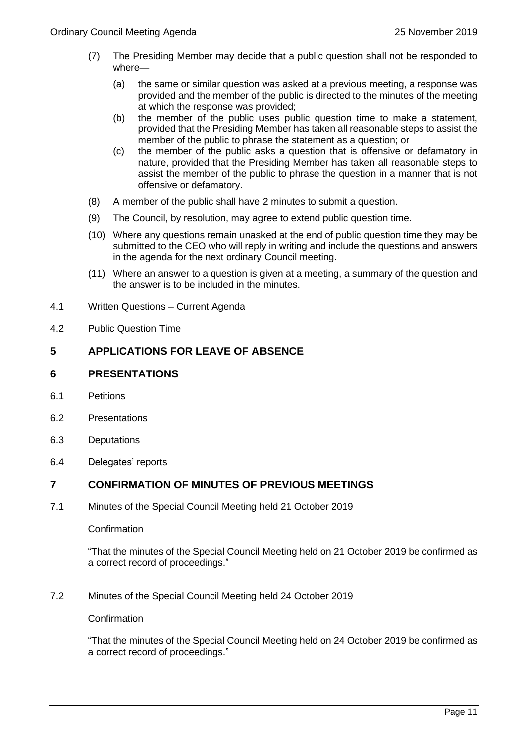- (7) The Presiding Member may decide that a public question shall not be responded to where—
	- (a) the same or similar question was asked at a previous meeting, a response was provided and the member of the public is directed to the minutes of the meeting at which the response was provided;
	- (b) the member of the public uses public question time to make a statement, provided that the Presiding Member has taken all reasonable steps to assist the member of the public to phrase the statement as a question; or
	- (c) the member of the public asks a question that is offensive or defamatory in nature, provided that the Presiding Member has taken all reasonable steps to assist the member of the public to phrase the question in a manner that is not offensive or defamatory.
- (8) A member of the public shall have 2 minutes to submit a question.
- (9) The Council, by resolution, may agree to extend public question time.
- (10) Where any questions remain unasked at the end of public question time they may be submitted to the CEO who will reply in writing and include the questions and answers in the agenda for the next ordinary Council meeting.
- (11) Where an answer to a question is given at a meeting, a summary of the question and the answer is to be included in the minutes.
- <span id="page-10-0"></span>4.1 Written Questions – Current Agenda
- <span id="page-10-1"></span>4.2 Public Question Time

### <span id="page-10-2"></span>**5 APPLICATIONS FOR LEAVE OF ABSENCE**

### <span id="page-10-3"></span>**6 PRESENTATIONS**

- <span id="page-10-4"></span>6.1 Petitions
- <span id="page-10-5"></span>6.2 Presentations
- <span id="page-10-6"></span>6.3 Deputations
- <span id="page-10-7"></span>6.4 Delegates' reports

### <span id="page-10-8"></span>**7 CONFIRMATION OF MINUTES OF PREVIOUS MEETINGS**

7.1 Minutes of the Special Council Meeting held 21 October 2019

### **Confirmation**

"That the minutes of the Special Council Meeting held on 21 October 2019 be confirmed as a correct record of proceedings."

7.2 Minutes of the Special Council Meeting held 24 October 2019

**Confirmation** 

"That the minutes of the Special Council Meeting held on 24 October 2019 be confirmed as a correct record of proceedings."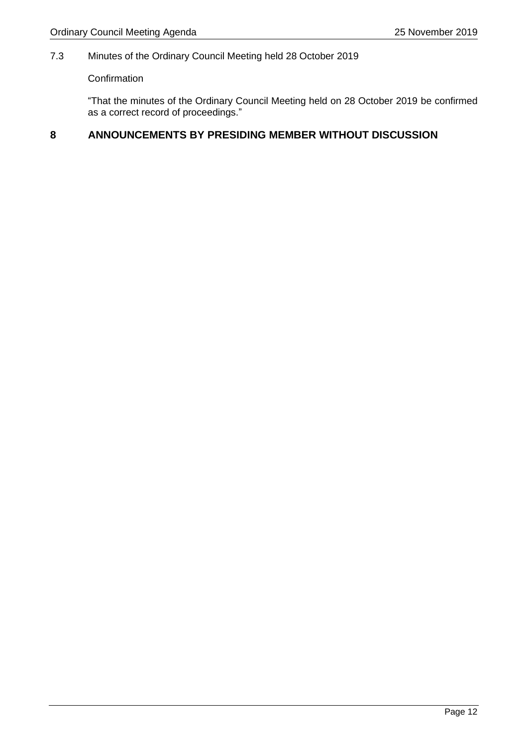### 7.3 Minutes of the Ordinary Council Meeting held 28 October 2019

**Confirmation** 

"That the minutes of the Ordinary Council Meeting held on 28 October 2019 be confirmed as a correct record of proceedings."

### <span id="page-11-0"></span>**8 ANNOUNCEMENTS BY PRESIDING MEMBER WITHOUT DISCUSSION**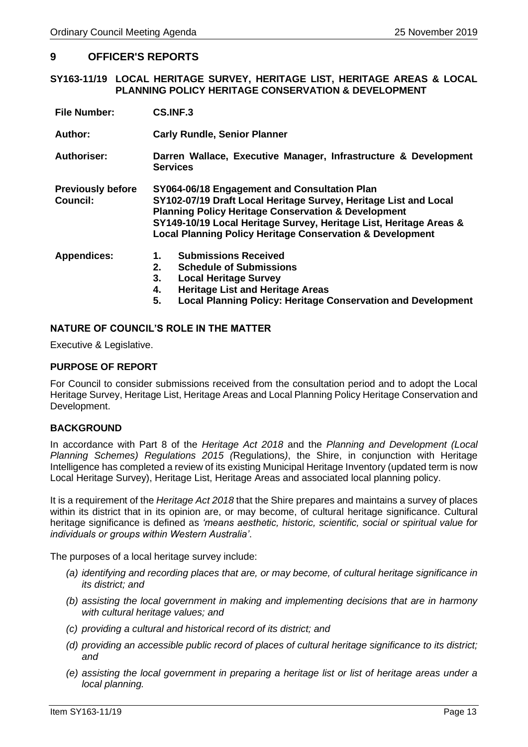### <span id="page-12-0"></span>**9 OFFICER'S REPORTS**

#### <span id="page-12-1"></span>**SY163-11/19 LOCAL HERITAGE SURVEY, HERITAGE LIST, HERITAGE AREAS & LOCAL PLANNING POLICY HERITAGE CONSERVATION & DEVELOPMENT**

| <b>File Number:</b>                         | CS.INF.3                                                                                                                                                                                                                                                                                                                         |  |  |
|---------------------------------------------|----------------------------------------------------------------------------------------------------------------------------------------------------------------------------------------------------------------------------------------------------------------------------------------------------------------------------------|--|--|
| Author:                                     | <b>Carly Rundle, Senior Planner</b>                                                                                                                                                                                                                                                                                              |  |  |
| <b>Authoriser:</b>                          | Darren Wallace, Executive Manager, Infrastructure & Development<br><b>Services</b>                                                                                                                                                                                                                                               |  |  |
| <b>Previously before</b><br><b>Council:</b> | SY064-06/18 Engagement and Consultation Plan<br>SY102-07/19 Draft Local Heritage Survey, Heritage List and Local<br><b>Planning Policy Heritage Conservation &amp; Development</b><br>SY149-10/19 Local Heritage Survey, Heritage List, Heritage Areas &<br><b>Local Planning Policy Heritage Conservation &amp; Development</b> |  |  |
| <b>Appendices:</b>                          | <b>Submissions Received</b><br>1.<br>2.<br><b>Schedule of Submissions</b><br>3.<br><b>Local Heritage Survey</b><br><b>Heritage List and Heritage Areas</b><br>4.<br>5.<br><b>Local Planning Policy: Heritage Conservation and Development</b>                                                                                    |  |  |

### **NATURE OF COUNCIL'S ROLE IN THE MATTER**

Executive & Legislative.

### **PURPOSE OF REPORT**

For Council to consider submissions received from the consultation period and to adopt the Local Heritage Survey, Heritage List, Heritage Areas and Local Planning Policy Heritage Conservation and Development.

#### **BACKGROUND**

In accordance with Part 8 of the *Heritage Act 2018* and the *Planning and Development (Local Planning Schemes) Regulations 2015 (*Regulations*)*, the Shire, in conjunction with Heritage Intelligence has completed a review of its existing Municipal Heritage Inventory (updated term is now Local Heritage Survey), Heritage List, Heritage Areas and associated local planning policy.

It is a requirement of the *Heritage Act 2018* that the Shire prepares and maintains a survey of places within its district that in its opinion are, or may become, of cultural heritage significance. Cultural heritage significance is defined as *'means aesthetic, historic, scientific, social or spiritual value for individuals or groups within Western Australia'*.

The purposes of a local heritage survey include:

- *(a) identifying and recording places that are, or may become, of cultural heritage significance in its district; and*
- *(b) assisting the local government in making and implementing decisions that are in harmony with cultural heritage values; and*
- *(c) providing a cultural and historical record of its district; and*
- *(d) providing an accessible public record of places of cultural heritage significance to its district; and*
- *(e) assisting the local government in preparing a heritage list or list of heritage areas under a local planning.*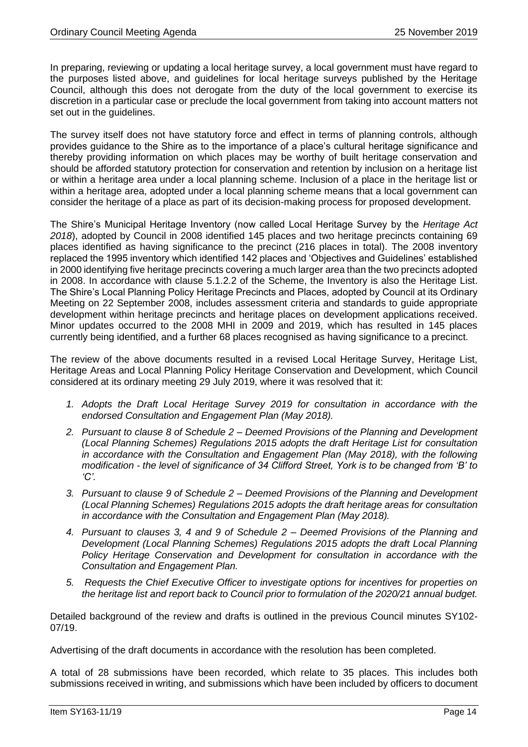In preparing, reviewing or updating a local heritage survey, a local government must have regard to the purposes listed above, and guidelines for local heritage surveys published by the Heritage Council, although this does not derogate from the duty of the local government to exercise its discretion in a particular case or preclude the local government from taking into account matters not set out in the guidelines.

The survey itself does not have statutory force and effect in terms of planning controls, although provides guidance to the Shire as to the importance of a place's cultural heritage significance and thereby providing information on which places may be worthy of built heritage conservation and should be afforded statutory protection for conservation and retention by inclusion on a heritage list or within a heritage area under a local planning scheme. Inclusion of a place in the heritage list or within a heritage area, adopted under a local planning scheme means that a local government can consider the heritage of a place as part of its decision-making process for proposed development.

The Shire's Municipal Heritage Inventory (now called Local Heritage Survey by the *Heritage Act 2018*), adopted by Council in 2008 identified 145 places and two heritage precincts containing 69 places identified as having significance to the precinct (216 places in total). The 2008 inventory replaced the 1995 inventory which identified 142 places and 'Objectives and Guidelines' established in 2000 identifying five heritage precincts covering a much larger area than the two precincts adopted in 2008. In accordance with clause 5.1.2.2 of the Scheme, the Inventory is also the Heritage List. The Shire's Local Planning Policy Heritage Precincts and Places, adopted by Council at its Ordinary Meeting on 22 September 2008, includes assessment criteria and standards to guide appropriate development within heritage precincts and heritage places on development applications received. Minor updates occurred to the 2008 MHI in 2009 and 2019, which has resulted in 145 places currently being identified, and a further 68 places recognised as having significance to a precinct.

The review of the above documents resulted in a revised Local Heritage Survey, Heritage List, Heritage Areas and Local Planning Policy Heritage Conservation and Development, which Council considered at its ordinary meeting 29 July 2019, where it was resolved that it:

- *1. Adopts the Draft Local Heritage Survey 2019 for consultation in accordance with the endorsed Consultation and Engagement Plan (May 2018).*
- *2. Pursuant to clause 8 of Schedule 2 – Deemed Provisions of the Planning and Development (Local Planning Schemes) Regulations 2015 adopts the draft Heritage List for consultation in accordance with the Consultation and Engagement Plan (May 2018), with the following modification - the level of significance of 34 Clifford Street, York is to be changed from 'B' to 'C'.*
- *3. Pursuant to clause 9 of Schedule 2 – Deemed Provisions of the Planning and Development (Local Planning Schemes) Regulations 2015 adopts the draft heritage areas for consultation in accordance with the Consultation and Engagement Plan (May 2018).*
- *4. Pursuant to clauses 3, 4 and 9 of Schedule 2 – Deemed Provisions of the Planning and Development (Local Planning Schemes) Regulations 2015 adopts the draft Local Planning Policy Heritage Conservation and Development for consultation in accordance with the Consultation and Engagement Plan.*
- *5. Requests the Chief Executive Officer to investigate options for incentives for properties on the heritage list and report back to Council prior to formulation of the 2020/21 annual budget.*

Detailed background of the review and drafts is outlined in the previous Council minutes SY102- 07/19.

Advertising of the draft documents in accordance with the resolution has been completed.

A total of 28 submissions have been recorded, which relate to 35 places. This includes both submissions received in writing, and submissions which have been included by officers to document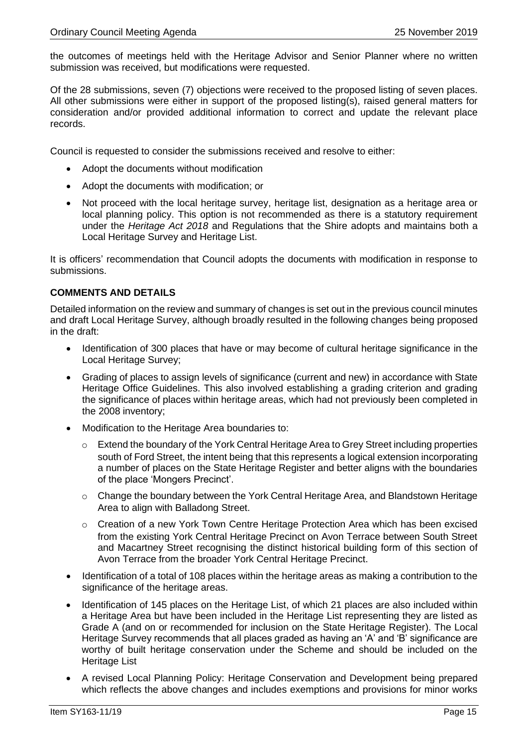the outcomes of meetings held with the Heritage Advisor and Senior Planner where no written submission was received, but modifications were requested.

Of the 28 submissions, seven (7) objections were received to the proposed listing of seven places. All other submissions were either in support of the proposed listing(s), raised general matters for consideration and/or provided additional information to correct and update the relevant place records.

Council is requested to consider the submissions received and resolve to either:

- Adopt the documents without modification
- Adopt the documents with modification; or
- Not proceed with the local heritage survey, heritage list, designation as a heritage area or local planning policy. This option is not recommended as there is a statutory requirement under the *Heritage Act 2018* and Regulations that the Shire adopts and maintains both a Local Heritage Survey and Heritage List.

It is officers' recommendation that Council adopts the documents with modification in response to submissions.

### **COMMENTS AND DETAILS**

Detailed information on the review and summary of changes is set out in the previous council minutes and draft Local Heritage Survey, although broadly resulted in the following changes being proposed in the draft:

- Identification of 300 places that have or may become of cultural heritage significance in the Local Heritage Survey;
- Grading of places to assign levels of significance (current and new) in accordance with State Heritage Office Guidelines. This also involved establishing a grading criterion and grading the significance of places within heritage areas, which had not previously been completed in the 2008 inventory;
- Modification to the Heritage Area boundaries to:
	- $\circ$  Extend the boundary of the York Central Heritage Area to Grey Street including properties south of Ford Street, the intent being that this represents a logical extension incorporating a number of places on the State Heritage Register and better aligns with the boundaries of the place 'Mongers Precinct'.
	- $\circ$  Change the boundary between the York Central Heritage Area, and Blandstown Heritage Area to align with Balladong Street.
	- $\circ$  Creation of a new York Town Centre Heritage Protection Area which has been excised from the existing York Central Heritage Precinct on Avon Terrace between South Street and Macartney Street recognising the distinct historical building form of this section of Avon Terrace from the broader York Central Heritage Precinct.
- Identification of a total of 108 places within the heritage areas as making a contribution to the significance of the heritage areas.
- Identification of 145 places on the Heritage List, of which 21 places are also included within a Heritage Area but have been included in the Heritage List representing they are listed as Grade A (and on or recommended for inclusion on the State Heritage Register). The Local Heritage Survey recommends that all places graded as having an 'A' and 'B' significance are worthy of built heritage conservation under the Scheme and should be included on the Heritage List
- A revised Local Planning Policy: Heritage Conservation and Development being prepared which reflects the above changes and includes exemptions and provisions for minor works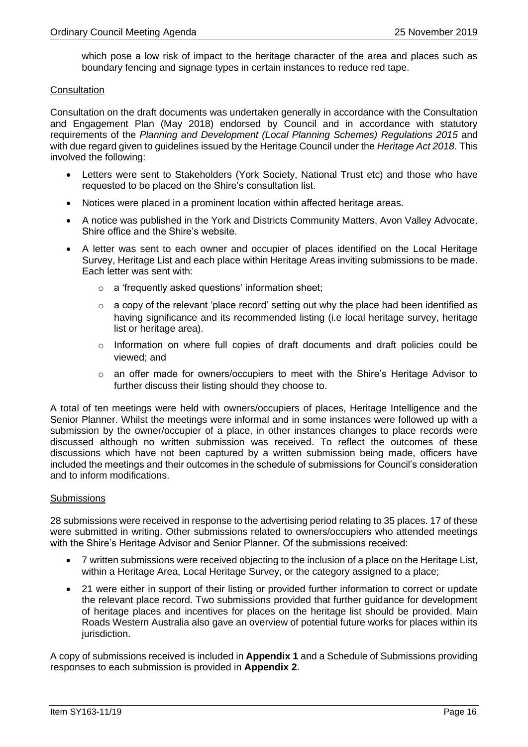which pose a low risk of impact to the heritage character of the area and places such as boundary fencing and signage types in certain instances to reduce red tape.

### **Consultation**

Consultation on the draft documents was undertaken generally in accordance with the Consultation and Engagement Plan (May 2018) endorsed by Council and in accordance with statutory requirements of the *Planning and Development (Local Planning Schemes) Regulations 2015* and with due regard given to guidelines issued by the Heritage Council under the *Heritage Act 2018*. This involved the following:

- Letters were sent to Stakeholders (York Society, National Trust etc) and those who have requested to be placed on the Shire's consultation list.
- Notices were placed in a prominent location within affected heritage areas.
- A notice was published in the York and Districts Community Matters, Avon Valley Advocate, Shire office and the Shire's website.
- A letter was sent to each owner and occupier of places identified on the Local Heritage Survey, Heritage List and each place within Heritage Areas inviting submissions to be made. Each letter was sent with:
	- o a 'frequently asked questions' information sheet;
	- o a copy of the relevant 'place record' setting out why the place had been identified as having significance and its recommended listing (i.e local heritage survey, heritage list or heritage area).
	- o Information on where full copies of draft documents and draft policies could be viewed; and
	- o an offer made for owners/occupiers to meet with the Shire's Heritage Advisor to further discuss their listing should they choose to.

A total of ten meetings were held with owners/occupiers of places, Heritage Intelligence and the Senior Planner. Whilst the meetings were informal and in some instances were followed up with a submission by the owner/occupier of a place, in other instances changes to place records were discussed although no written submission was received. To reflect the outcomes of these discussions which have not been captured by a written submission being made, officers have included the meetings and their outcomes in the schedule of submissions for Council's consideration and to inform modifications.

#### **Submissions**

28 submissions were received in response to the advertising period relating to 35 places. 17 of these were submitted in writing. Other submissions related to owners/occupiers who attended meetings with the Shire's Heritage Advisor and Senior Planner. Of the submissions received:

- 7 written submissions were received objecting to the inclusion of a place on the Heritage List, within a Heritage Area, Local Heritage Survey, or the category assigned to a place;
- 21 were either in support of their listing or provided further information to correct or update the relevant place record. Two submissions provided that further guidance for development of heritage places and incentives for places on the heritage list should be provided. Main Roads Western Australia also gave an overview of potential future works for places within its jurisdiction.

A copy of submissions received is included in **Appendix 1** and a Schedule of Submissions providing responses to each submission is provided in **Appendix 2**.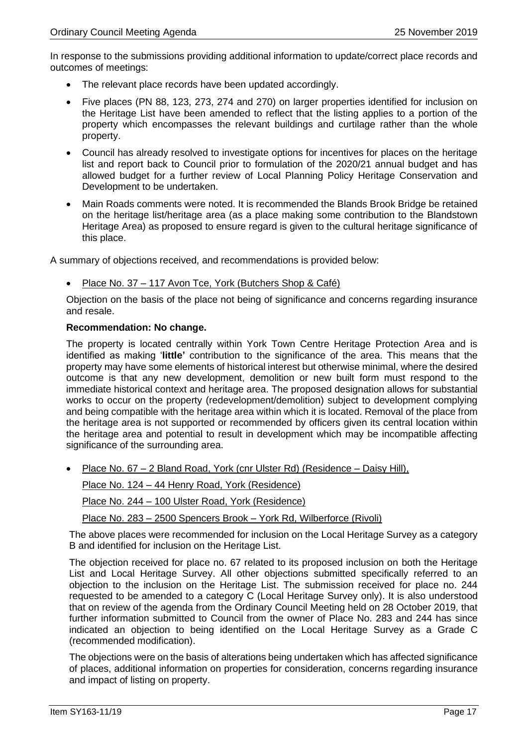In response to the submissions providing additional information to update/correct place records and outcomes of meetings:

- The relevant place records have been updated accordingly.
- Five places (PN 88, 123, 273, 274 and 270) on larger properties identified for inclusion on the Heritage List have been amended to reflect that the listing applies to a portion of the property which encompasses the relevant buildings and curtilage rather than the whole property.
- Council has already resolved to investigate options for incentives for places on the heritage list and report back to Council prior to formulation of the 2020/21 annual budget and has allowed budget for a further review of Local Planning Policy Heritage Conservation and Development to be undertaken.
- Main Roads comments were noted. It is recommended the Blands Brook Bridge be retained on the heritage list/heritage area (as a place making some contribution to the Blandstown Heritage Area) as proposed to ensure regard is given to the cultural heritage significance of this place.

A summary of objections received, and recommendations is provided below:

• Place No. 37 – 117 Avon Tce, York (Butchers Shop & Café)

Objection on the basis of the place not being of significance and concerns regarding insurance and resale.

### **Recommendation: No change.**

The property is located centrally within York Town Centre Heritage Protection Area and is identified as making '**little'** contribution to the significance of the area. This means that the property may have some elements of historical interest but otherwise minimal, where the desired outcome is that any new development, demolition or new built form must respond to the immediate historical context and heritage area. The proposed designation allows for substantial works to occur on the property (redevelopment/demolition) subject to development complying and being compatible with the heritage area within which it is located. Removal of the place from the heritage area is not supported or recommended by officers given its central location within the heritage area and potential to result in development which may be incompatible affecting significance of the surrounding area.

• Place No. 67 – 2 Bland Road, York (cnr Ulster Rd) (Residence – Daisy Hill),

Place No. 124 – 44 Henry Road, York (Residence)

Place No. 244 – 100 Ulster Road, York (Residence)

Place No. 283 – 2500 Spencers Brook – York Rd, Wilberforce (Rivoli)

The above places were recommended for inclusion on the Local Heritage Survey as a category B and identified for inclusion on the Heritage List.

The objection received for place no. 67 related to its proposed inclusion on both the Heritage List and Local Heritage Survey. All other objections submitted specifically referred to an objection to the inclusion on the Heritage List. The submission received for place no. 244 requested to be amended to a category C (Local Heritage Survey only). It is also understood that on review of the agenda from the Ordinary Council Meeting held on 28 October 2019, that further information submitted to Council from the owner of Place No. 283 and 244 has since indicated an objection to being identified on the Local Heritage Survey as a Grade C (recommended modification).

The objections were on the basis of alterations being undertaken which has affected significance of places, additional information on properties for consideration, concerns regarding insurance and impact of listing on property.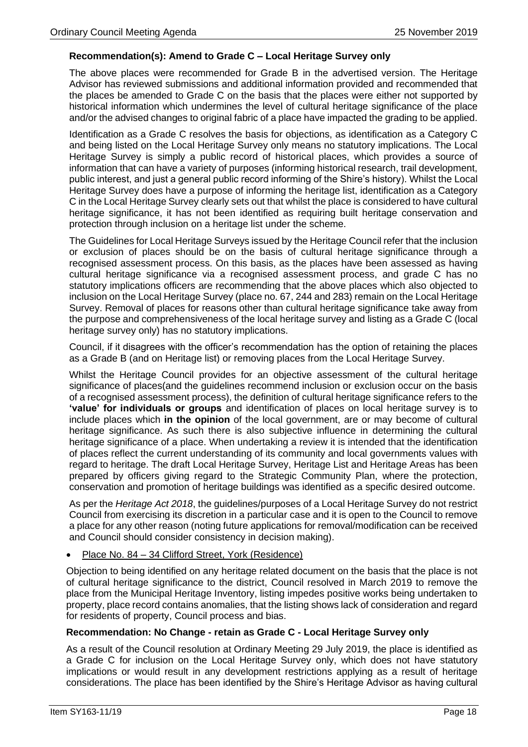### **Recommendation(s): Amend to Grade C – Local Heritage Survey only**

The above places were recommended for Grade B in the advertised version. The Heritage Advisor has reviewed submissions and additional information provided and recommended that the places be amended to Grade C on the basis that the places were either not supported by historical information which undermines the level of cultural heritage significance of the place and/or the advised changes to original fabric of a place have impacted the grading to be applied.

Identification as a Grade C resolves the basis for objections, as identification as a Category C and being listed on the Local Heritage Survey only means no statutory implications. The Local Heritage Survey is simply a public record of historical places, which provides a source of information that can have a variety of purposes (informing historical research, trail development, public interest, and just a general public record informing of the Shire's history). Whilst the Local Heritage Survey does have a purpose of informing the heritage list, identification as a Category C in the Local Heritage Survey clearly sets out that whilst the place is considered to have cultural heritage significance, it has not been identified as requiring built heritage conservation and protection through inclusion on a heritage list under the scheme.

The Guidelines for Local Heritage Surveys issued by the Heritage Council refer that the inclusion or exclusion of places should be on the basis of cultural heritage significance through a recognised assessment process. On this basis, as the places have been assessed as having cultural heritage significance via a recognised assessment process, and grade C has no statutory implications officers are recommending that the above places which also objected to inclusion on the Local Heritage Survey (place no. 67, 244 and 283) remain on the Local Heritage Survey. Removal of places for reasons other than cultural heritage significance take away from the purpose and comprehensiveness of the local heritage survey and listing as a Grade C (local heritage survey only) has no statutory implications.

Council, if it disagrees with the officer's recommendation has the option of retaining the places as a Grade B (and on Heritage list) or removing places from the Local Heritage Survey.

Whilst the Heritage Council provides for an objective assessment of the cultural heritage significance of places(and the guidelines recommend inclusion or exclusion occur on the basis of a recognised assessment process), the definition of cultural heritage significance refers to the **'value' for individuals or groups** and identification of places on local heritage survey is to include places which **in the opinion** of the local government, are or may become of cultural heritage significance. As such there is also subjective influence in determining the cultural heritage significance of a place. When undertaking a review it is intended that the identification of places reflect the current understanding of its community and local governments values with regard to heritage. The draft Local Heritage Survey, Heritage List and Heritage Areas has been prepared by officers giving regard to the Strategic Community Plan, where the protection, conservation and promotion of heritage buildings was identified as a specific desired outcome.

As per the *Heritage Act 2018*, the guidelines/purposes of a Local Heritage Survey do not restrict Council from exercising its discretion in a particular case and it is open to the Council to remove a place for any other reason (noting future applications for removal/modification can be received and Council should consider consistency in decision making).

### • Place No. 84 – 34 Clifford Street, York (Residence)

Objection to being identified on any heritage related document on the basis that the place is not of cultural heritage significance to the district, Council resolved in March 2019 to remove the place from the Municipal Heritage Inventory, listing impedes positive works being undertaken to property, place record contains anomalies, that the listing shows lack of consideration and regard for residents of property, Council process and bias.

### **Recommendation: No Change - retain as Grade C - Local Heritage Survey only**

As a result of the Council resolution at Ordinary Meeting 29 July 2019, the place is identified as a Grade C for inclusion on the Local Heritage Survey only, which does not have statutory implications or would result in any development restrictions applying as a result of heritage considerations. The place has been identified by the Shire's Heritage Advisor as having cultural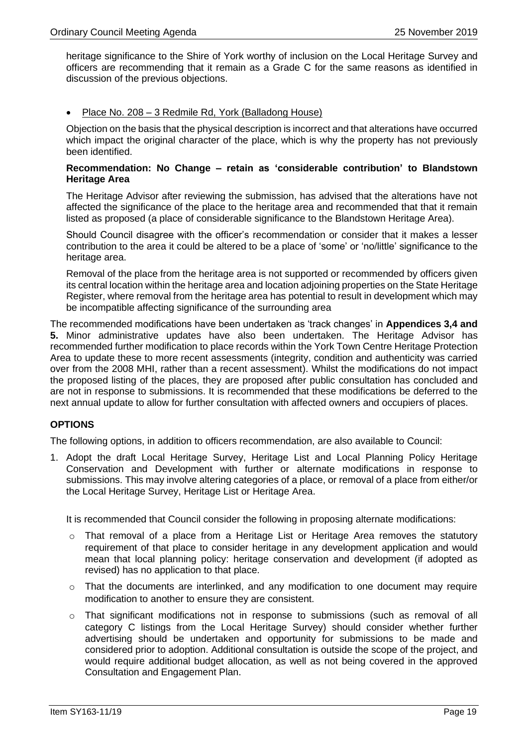heritage significance to the Shire of York worthy of inclusion on the Local Heritage Survey and officers are recommending that it remain as a Grade C for the same reasons as identified in discussion of the previous objections.

### • Place No. 208 – 3 Redmile Rd, York (Balladong House)

Objection on the basis that the physical description is incorrect and that alterations have occurred which impact the original character of the place, which is why the property has not previously been identified.

### **Recommendation: No Change – retain as 'considerable contribution' to Blandstown Heritage Area**

The Heritage Advisor after reviewing the submission, has advised that the alterations have not affected the significance of the place to the heritage area and recommended that that it remain listed as proposed (a place of considerable significance to the Blandstown Heritage Area).

Should Council disagree with the officer's recommendation or consider that it makes a lesser contribution to the area it could be altered to be a place of 'some' or 'no/little' significance to the heritage area.

Removal of the place from the heritage area is not supported or recommended by officers given its central location within the heritage area and location adjoining properties on the State Heritage Register, where removal from the heritage area has potential to result in development which may be incompatible affecting significance of the surrounding area

The recommended modifications have been undertaken as 'track changes' in **Appendices 3,4 and 5.** Minor administrative updates have also been undertaken. The Heritage Advisor has recommended further modification to place records within the York Town Centre Heritage Protection Area to update these to more recent assessments (integrity, condition and authenticity was carried over from the 2008 MHI, rather than a recent assessment). Whilst the modifications do not impact the proposed listing of the places, they are proposed after public consultation has concluded and are not in response to submissions. It is recommended that these modifications be deferred to the next annual update to allow for further consultation with affected owners and occupiers of places.

### **OPTIONS**

The following options, in addition to officers recommendation, are also available to Council:

1. Adopt the draft Local Heritage Survey, Heritage List and Local Planning Policy Heritage Conservation and Development with further or alternate modifications in response to submissions. This may involve altering categories of a place, or removal of a place from either/or the Local Heritage Survey, Heritage List or Heritage Area.

It is recommended that Council consider the following in proposing alternate modifications:

- $\circ$  That removal of a place from a Heritage List or Heritage Area removes the statutory requirement of that place to consider heritage in any development application and would mean that local planning policy: heritage conservation and development (if adopted as revised) has no application to that place.
- o That the documents are interlinked, and any modification to one document may require modification to another to ensure they are consistent.
- o That significant modifications not in response to submissions (such as removal of all category C listings from the Local Heritage Survey) should consider whether further advertising should be undertaken and opportunity for submissions to be made and considered prior to adoption. Additional consultation is outside the scope of the project, and would require additional budget allocation, as well as not being covered in the approved Consultation and Engagement Plan.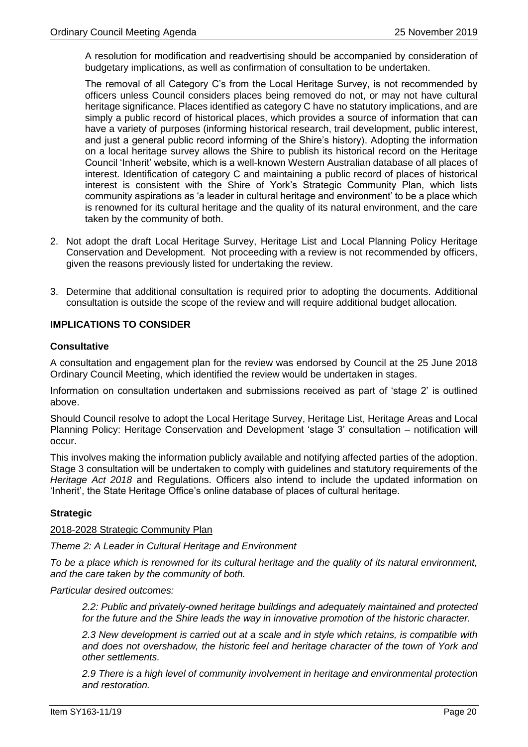A resolution for modification and readvertising should be accompanied by consideration of budgetary implications, as well as confirmation of consultation to be undertaken.

The removal of all Category C's from the Local Heritage Survey, is not recommended by officers unless Council considers places being removed do not, or may not have cultural heritage significance. Places identified as category C have no statutory implications, and are simply a public record of historical places, which provides a source of information that can have a variety of purposes (informing historical research, trail development, public interest, and just a general public record informing of the Shire's history). Adopting the information on a local heritage survey allows the Shire to publish its historical record on the Heritage Council 'Inherit' website, which is a well-known Western Australian database of all places of interest. Identification of category C and maintaining a public record of places of historical interest is consistent with the Shire of York's Strategic Community Plan, which lists community aspirations as 'a leader in cultural heritage and environment' to be a place which is renowned for its cultural heritage and the quality of its natural environment, and the care taken by the community of both.

- 2. Not adopt the draft Local Heritage Survey, Heritage List and Local Planning Policy Heritage Conservation and Development. Not proceeding with a review is not recommended by officers, given the reasons previously listed for undertaking the review.
- 3. Determine that additional consultation is required prior to adopting the documents. Additional consultation is outside the scope of the review and will require additional budget allocation.

### **IMPLICATIONS TO CONSIDER**

### **Consultative**

A consultation and engagement plan for the review was endorsed by Council at the 25 June 2018 Ordinary Council Meeting, which identified the review would be undertaken in stages.

Information on consultation undertaken and submissions received as part of 'stage 2' is outlined above.

Should Council resolve to adopt the Local Heritage Survey, Heritage List, Heritage Areas and Local Planning Policy: Heritage Conservation and Development 'stage 3' consultation – notification will occur.

This involves making the information publicly available and notifying affected parties of the adoption. Stage 3 consultation will be undertaken to comply with guidelines and statutory requirements of the *Heritage Act 2018* and Regulations. Officers also intend to include the updated information on 'Inherit', the State Heritage Office's online database of places of cultural heritage.

### **Strategic**

### 2018-2028 Strategic Community Plan

*Theme 2: A Leader in Cultural Heritage and Environment*

*To be a place which is renowned for its cultural heritage and the quality of its natural environment, and the care taken by the community of both.* 

*Particular desired outcomes:*

*2.2: Public and privately-owned heritage buildings and adequately maintained and protected for the future and the Shire leads the way in innovative promotion of the historic character.* 

*2.3 New development is carried out at a scale and in style which retains, is compatible with and does not overshadow, the historic feel and heritage character of the town of York and other settlements.*

*2.9 There is a high level of community involvement in heritage and environmental protection and restoration.*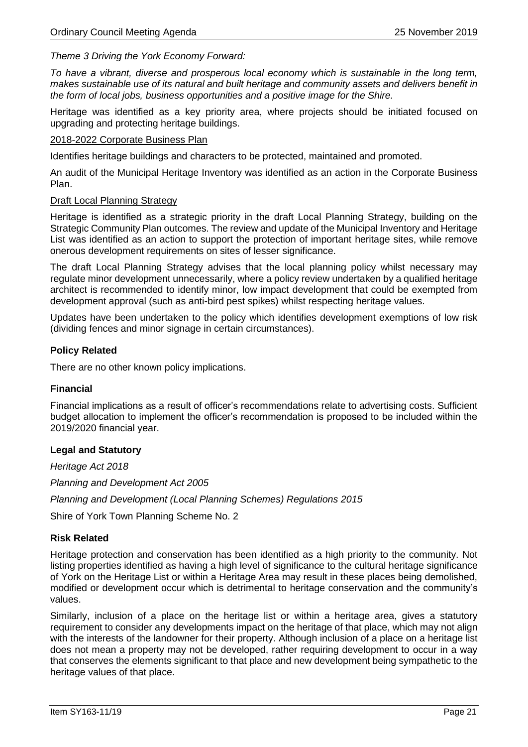### *Theme 3 Driving the York Economy Forward:*

*To have a vibrant, diverse and prosperous local economy which is sustainable in the long term, makes sustainable use of its natural and built heritage and community assets and delivers benefit in the form of local jobs, business opportunities and a positive image for the Shire.* 

Heritage was identified as a key priority area, where projects should be initiated focused on upgrading and protecting heritage buildings.

### 2018-2022 Corporate Business Plan

Identifies heritage buildings and characters to be protected, maintained and promoted.

An audit of the Municipal Heritage Inventory was identified as an action in the Corporate Business Plan.

### Draft Local Planning Strategy

Heritage is identified as a strategic priority in the draft Local Planning Strategy, building on the Strategic Community Plan outcomes. The review and update of the Municipal Inventory and Heritage List was identified as an action to support the protection of important heritage sites, while remove onerous development requirements on sites of lesser significance.

The draft Local Planning Strategy advises that the local planning policy whilst necessary may regulate minor development unnecessarily, where a policy review undertaken by a qualified heritage architect is recommended to identify minor, low impact development that could be exempted from development approval (such as anti-bird pest spikes) whilst respecting heritage values.

Updates have been undertaken to the policy which identifies development exemptions of low risk (dividing fences and minor signage in certain circumstances).

### **Policy Related**

There are no other known policy implications.

### **Financial**

Financial implications as a result of officer's recommendations relate to advertising costs. Sufficient budget allocation to implement the officer's recommendation is proposed to be included within the 2019/2020 financial year.

### **Legal and Statutory**

*Heritage Act 2018*

*Planning and Development Act 2005*

*Planning and Development (Local Planning Schemes) Regulations 2015*

Shire of York Town Planning Scheme No. 2

### **Risk Related**

Heritage protection and conservation has been identified as a high priority to the community. Not listing properties identified as having a high level of significance to the cultural heritage significance of York on the Heritage List or within a Heritage Area may result in these places being demolished, modified or development occur which is detrimental to heritage conservation and the community's values.

Similarly, inclusion of a place on the heritage list or within a heritage area, gives a statutory requirement to consider any developments impact on the heritage of that place, which may not align with the interests of the landowner for their property. Although inclusion of a place on a heritage list does not mean a property may not be developed, rather requiring development to occur in a way that conserves the elements significant to that place and new development being sympathetic to the heritage values of that place.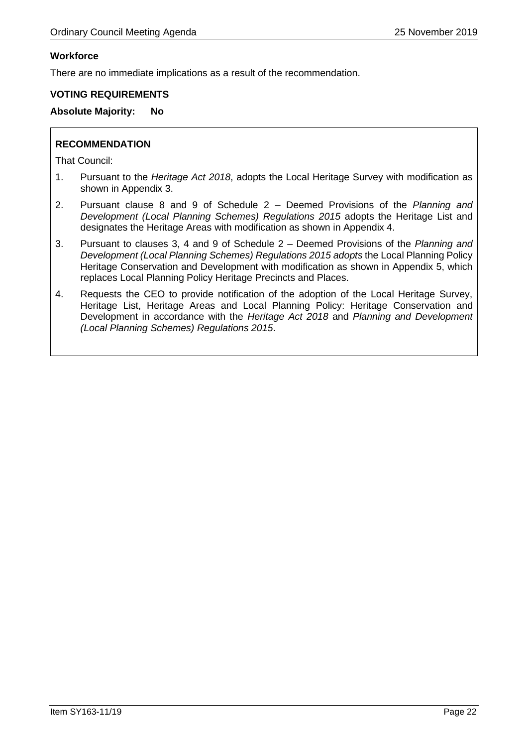### **Workforce**

There are no immediate implications as a result of the recommendation.

### **VOTING REQUIREMENTS**

### **Absolute Majority: No**

### **RECOMMENDATION**

That Council:

- 1. Pursuant to the *Heritage Act 2018*, adopts the Local Heritage Survey with modification as shown in Appendix 3.
- 2. Pursuant clause 8 and 9 of Schedule 2 Deemed Provisions of the *Planning and Development (Local Planning Schemes) Regulations 2015* adopts the Heritage List and designates the Heritage Areas with modification as shown in Appendix 4.
- 3. Pursuant to clauses 3, 4 and 9 of Schedule 2 Deemed Provisions of the *Planning and Development (Local Planning Schemes) Regulations 2015 adopts* the Local Planning Policy Heritage Conservation and Development with modification as shown in Appendix 5, which replaces Local Planning Policy Heritage Precincts and Places.
- 4. Requests the CEO to provide notification of the adoption of the Local Heritage Survey, Heritage List, Heritage Areas and Local Planning Policy: Heritage Conservation and Development in accordance with the *Heritage Act 2018* and *Planning and Development (Local Planning Schemes) Regulations 2015*.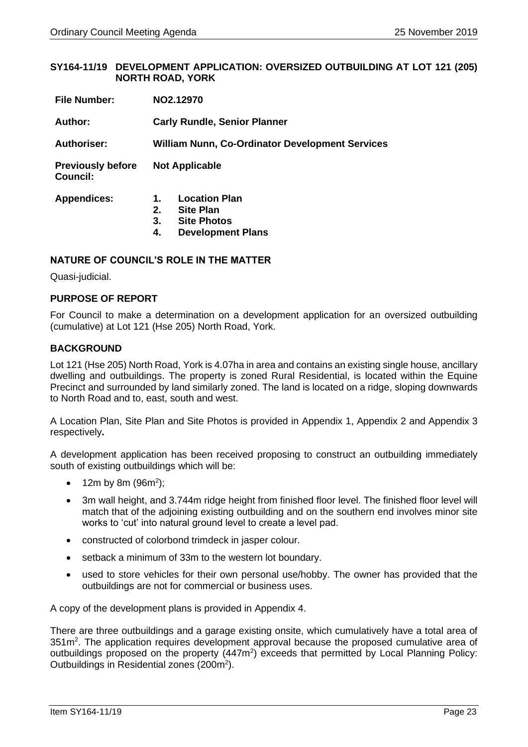### <span id="page-22-0"></span>**SY164-11/19 DEVELOPMENT APPLICATION: OVERSIZED OUTBUILDING AT LOT 121 (205) NORTH ROAD, YORK**

| <b>File Number:</b>                         | NO2.12970                                                                                                          |  |  |
|---------------------------------------------|--------------------------------------------------------------------------------------------------------------------|--|--|
| Author:                                     | <b>Carly Rundle, Senior Planner</b>                                                                                |  |  |
| <b>Authoriser:</b>                          | <b>William Nunn, Co-Ordinator Development Services</b>                                                             |  |  |
| <b>Previously before</b><br><b>Council:</b> | <b>Not Applicable</b>                                                                                              |  |  |
| <b>Appendices:</b>                          | <b>Location Plan</b><br>1.<br>2.<br><b>Site Plan</b><br>3.<br><b>Site Photos</b><br><b>Development Plans</b><br>4. |  |  |

### **NATURE OF COUNCIL'S ROLE IN THE MATTER**

Quasi-judicial.

### **PURPOSE OF REPORT**

For Council to make a determination on a development application for an oversized outbuilding (cumulative) at Lot 121 (Hse 205) North Road, York.

### **BACKGROUND**

Lot 121 (Hse 205) North Road, York is 4.07ha in area and contains an existing single house, ancillary dwelling and outbuildings. The property is zoned Rural Residential, is located within the Equine Precinct and surrounded by land similarly zoned. The land is located on a ridge, sloping downwards to North Road and to, east, south and west.

A Location Plan, Site Plan and Site Photos is provided in Appendix 1, Appendix 2 and Appendix 3 respectively**.**

A development application has been received proposing to construct an outbuilding immediately south of existing outbuildings which will be:

- 12m by 8m  $(96m^2)$ ;
- 3m wall height, and 3.744m ridge height from finished floor level. The finished floor level will match that of the adjoining existing outbuilding and on the southern end involves minor site works to 'cut' into natural ground level to create a level pad.
- constructed of colorbond trimdeck in jasper colour.
- setback a minimum of 33m to the western lot boundary.
- used to store vehicles for their own personal use/hobby. The owner has provided that the outbuildings are not for commercial or business uses.

A copy of the development plans is provided in Appendix 4.

There are three outbuildings and a garage existing onsite, which cumulatively have a total area of 351m<sup>2</sup>. The application requires development approval because the proposed cumulative area of outbuildings proposed on the property (447m<sup>2</sup>) exceeds that permitted by Local Planning Policy: Outbuildings in Residential zones (200m<sup>2</sup>).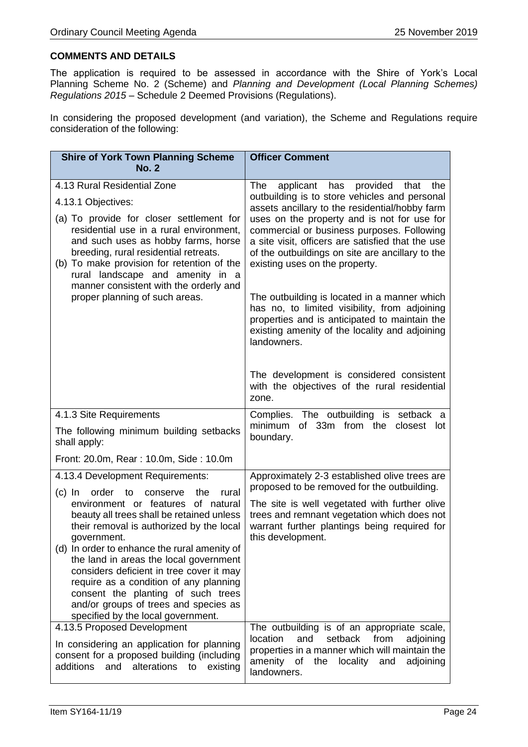### **COMMENTS AND DETAILS**

The application is required to be assessed in accordance with the Shire of York's Local Planning Scheme No. 2 (Scheme) and *Planning and Development (Local Planning Schemes) Regulations 2015* – Schedule 2 Deemed Provisions (Regulations).

In considering the proposed development (and variation), the Scheme and Regulations require consideration of the following:

| <b>Shire of York Town Planning Scheme</b><br><b>No. 2</b>                                                                                                                                                                                                                                                                                                                                                                                                                                                                                                                 | <b>Officer Comment</b>                                                                                                                                                                                                                                                                                                                                                                                                                                                                                                                                                                                        |
|---------------------------------------------------------------------------------------------------------------------------------------------------------------------------------------------------------------------------------------------------------------------------------------------------------------------------------------------------------------------------------------------------------------------------------------------------------------------------------------------------------------------------------------------------------------------------|---------------------------------------------------------------------------------------------------------------------------------------------------------------------------------------------------------------------------------------------------------------------------------------------------------------------------------------------------------------------------------------------------------------------------------------------------------------------------------------------------------------------------------------------------------------------------------------------------------------|
| 4.13 Rural Residential Zone<br>4.13.1 Objectives:<br>(a) To provide for closer settlement for<br>residential use in a rural environment,<br>and such uses as hobby farms, horse<br>breeding, rural residential retreats.<br>(b) To make provision for retention of the<br>rural landscape and amenity in a<br>manner consistent with the orderly and<br>proper planning of such areas.                                                                                                                                                                                    | The<br>applicant<br>has provided<br>that<br>the<br>outbuilding is to store vehicles and personal<br>assets ancillary to the residential/hobby farm<br>uses on the property and is not for use for<br>commercial or business purposes. Following<br>a site visit, officers are satisfied that the use<br>of the outbuildings on site are ancillary to the<br>existing uses on the property.<br>The outbuilding is located in a manner which<br>has no, to limited visibility, from adjoining<br>properties and is anticipated to maintain the<br>existing amenity of the locality and adjoining<br>landowners. |
|                                                                                                                                                                                                                                                                                                                                                                                                                                                                                                                                                                           | The development is considered consistent<br>with the objectives of the rural residential<br>zone.                                                                                                                                                                                                                                                                                                                                                                                                                                                                                                             |
| 4.1.3 Site Requirements<br>The following minimum building setbacks<br>shall apply:<br>Front: 20.0m, Rear: 10.0m, Side: 10.0m                                                                                                                                                                                                                                                                                                                                                                                                                                              | Complies. The outbuilding is setback a<br>of 33m from the<br>minimum<br>closest lot<br>boundary.                                                                                                                                                                                                                                                                                                                                                                                                                                                                                                              |
| 4.13.4 Development Requirements:<br>$(c)$ In<br>the<br>order<br>conserve<br>rural<br>to<br>environment or features of natural<br>beauty all trees shall be retained unless<br>their removal is authorized by the local<br>government.<br>(d) In order to enhance the rural amenity of<br>the land in areas the local government<br>considers deficient in tree cover it may<br>require as a condition of any planning<br>consent the planting of such trees<br>and/or groups of trees and species as<br>specified by the local government.<br>4.13.5 Proposed Development | Approximately 2-3 established olive trees are<br>proposed to be removed for the outbuilding.<br>The site is well vegetated with further olive<br>trees and remnant vegetation which does not<br>warrant further plantings being required for<br>this development.<br>The outbuilding is of an appropriate scale,                                                                                                                                                                                                                                                                                              |
| In considering an application for planning<br>consent for a proposed building (including<br>additions<br>alterations<br>existing<br>and<br>to                                                                                                                                                                                                                                                                                                                                                                                                                             | location<br>and<br>setback<br>from<br>adjoining<br>properties in a manner which will maintain the<br>amenity<br>of<br>the<br>locality<br>adjoining<br>and<br>landowners.                                                                                                                                                                                                                                                                                                                                                                                                                                      |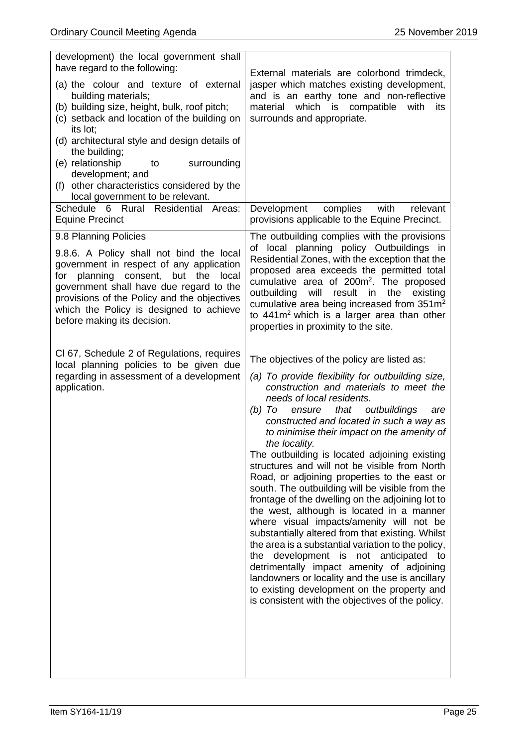| development) the local government shall<br>have regard to the following:                                                                                                                                                                                                                                                    |                                                                                                                                                                                                                                                                                                                                                                                                                                                                                                                                                                                                                                                                                                                                                                                                                                                                                                                                                                                                                                                 |
|-----------------------------------------------------------------------------------------------------------------------------------------------------------------------------------------------------------------------------------------------------------------------------------------------------------------------------|-------------------------------------------------------------------------------------------------------------------------------------------------------------------------------------------------------------------------------------------------------------------------------------------------------------------------------------------------------------------------------------------------------------------------------------------------------------------------------------------------------------------------------------------------------------------------------------------------------------------------------------------------------------------------------------------------------------------------------------------------------------------------------------------------------------------------------------------------------------------------------------------------------------------------------------------------------------------------------------------------------------------------------------------------|
| (a) the colour and texture of external<br>building materials;<br>(b) building size, height, bulk, roof pitch;<br>(c) setback and location of the building on                                                                                                                                                                | External materials are colorbond trimdeck,<br>jasper which matches existing development,<br>and is an earthy tone and non-reflective<br>material which is compatible<br>with<br>its<br>surrounds and appropriate.                                                                                                                                                                                                                                                                                                                                                                                                                                                                                                                                                                                                                                                                                                                                                                                                                               |
| its lot;<br>(d) architectural style and design details of<br>the building;                                                                                                                                                                                                                                                  |                                                                                                                                                                                                                                                                                                                                                                                                                                                                                                                                                                                                                                                                                                                                                                                                                                                                                                                                                                                                                                                 |
| (e) relationship<br>surrounding<br>to<br>development; and                                                                                                                                                                                                                                                                   |                                                                                                                                                                                                                                                                                                                                                                                                                                                                                                                                                                                                                                                                                                                                                                                                                                                                                                                                                                                                                                                 |
| (f) other characteristics considered by the<br>local government to be relevant.                                                                                                                                                                                                                                             |                                                                                                                                                                                                                                                                                                                                                                                                                                                                                                                                                                                                                                                                                                                                                                                                                                                                                                                                                                                                                                                 |
| Schedule 6 Rural Residential<br>Areas:<br><b>Equine Precinct</b>                                                                                                                                                                                                                                                            | Development<br>complies<br>with<br>relevant<br>provisions applicable to the Equine Precinct.                                                                                                                                                                                                                                                                                                                                                                                                                                                                                                                                                                                                                                                                                                                                                                                                                                                                                                                                                    |
| 9.8 Planning Policies<br>9.8.6. A Policy shall not bind the local<br>government in respect of any application<br>for planning consent, but the<br>local<br>government shall have due regard to the<br>provisions of the Policy and the objectives<br>which the Policy is designed to achieve<br>before making its decision. | The outbuilding complies with the provisions<br>of local planning policy Outbuildings in<br>Residential Zones, with the exception that the<br>proposed area exceeds the permitted total<br>cumulative area of 200m <sup>2</sup> . The proposed<br>outbuilding<br>will<br>result<br>the<br>in<br>existing<br>cumulative area being increased from 351m <sup>2</sup><br>to $441m2$ which is a larger area than other<br>properties in proximity to the site.                                                                                                                                                                                                                                                                                                                                                                                                                                                                                                                                                                                      |
| CI 67, Schedule 2 of Regulations, requires<br>local planning policies to be given due<br>regarding in assessment of a development<br>application.                                                                                                                                                                           | The objectives of the policy are listed as:<br>(a) To provide flexibility for outbuilding size,<br>construction and materials to meet the<br>needs of local residents.<br>that<br>(b) To<br>ensure<br>outbuildings<br>are<br>constructed and located in such a way as<br>to minimise their impact on the amenity of<br>the locality.<br>The outbuilding is located adjoining existing<br>structures and will not be visible from North<br>Road, or adjoining properties to the east or<br>south. The outbuilding will be visible from the<br>frontage of the dwelling on the adjoining lot to<br>the west, although is located in a manner<br>where visual impacts/amenity will not be<br>substantially altered from that existing. Whilst<br>the area is a substantial variation to the policy,<br>the development is not anticipated<br>to<br>detrimentally impact amenity of adjoining<br>landowners or locality and the use is ancillary<br>to existing development on the property and<br>is consistent with the objectives of the policy. |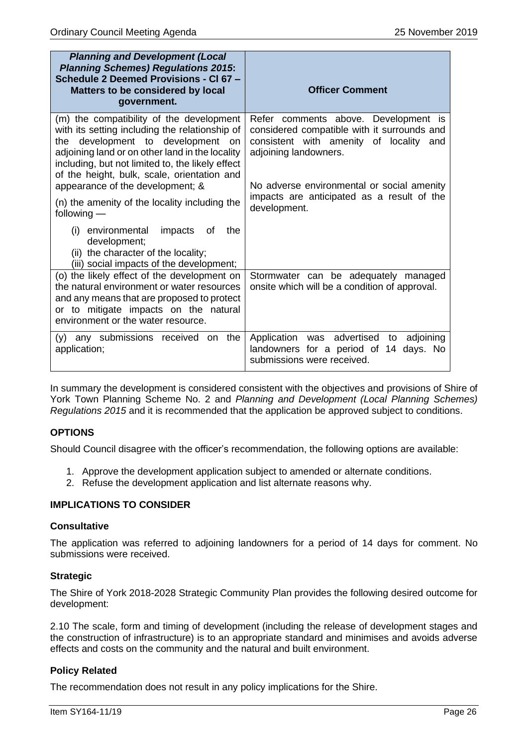| <b>Planning and Development (Local</b><br><b>Planning Schemes) Regulations 2015:</b><br>Schedule 2 Deemed Provisions - CI 67 -<br>Matters to be considered by local<br>government.                                                                                                                                        | <b>Officer Comment</b>                                                                                                                                                                                |
|---------------------------------------------------------------------------------------------------------------------------------------------------------------------------------------------------------------------------------------------------------------------------------------------------------------------------|-------------------------------------------------------------------------------------------------------------------------------------------------------------------------------------------------------|
| (m) the compatibility of the development<br>with its setting including the relationship of<br>the development to development on<br>adjoining land or on other land in the locality<br>including, but not limited to, the likely effect<br>of the height, bulk, scale, orientation and<br>appearance of the development; & | Refer comments above. Development is<br>considered compatible with it surrounds and<br>consistent with amenity of locality and<br>adjoining landowners.<br>No adverse environmental or social amenity |
| (n) the amenity of the locality including the<br>following $-$<br>impacts<br>(i) environmental<br>the<br>οf<br>development;<br>(ii) the character of the locality;                                                                                                                                                        | impacts are anticipated as a result of the<br>development.                                                                                                                                            |
| (iii) social impacts of the development;<br>(o) the likely effect of the development on                                                                                                                                                                                                                                   | Stormwater can be adequately managed                                                                                                                                                                  |
| the natural environment or water resources<br>and any means that are proposed to protect<br>or to mitigate impacts on the natural<br>environment or the water resource.                                                                                                                                                   | onsite which will be a condition of approval.                                                                                                                                                         |
| any submissions received<br>on the<br>(V)<br>application;                                                                                                                                                                                                                                                                 | Application was advertised to<br>adjoining<br>landowners for a period of 14 days. No<br>submissions were received.                                                                                    |

In summary the development is considered consistent with the objectives and provisions of Shire of York Town Planning Scheme No. 2 and *Planning and Development (Local Planning Schemes) Regulations 2015* and it is recommended that the application be approved subject to conditions.

### **OPTIONS**

Should Council disagree with the officer's recommendation, the following options are available:

- 1. Approve the development application subject to amended or alternate conditions.
- 2. Refuse the development application and list alternate reasons why.

### **IMPLICATIONS TO CONSIDER**

#### **Consultative**

The application was referred to adjoining landowners for a period of 14 days for comment. No submissions were received.

### **Strategic**

The Shire of York 2018-2028 Strategic Community Plan provides the following desired outcome for development:

2.10 The scale, form and timing of development (including the release of development stages and the construction of infrastructure) is to an appropriate standard and minimises and avoids adverse effects and costs on the community and the natural and built environment.

### **Policy Related**

The recommendation does not result in any policy implications for the Shire.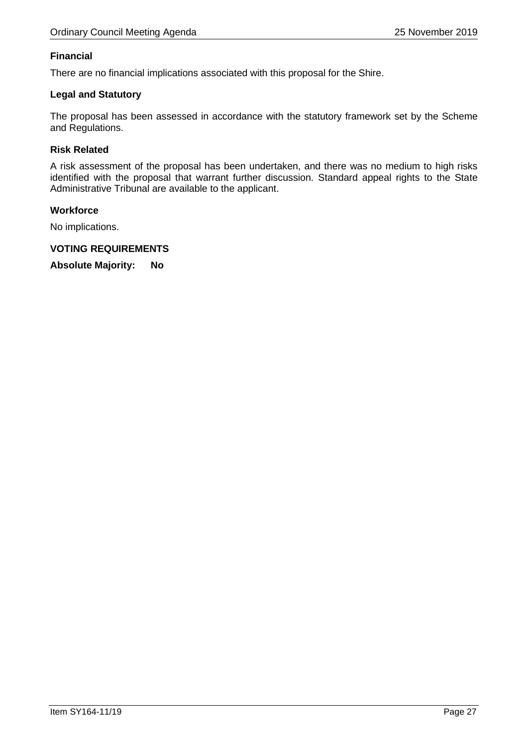### **Financial**

There are no financial implications associated with this proposal for the Shire.

### **Legal and Statutory**

The proposal has been assessed in accordance with the statutory framework set by the Scheme and Regulations.

### **Risk Related**

A risk assessment of the proposal has been undertaken, and there was no medium to high risks identified with the proposal that warrant further discussion. Standard appeal rights to the State Administrative Tribunal are available to the applicant.

### **Workforce**

No implications.

**VOTING REQUIREMENTS**

**Absolute Majority: No**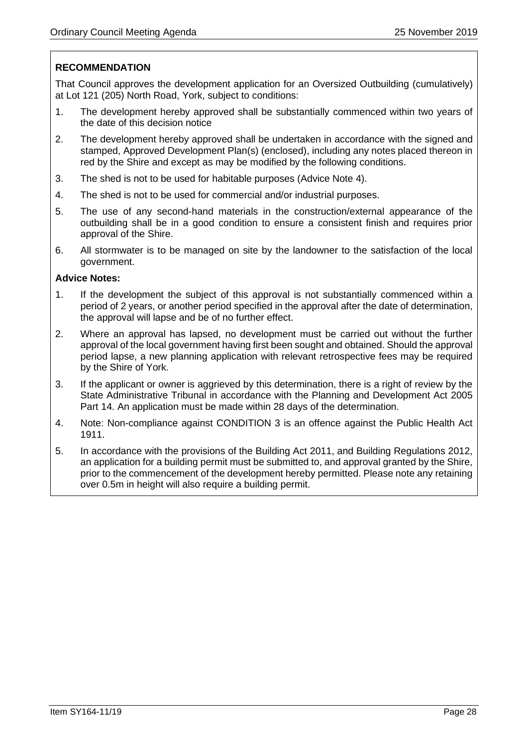### **RECOMMENDATION**

That Council approves the development application for an Oversized Outbuilding (cumulatively) at Lot 121 (205) North Road, York, subject to conditions:

- 1. The development hereby approved shall be substantially commenced within two years of the date of this decision notice
- 2. The development hereby approved shall be undertaken in accordance with the signed and stamped, Approved Development Plan(s) (enclosed), including any notes placed thereon in red by the Shire and except as may be modified by the following conditions.
- 3. The shed is not to be used for habitable purposes (Advice Note 4).
- 4. The shed is not to be used for commercial and/or industrial purposes.
- 5. The use of any second-hand materials in the construction/external appearance of the outbuilding shall be in a good condition to ensure a consistent finish and requires prior approval of the Shire.
- 6. All stormwater is to be managed on site by the landowner to the satisfaction of the local government.

### **Advice Notes:**

- 1. If the development the subject of this approval is not substantially commenced within a period of 2 years, or another period specified in the approval after the date of determination, the approval will lapse and be of no further effect.
- 2. Where an approval has lapsed, no development must be carried out without the further approval of the local government having first been sought and obtained. Should the approval period lapse, a new planning application with relevant retrospective fees may be required by the Shire of York.
- 3. If the applicant or owner is aggrieved by this determination, there is a right of review by the State Administrative Tribunal in accordance with the Planning and Development Act 2005 Part 14. An application must be made within 28 days of the determination.
- 4. Note: Non-compliance against CONDITION 3 is an offence against the Public Health Act 1911.
- 5. In accordance with the provisions of the Building Act 2011, and Building Regulations 2012, an application for a building permit must be submitted to, and approval granted by the Shire, prior to the commencement of the development hereby permitted. Please note any retaining over 0.5m in height will also require a building permit.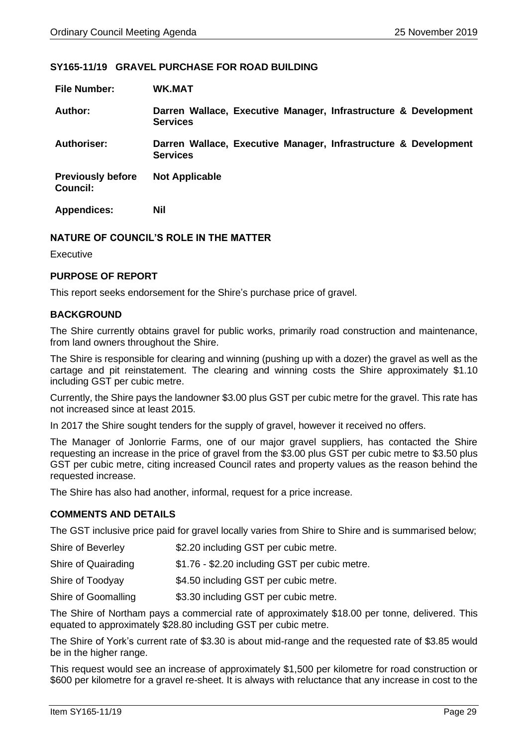### <span id="page-28-0"></span>**SY165-11/19 GRAVEL PURCHASE FOR ROAD BUILDING**

| <b>File Number:</b>                         | <b>WK.MAT</b>                                                                      |
|---------------------------------------------|------------------------------------------------------------------------------------|
| Author:                                     | Darren Wallace, Executive Manager, Infrastructure & Development<br><b>Services</b> |
| <b>Authoriser:</b>                          | Darren Wallace, Executive Manager, Infrastructure & Development<br><b>Services</b> |
| <b>Previously before</b><br><b>Council:</b> | <b>Not Applicable</b>                                                              |
| <b>Appendices:</b>                          | Nil                                                                                |

### **NATURE OF COUNCIL'S ROLE IN THE MATTER**

Executive

### **PURPOSE OF REPORT**

This report seeks endorsement for the Shire's purchase price of gravel.

### **BACKGROUND**

The Shire currently obtains gravel for public works, primarily road construction and maintenance, from land owners throughout the Shire.

The Shire is responsible for clearing and winning (pushing up with a dozer) the gravel as well as the cartage and pit reinstatement. The clearing and winning costs the Shire approximately \$1.10 including GST per cubic metre.

Currently, the Shire pays the landowner \$3.00 plus GST per cubic metre for the gravel. This rate has not increased since at least 2015.

In 2017 the Shire sought tenders for the supply of gravel, however it received no offers.

The Manager of Jonlorrie Farms, one of our major gravel suppliers, has contacted the Shire requesting an increase in the price of gravel from the \$3.00 plus GST per cubic metre to \$3.50 plus GST per cubic metre, citing increased Council rates and property values as the reason behind the requested increase.

The Shire has also had another, informal, request for a price increase.

#### **COMMENTS AND DETAILS**

The GST inclusive price paid for gravel locally varies from Shire to Shire and is summarised below;

| Shire of Beverley | \$2.20 including GST per cubic metre. |
|-------------------|---------------------------------------|
|-------------------|---------------------------------------|

Shire of Quairading \$1.76 - \$2.20 including GST per cubic metre.

Shire of Toodyay \$4.50 including GST per cubic metre.

Shire of Goomalling \$3.30 including GST per cubic metre.

The Shire of Northam pays a commercial rate of approximately \$18.00 per tonne, delivered. This equated to approximately \$28.80 including GST per cubic metre.

The Shire of York's current rate of \$3.30 is about mid-range and the requested rate of \$3.85 would be in the higher range.

This request would see an increase of approximately \$1,500 per kilometre for road construction or \$600 per kilometre for a gravel re-sheet. It is always with reluctance that any increase in cost to the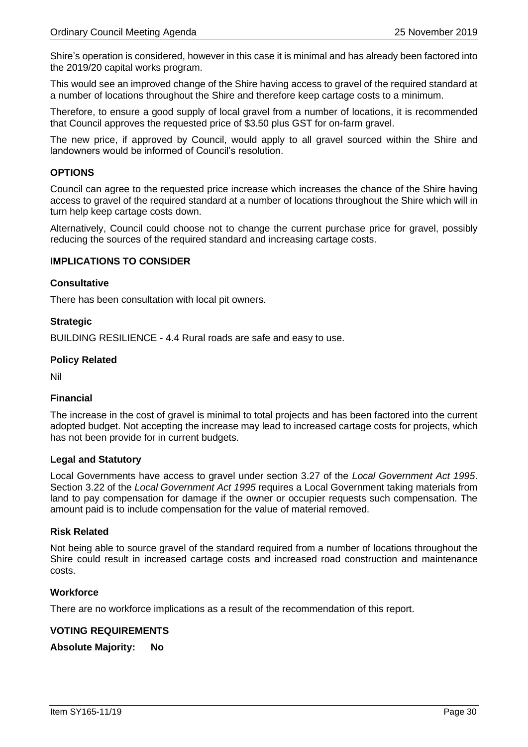Shire's operation is considered, however in this case it is minimal and has already been factored into the 2019/20 capital works program.

This would see an improved change of the Shire having access to gravel of the required standard at a number of locations throughout the Shire and therefore keep cartage costs to a minimum.

Therefore, to ensure a good supply of local gravel from a number of locations, it is recommended that Council approves the requested price of \$3.50 plus GST for on-farm gravel.

The new price, if approved by Council, would apply to all gravel sourced within the Shire and landowners would be informed of Council's resolution.

### **OPTIONS**

Council can agree to the requested price increase which increases the chance of the Shire having access to gravel of the required standard at a number of locations throughout the Shire which will in turn help keep cartage costs down.

Alternatively, Council could choose not to change the current purchase price for gravel, possibly reducing the sources of the required standard and increasing cartage costs.

### **IMPLICATIONS TO CONSIDER**

### **Consultative**

There has been consultation with local pit owners.

### **Strategic**

BUILDING RESILIENCE - 4.4 Rural roads are safe and easy to use.

### **Policy Related**

Nil

### **Financial**

The increase in the cost of gravel is minimal to total projects and has been factored into the current adopted budget. Not accepting the increase may lead to increased cartage costs for projects, which has not been provide for in current budgets.

#### **Legal and Statutory**

Local Governments have access to gravel under section 3.27 of the *Local Government Act 1995*. Section 3.22 of the *Local Government Act 1995* requires a Local Government taking materials from land to pay compensation for damage if the owner or occupier requests such compensation. The amount paid is to include compensation for the value of material removed.

#### **Risk Related**

Not being able to source gravel of the standard required from a number of locations throughout the Shire could result in increased cartage costs and increased road construction and maintenance costs.

#### **Workforce**

There are no workforce implications as a result of the recommendation of this report.

#### **VOTING REQUIREMENTS**

**Absolute Majority: No**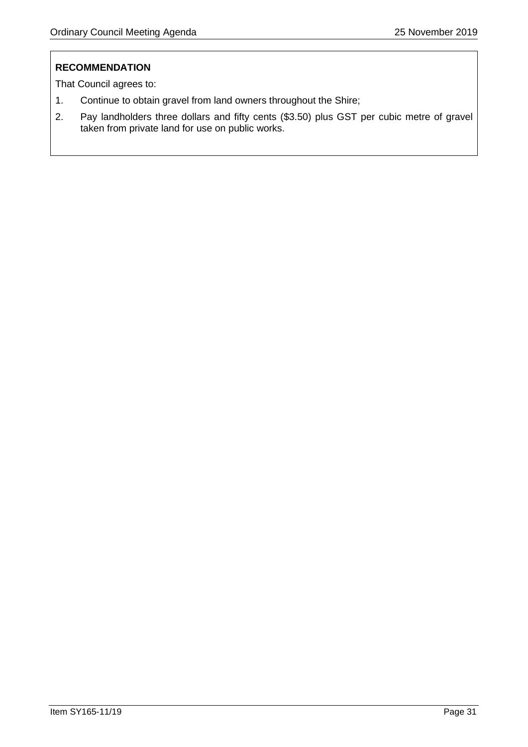### **RECOMMENDATION**

That Council agrees to:

- 1. Continue to obtain gravel from land owners throughout the Shire;
- 2. Pay landholders three dollars and fifty cents (\$3.50) plus GST per cubic metre of gravel taken from private land for use on public works.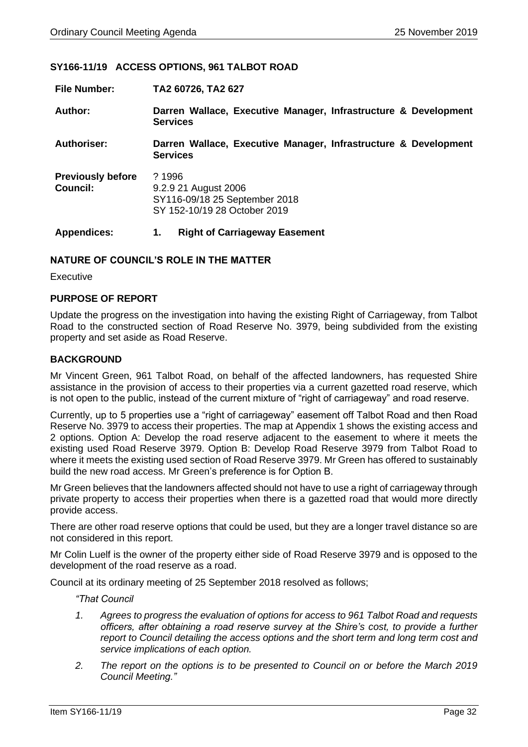### <span id="page-31-0"></span>**SY166-11/19 ACCESS OPTIONS, 961 TALBOT ROAD**

| <b>File Number:</b>                  | TA2 60726, TA2 627                                                                              |
|--------------------------------------|-------------------------------------------------------------------------------------------------|
| Author:                              | Darren Wallace, Executive Manager, Infrastructure & Development<br><b>Services</b>              |
| <b>Authoriser:</b>                   | Darren Wallace, Executive Manager, Infrastructure & Development<br><b>Services</b>              |
| <b>Previously before</b><br>Council: | ? 1996<br>9.2.9 21 August 2006<br>SY116-09/18 25 September 2018<br>SY 152-10/19 28 October 2019 |
| <b>Appendices:</b>                   | <b>Right of Carriageway Easement</b><br>1.                                                      |

### **NATURE OF COUNCIL'S ROLE IN THE MATTER**

Executive

### **PURPOSE OF REPORT**

Update the progress on the investigation into having the existing Right of Carriageway, from Talbot Road to the constructed section of Road Reserve No. 3979, being subdivided from the existing property and set aside as Road Reserve.

### **BACKGROUND**

Mr Vincent Green, 961 Talbot Road, on behalf of the affected landowners, has requested Shire assistance in the provision of access to their properties via a current gazetted road reserve, which is not open to the public, instead of the current mixture of "right of carriageway" and road reserve.

Currently, up to 5 properties use a "right of carriageway" easement off Talbot Road and then Road Reserve No. 3979 to access their properties. The map at Appendix 1 shows the existing access and 2 options. Option A: Develop the road reserve adjacent to the easement to where it meets the existing used Road Reserve 3979. Option B: Develop Road Reserve 3979 from Talbot Road to where it meets the existing used section of Road Reserve 3979. Mr Green has offered to sustainably build the new road access. Mr Green's preference is for Option B.

Mr Green believes that the landowners affected should not have to use a right of carriageway through private property to access their properties when there is a gazetted road that would more directly provide access.

There are other road reserve options that could be used, but they are a longer travel distance so are not considered in this report.

Mr Colin Luelf is the owner of the property either side of Road Reserve 3979 and is opposed to the development of the road reserve as a road.

Council at its ordinary meeting of 25 September 2018 resolved as follows;

*"That Council*

- *1. Agrees to progress the evaluation of options for access to 961 Talbot Road and requests officers, after obtaining a road reserve survey at the Shire's cost, to provide a further report to Council detailing the access options and the short term and long term cost and service implications of each option.*
- *2. The report on the options is to be presented to Council on or before the March 2019 Council Meeting."*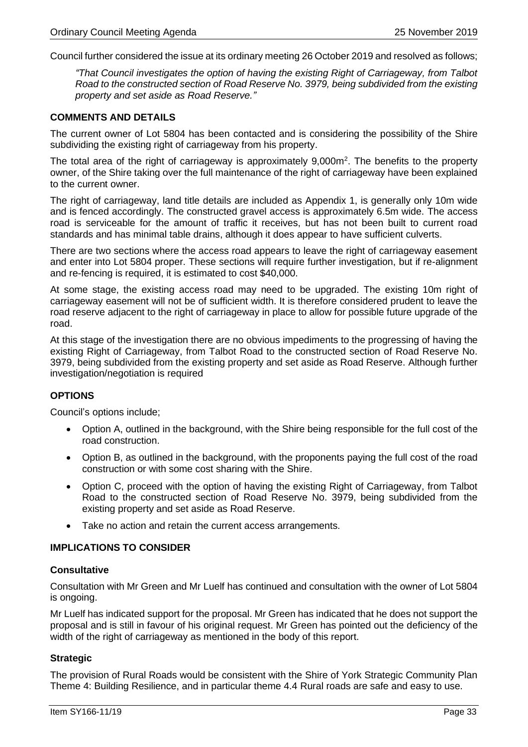Council further considered the issue at its ordinary meeting 26 October 2019 and resolved as follows;

*"That Council investigates the option of having the existing Right of Carriageway, from Talbot Road to the constructed section of Road Reserve No. 3979, being subdivided from the existing property and set aside as Road Reserve."*

### **COMMENTS AND DETAILS**

The current owner of Lot 5804 has been contacted and is considering the possibility of the Shire subdividing the existing right of carriageway from his property.

The total area of the right of carriageway is approximately  $9,000m^2$ . The benefits to the property owner, of the Shire taking over the full maintenance of the right of carriageway have been explained to the current owner.

The right of carriageway, land title details are included as Appendix 1, is generally only 10m wide and is fenced accordingly. The constructed gravel access is approximately 6.5m wide. The access road is serviceable for the amount of traffic it receives, but has not been built to current road standards and has minimal table drains, although it does appear to have sufficient culverts.

There are two sections where the access road appears to leave the right of carriageway easement and enter into Lot 5804 proper. These sections will require further investigation, but if re-alignment and re-fencing is required, it is estimated to cost \$40,000.

At some stage, the existing access road may need to be upgraded. The existing 10m right of carriageway easement will not be of sufficient width. It is therefore considered prudent to leave the road reserve adjacent to the right of carriageway in place to allow for possible future upgrade of the road.

At this stage of the investigation there are no obvious impediments to the progressing of having the existing Right of Carriageway, from Talbot Road to the constructed section of Road Reserve No. 3979, being subdivided from the existing property and set aside as Road Reserve. Although further investigation/negotiation is required

### **OPTIONS**

Council's options include;

- Option A, outlined in the background, with the Shire being responsible for the full cost of the road construction.
- Option B, as outlined in the background, with the proponents paying the full cost of the road construction or with some cost sharing with the Shire.
- Option C, proceed with the option of having the existing Right of Carriageway, from Talbot Road to the constructed section of Road Reserve No. 3979, being subdivided from the existing property and set aside as Road Reserve.
- Take no action and retain the current access arrangements.

### **IMPLICATIONS TO CONSIDER**

#### **Consultative**

Consultation with Mr Green and Mr Luelf has continued and consultation with the owner of Lot 5804 is ongoing.

Mr Luelf has indicated support for the proposal. Mr Green has indicated that he does not support the proposal and is still in favour of his original request. Mr Green has pointed out the deficiency of the width of the right of carriageway as mentioned in the body of this report.

### **Strategic**

The provision of Rural Roads would be consistent with the Shire of York Strategic Community Plan Theme 4: Building Resilience, and in particular theme 4.4 Rural roads are safe and easy to use.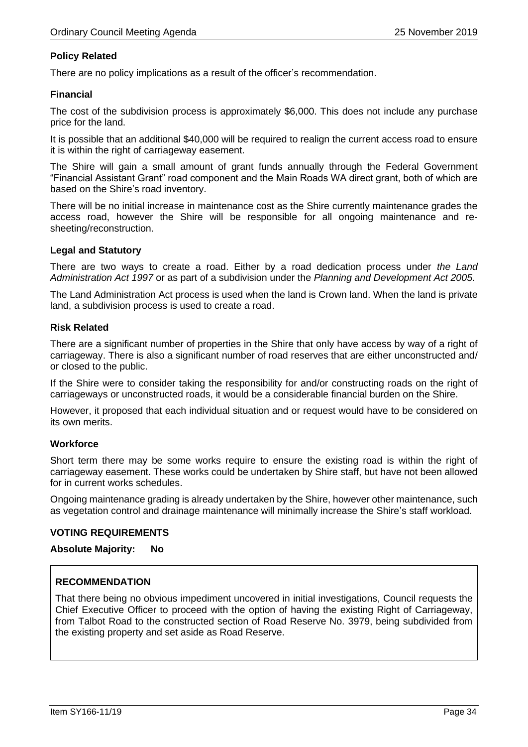### **Policy Related**

There are no policy implications as a result of the officer's recommendation.

### **Financial**

The cost of the subdivision process is approximately \$6,000. This does not include any purchase price for the land.

It is possible that an additional \$40,000 will be required to realign the current access road to ensure it is within the right of carriageway easement.

The Shire will gain a small amount of grant funds annually through the Federal Government "Financial Assistant Grant" road component and the Main Roads WA direct grant, both of which are based on the Shire's road inventory.

There will be no initial increase in maintenance cost as the Shire currently maintenance grades the access road, however the Shire will be responsible for all ongoing maintenance and resheeting/reconstruction.

### **Legal and Statutory**

There are two ways to create a road. Either by a road dedication process under *the Land Administration Act 1997* or as part of a subdivision under the *Planning and Development Act 2005*.

The Land Administration Act process is used when the land is Crown land. When the land is private land, a subdivision process is used to create a road.

### **Risk Related**

There are a significant number of properties in the Shire that only have access by way of a right of carriageway. There is also a significant number of road reserves that are either unconstructed and/ or closed to the public.

If the Shire were to consider taking the responsibility for and/or constructing roads on the right of carriageways or unconstructed roads, it would be a considerable financial burden on the Shire.

However, it proposed that each individual situation and or request would have to be considered on its own merits.

### **Workforce**

Short term there may be some works require to ensure the existing road is within the right of carriageway easement. These works could be undertaken by Shire staff, but have not been allowed for in current works schedules.

Ongoing maintenance grading is already undertaken by the Shire, however other maintenance, such as vegetation control and drainage maintenance will minimally increase the Shire's staff workload.

### **VOTING REQUIREMENTS**

### **Absolute Majority: No**

### **RECOMMENDATION**

That there being no obvious impediment uncovered in initial investigations, Council requests the Chief Executive Officer to proceed with the option of having the existing Right of Carriageway, from Talbot Road to the constructed section of Road Reserve No. 3979, being subdivided from the existing property and set aside as Road Reserve.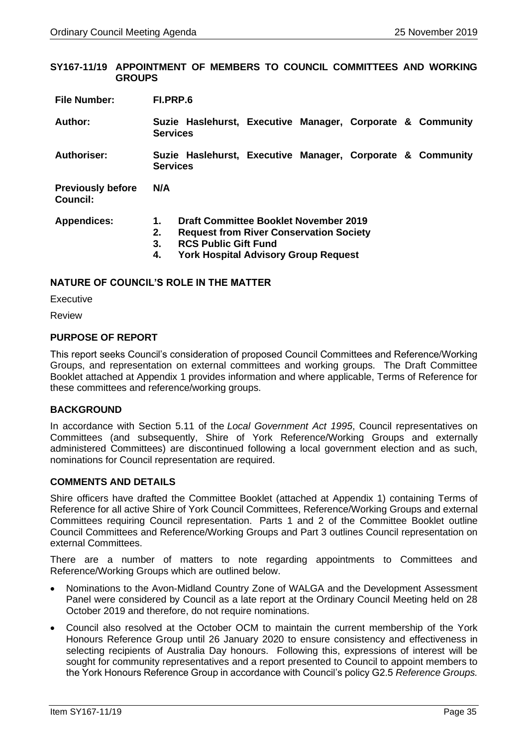#### <span id="page-34-0"></span>**SY167-11/19 APPOINTMENT OF MEMBERS TO COUNCIL COMMITTEES AND WORKING GROUPS**

**Author: Suzie Haslehurst, Executive Manager, Corporate & Community Services**

**Authoriser: Suzie Haslehurst, Executive Manager, Corporate & Community Services**

**Previously before Council: N/A**

| <b>Appendices:</b> | <b>Draft Committee Booklet November 2019</b> |
|--------------------|----------------------------------------------|
|--------------------|----------------------------------------------|

- **2. Request from River Conservation Society** 
	- **3. RCS Public Gift Fund**
	- **4. York Hospital Advisory Group Request**

### **NATURE OF COUNCIL'S ROLE IN THE MATTER**

**Executive** 

Review

### **PURPOSE OF REPORT**

This report seeks Council's consideration of proposed Council Committees and Reference/Working Groups, and representation on external committees and working groups. The Draft Committee Booklet attached at Appendix 1 provides information and where applicable, Terms of Reference for these committees and reference/working groups.

### **BACKGROUND**

In accordance with Section 5.11 of the *Local Government Act 1995*, Council representatives on Committees (and subsequently, Shire of York Reference/Working Groups and externally administered Committees) are discontinued following a local government election and as such, nominations for Council representation are required.

### **COMMENTS AND DETAILS**

Shire officers have drafted the Committee Booklet (attached at Appendix 1) containing Terms of Reference for all active Shire of York Council Committees, Reference/Working Groups and external Committees requiring Council representation. Parts 1 and 2 of the Committee Booklet outline Council Committees and Reference/Working Groups and Part 3 outlines Council representation on external Committees.

There are a number of matters to note regarding appointments to Committees and Reference/Working Groups which are outlined below.

- Nominations to the Avon-Midland Country Zone of WALGA and the Development Assessment Panel were considered by Council as a late report at the Ordinary Council Meeting held on 28 October 2019 and therefore, do not require nominations.
- Council also resolved at the October OCM to maintain the current membership of the York Honours Reference Group until 26 January 2020 to ensure consistency and effectiveness in selecting recipients of Australia Day honours. Following this, expressions of interest will be sought for community representatives and a report presented to Council to appoint members to the York Honours Reference Group in accordance with Council's policy G2.5 *Reference Groups.*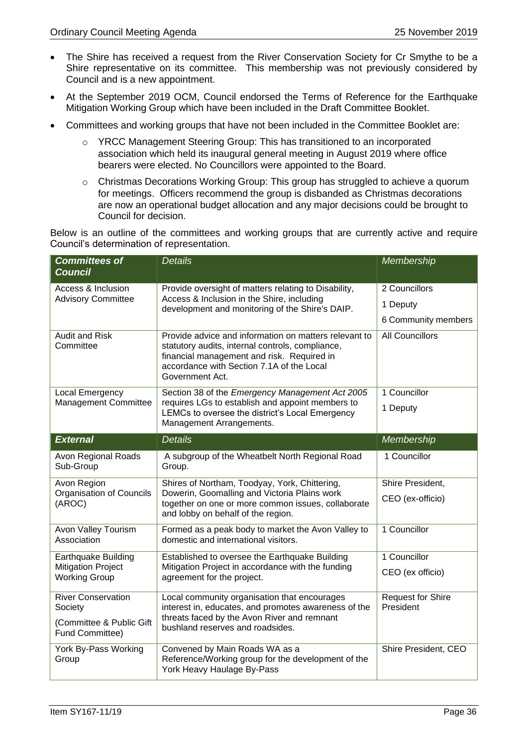- The Shire has received a request from the River Conservation Society for Cr Smythe to be a Shire representative on its committee. This membership was not previously considered by Council and is a new appointment.
- At the September 2019 OCM, Council endorsed the Terms of Reference for the Earthquake Mitigation Working Group which have been included in the Draft Committee Booklet.
- Committees and working groups that have not been included in the Committee Booklet are:
	- o YRCC Management Steering Group: This has transitioned to an incorporated association which held its inaugural general meeting in August 2019 where office bearers were elected. No Councillors were appointed to the Board.
	- o Christmas Decorations Working Group: This group has struggled to achieve a quorum for meetings. Officers recommend the group is disbanded as Christmas decorations are now an operational budget allocation and any major decisions could be brought to Council for decision.

Below is an outline of the committees and working groups that are currently active and require Council's determination of representation.

| <b>Committees of</b><br><b>Council</b>      | <b>Details</b>                                                                                                                                                                                                          | Membership                            |
|---------------------------------------------|-------------------------------------------------------------------------------------------------------------------------------------------------------------------------------------------------------------------------|---------------------------------------|
| Access & Inclusion                          | Provide oversight of matters relating to Disability,<br>Access & Inclusion in the Shire, including<br>development and monitoring of the Shire's DAIP.                                                                   | 2 Councillors                         |
| <b>Advisory Committee</b>                   |                                                                                                                                                                                                                         | 1 Deputy                              |
|                                             |                                                                                                                                                                                                                         | 6 Community members                   |
| <b>Audit and Risk</b><br>Committee          | Provide advice and information on matters relevant to<br>statutory audits, internal controls, compliance,<br>financial management and risk. Required in<br>accordance with Section 7.1A of the Local<br>Government Act. | <b>All Councillors</b>                |
| Local Emergency                             | Section 38 of the Emergency Management Act 2005                                                                                                                                                                         | 1 Councillor                          |
| Management Committee                        | requires LGs to establish and appoint members to<br>LEMCs to oversee the district's Local Emergency<br>Management Arrangements.                                                                                         | 1 Deputy                              |
| <b>External</b>                             | <b>Details</b>                                                                                                                                                                                                          | Membership                            |
| Avon Regional Roads<br>Sub-Group            | A subgroup of the Wheatbelt North Regional Road<br>Group.                                                                                                                                                               | 1 Councillor                          |
| Avon Region                                 | Shires of Northam, Toodyay, York, Chittering,                                                                                                                                                                           | Shire President,                      |
| <b>Organisation of Councils</b><br>(AROC)   | Dowerin, Goomalling and Victoria Plains work<br>together on one or more common issues, collaborate<br>and lobby on behalf of the region.                                                                                | CEO (ex-officio)                      |
| Avon Valley Tourism<br>Association          | Formed as a peak body to market the Avon Valley to<br>domestic and international visitors.                                                                                                                              | 1 Councillor                          |
| Earthquake Building                         | Established to oversee the Earthquake Building<br><b>Mitigation Project</b><br>Mitigation Project in accordance with the funding<br>agreement for the project.                                                          |                                       |
| <b>Working Group</b>                        |                                                                                                                                                                                                                         |                                       |
| <b>River Conservation</b><br>Society        | Local community organisation that encourages<br>interest in, educates, and promotes awareness of the                                                                                                                    | <b>Request for Shire</b><br>President |
| (Committee & Public Gift<br>Fund Committee) | threats faced by the Avon River and remnant<br>bushland reserves and roadsides.                                                                                                                                         |                                       |
| York By-Pass Working<br>Group               | Convened by Main Roads WA as a<br>Reference/Working group for the development of the<br>York Heavy Haulage By-Pass                                                                                                      | Shire President, CEO                  |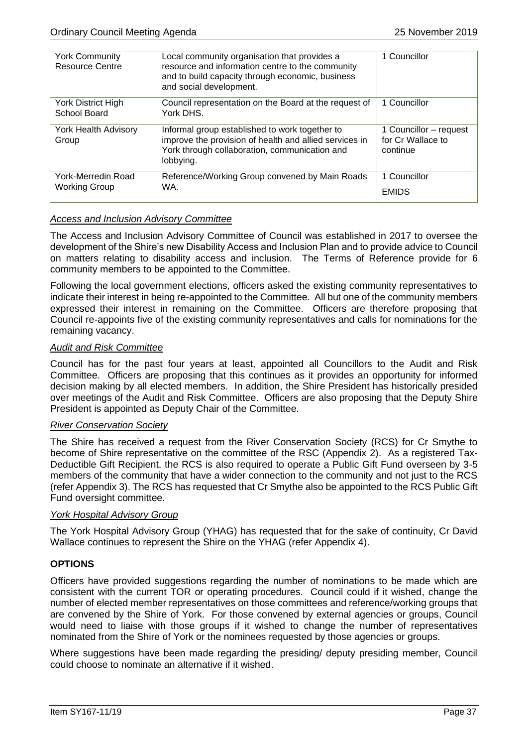| <b>York Community</b><br><b>Resource Centre</b> | Local community organisation that provides a<br>resource and information centre to the community<br>and to build capacity through economic, business<br>and social development. | 1 Councillor                                            |
|-------------------------------------------------|---------------------------------------------------------------------------------------------------------------------------------------------------------------------------------|---------------------------------------------------------|
| York District High<br>School Board              | Council representation on the Board at the request of<br>York DHS.                                                                                                              | 1 Councillor                                            |
| York Health Advisory<br>Group                   | Informal group established to work together to<br>improve the provision of health and allied services in<br>York through collaboration, communication and<br>lobbying.          | 1 Councillor - request<br>for Cr Wallace to<br>continue |
| York-Merredin Road<br><b>Working Group</b>      | Reference/Working Group convened by Main Roads<br>WA.                                                                                                                           | 1 Councillor<br><b>EMIDS</b>                            |

# *Access and Inclusion Advisory Committee*

The Access and Inclusion Advisory Committee of Council was established in 2017 to oversee the development of the Shire's new Disability Access and Inclusion Plan and to provide advice to Council on matters relating to disability access and inclusion. The Terms of Reference provide for 6 community members to be appointed to the Committee.

Following the local government elections, officers asked the existing community representatives to indicate their interest in being re-appointed to the Committee. All but one of the community members expressed their interest in remaining on the Committee. Officers are therefore proposing that Council re-appoints five of the existing community representatives and calls for nominations for the remaining vacancy.

## *Audit and Risk Committee*

Council has for the past four years at least, appointed all Councillors to the Audit and Risk Committee. Officers are proposing that this continues as it provides an opportunity for informed decision making by all elected members. In addition, the Shire President has historically presided over meetings of the Audit and Risk Committee. Officers are also proposing that the Deputy Shire President is appointed as Deputy Chair of the Committee.

# *River Conservation Society*

The Shire has received a request from the River Conservation Society (RCS) for Cr Smythe to become of Shire representative on the committee of the RSC (Appendix 2). As a registered Tax-Deductible Gift Recipient, the RCS is also required to operate a Public Gift Fund overseen by 3-5 members of the community that have a wider connection to the community and not just to the RCS (refer Appendix 3). The RCS has requested that Cr Smythe also be appointed to the RCS Public Gift Fund oversight committee.

#### *York Hospital Advisory Group*

The York Hospital Advisory Group (YHAG) has requested that for the sake of continuity, Cr David Wallace continues to represent the Shire on the YHAG (refer Appendix 4).

# **OPTIONS**

Officers have provided suggestions regarding the number of nominations to be made which are consistent with the current TOR or operating procedures. Council could if it wished, change the number of elected member representatives on those committees and reference/working groups that are convened by the Shire of York. For those convened by external agencies or groups, Council would need to liaise with those groups if it wished to change the number of representatives nominated from the Shire of York or the nominees requested by those agencies or groups.

Where suggestions have been made regarding the presiding/ deputy presiding member, Council could choose to nominate an alternative if it wished.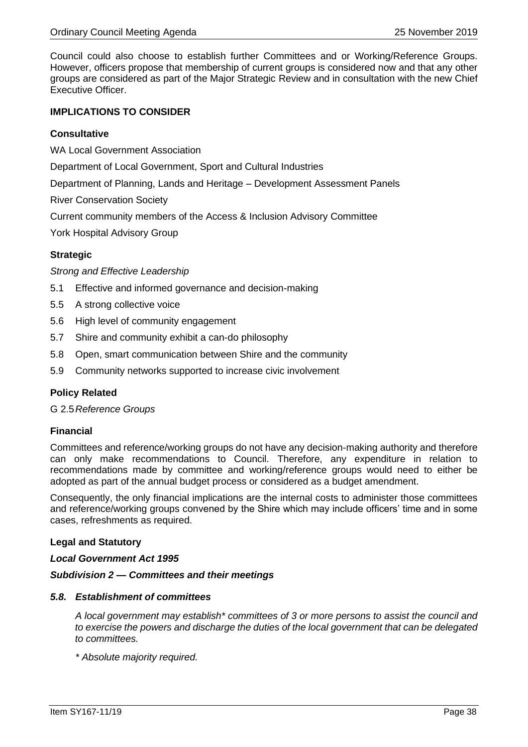Council could also choose to establish further Committees and or Working/Reference Groups. However, officers propose that membership of current groups is considered now and that any other groups are considered as part of the Major Strategic Review and in consultation with the new Chief Executive Officer.

## **IMPLICATIONS TO CONSIDER**

## **Consultative**

WA Local Government Association

Department of Local Government, Sport and Cultural Industries

Department of Planning, Lands and Heritage – Development Assessment Panels

River Conservation Society

Current community members of the Access & Inclusion Advisory Committee

York Hospital Advisory Group

# **Strategic**

*Strong and Effective Leadership*

- 5.1 Effective and informed governance and decision-making
- 5.5 A strong collective voice
- 5.6 High level of community engagement
- 5.7 Shire and community exhibit a can-do philosophy
- 5.8 Open, smart communication between Shire and the community
- 5.9 Community networks supported to increase civic involvement

# **Policy Related**

G 2.5*Reference Groups*

#### **Financial**

Committees and reference/working groups do not have any decision-making authority and therefore can only make recommendations to Council. Therefore, any expenditure in relation to recommendations made by committee and working/reference groups would need to either be adopted as part of the annual budget process or considered as a budget amendment.

Consequently, the only financial implications are the internal costs to administer those committees and reference/working groups convened by the Shire which may include officers' time and in some cases, refreshments as required.

#### **Legal and Statutory**

#### *Local Government Act 1995*

#### *Subdivision 2 — Committees and their meetings*

## *5.8. Establishment of committees*

*A local government may establish\* committees of 3 or more persons to assist the council and to exercise the powers and discharge the duties of the local government that can be delegated to committees.*

*\* Absolute majority required.*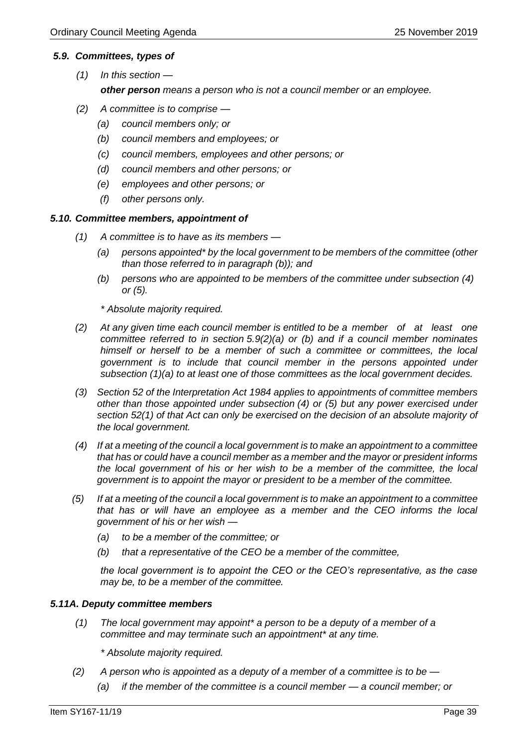## *5.9. Committees, types of*

- *(1) In this section other person means a person who is not a council member or an employee.*
- *(2) A committee is to comprise —*
	- *(a) council members only; or*
	- *(b) council members and employees; or*
	- *(c) council members, employees and other persons; or*
	- *(d) council members and other persons; or*
	- *(e) employees and other persons; or*
	- *(f) other persons only.*

#### *5.10. Committee members, appointment of*

- *(1) A committee is to have as its members —*
	- *(a) persons appointed\* by the local government to be members of the committee (other than those referred to in paragraph (b)); and*
	- *(b) persons who are appointed to be members of the committee under subsection (4) or (5).*

*\* Absolute majority required.*

- *(2) At any given time each council member is entitled to be a member of at least one committee referred to in section 5.9(2)(a) or (b) and if a council member nominates himself or herself to be a member of such a committee or committees, the local government is to include that council member in the persons appointed under subsection (1)(a) to at least one of those committees as the local government decides.*
- *(3) Section 52 of the Interpretation Act 1984 applies to appointments of committee members other than those appointed under subsection (4) or (5) but any power exercised under section 52(1) of that Act can only be exercised on the decision of an absolute majority of the local government.*
- *(4) If at a meeting of the council a local government is to make an appointment to a committee that has or could have a council member as a member and the mayor or president informs the local government of his or her wish to be a member of the committee, the local government is to appoint the mayor or president to be a member of the committee.*
- *(5) If at a meeting of the council a local government is to make an appointment to a committee that has or will have an employee as a member and the CEO informs the local government of his or her wish —*
	- *(a) to be a member of the committee; or*
	- *(b) that a representative of the CEO be a member of the committee,*

*the local government is to appoint the CEO or the CEO's representative, as the case may be, to be a member of the committee.*

#### *5.11A. Deputy committee members*

*(1) The local government may appoint\* a person to be a deputy of a member of a committee and may terminate such an appointment\* at any time.*

*\* Absolute majority required.*

- *(2) A person who is appointed as a deputy of a member of a committee is to be —*
	- *(a) if the member of the committee is a council member — a council member; or*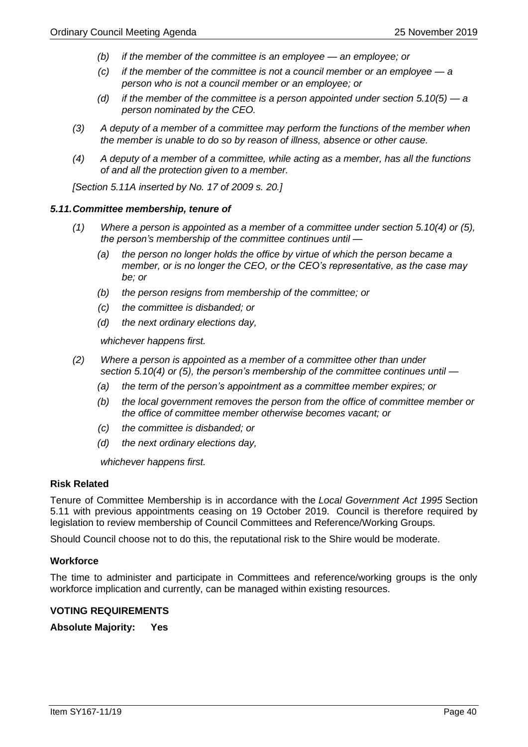- *(b) if the member of the committee is an employee — an employee; or*
- *(c) if the member of the committee is not a council member or an employee — a person who is not a council member or an employee; or*
- *(d) if the member of the committee is a person appointed under section 5.10(5) — a person nominated by the CEO.*
- *(3) A deputy of a member of a committee may perform the functions of the member when the member is unable to do so by reason of illness, absence or other cause.*
- *(4) A deputy of a member of a committee, while acting as a member, has all the functions of and all the protection given to a member.*

*[Section 5.11A inserted by No. 17 of 2009 s. 20.]*

## *5.11.Committee membership, tenure of*

- *(1) Where a person is appointed as a member of a committee under section 5.10(4) or (5), the person's membership of the committee continues until —*
	- *(a) the person no longer holds the office by virtue of which the person became a member, or is no longer the CEO, or the CEO's representative, as the case may be; or*
	- *(b) the person resigns from membership of the committee; or*
	- *(c) the committee is disbanded; or*
	- *(d) the next ordinary elections day,*

*whichever happens first.*

- *(2) Where a person is appointed as a member of a committee other than under section 5.10(4) or (5), the person's membership of the committee continues until —*
	- *(a) the term of the person's appointment as a committee member expires; or*
	- *(b) the local government removes the person from the office of committee member or the office of committee member otherwise becomes vacant; or*
	- *(c) the committee is disbanded; or*
	- *(d) the next ordinary elections day,*

*whichever happens first.*

#### **Risk Related**

Tenure of Committee Membership is in accordance with the *Local Government Act 1995* Section 5.11 with previous appointments ceasing on 19 October 2019. Council is therefore required by legislation to review membership of Council Committees and Reference/Working Groups.

Should Council choose not to do this, the reputational risk to the Shire would be moderate.

#### **Workforce**

The time to administer and participate in Committees and reference/working groups is the only workforce implication and currently, can be managed within existing resources.

### **VOTING REQUIREMENTS**

#### **Absolute Majority: Yes**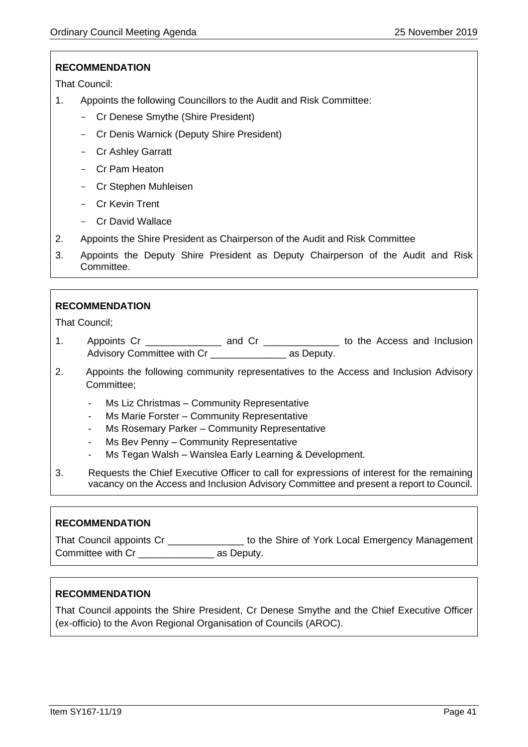That Council:

- 1. Appoints the following Councillors to the Audit and Risk Committee:
	- Cr Denese Smythe (Shire President)
	- Cr Denis Warnick (Deputy Shire President)
	- Cr Ashley Garratt
	- Cr Pam Heaton
	- Cr Stephen Muhleisen
	- Cr Kevin Trent
	- Cr David Wallace
- 2. Appoints the Shire President as Chairperson of the Audit and Risk Committee
- 3. Appoints the Deputy Shire President as Deputy Chairperson of the Audit and Risk Committee.

# **RECOMMENDATION**

That Council;

- 1. Appoints Cr \_\_\_\_\_\_\_\_\_\_\_\_\_\_\_\_ and Cr \_\_\_\_\_\_\_\_\_\_\_\_\_\_\_ to the Access and Inclusion Advisory Committee with Cr \_\_\_\_\_\_\_\_\_\_\_\_\_\_\_\_\_ as Deputy.
- 2. Appoints the following community representatives to the Access and Inclusion Advisory Committee;
	- Ms Liz Christmas Community Representative
	- Ms Marie Forster Community Representative
	- Ms Rosemary Parker Community Representative
	- Ms Bev Penny Community Representative
	- Ms Tegan Walsh Wanslea Early Learning & Development.
- 3. Requests the Chief Executive Officer to call for expressions of interest for the remaining vacancy on the Access and Inclusion Advisory Committee and present a report to Council.

# **RECOMMENDATION**

That Council appoints Cr \_\_\_\_\_\_\_\_\_\_\_\_\_\_\_\_ to the Shire of York Local Emergency Management Committee with Cr as Deputy.

# **RECOMMENDATION**

That Council appoints the Shire President, Cr Denese Smythe and the Chief Executive Officer (ex-officio) to the Avon Regional Organisation of Councils (AROC).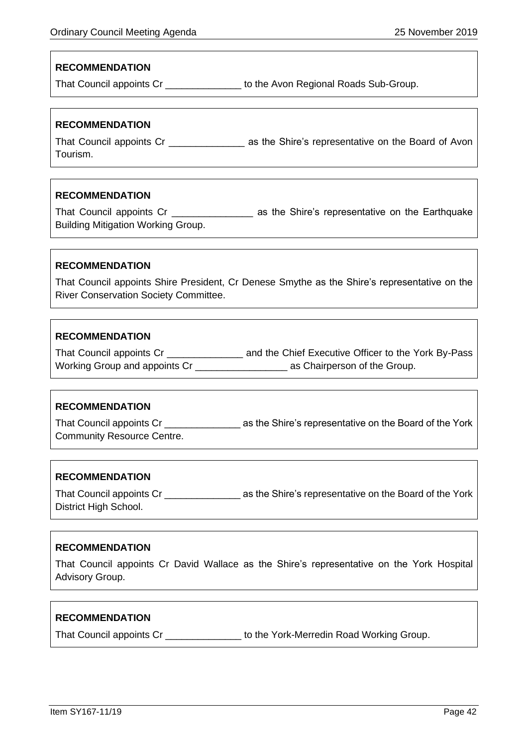That Council appoints Cr \_\_\_\_\_\_\_\_\_\_\_\_\_\_\_\_ to the Avon Regional Roads Sub-Group.

# **RECOMMENDATION**

That Council appoints Cr **and Council appoints Cr** as the Shire's representative on the Board of Avon Tourism.

# **RECOMMENDATION**

That Council appoints Cr \_\_\_\_\_\_\_\_\_\_\_\_\_\_\_ as the Shire's representative on the Earthquake Building Mitigation Working Group.

# **RECOMMENDATION**

That Council appoints Shire President, Cr Denese Smythe as the Shire's representative on the River Conservation Society Committee.

# **RECOMMENDATION**

That Council appoints Cr \_\_\_\_\_\_\_\_\_\_\_\_\_\_\_\_ and the Chief Executive Officer to the York By-Pass Working Group and appoints Cr \_\_\_\_\_\_\_\_\_\_\_\_\_\_\_\_\_\_\_\_\_\_\_\_ as Chairperson of the Group.

# **RECOMMENDATION**

That Council appoints Cr \_\_\_\_\_\_\_\_\_\_\_\_\_\_ as the Shire's representative on the Board of the York Community Resource Centre.

# **RECOMMENDATION**

That Council appoints Cr That Council appoints Cr as the Shire's representative on the Board of the York District High School.

# **RECOMMENDATION**

That Council appoints Cr David Wallace as the Shire's representative on the York Hospital Advisory Group.

# **RECOMMENDATION**

That Council appoints Cr \_\_\_\_\_\_\_\_\_\_\_\_\_\_\_\_ to the York-Merredin Road Working Group.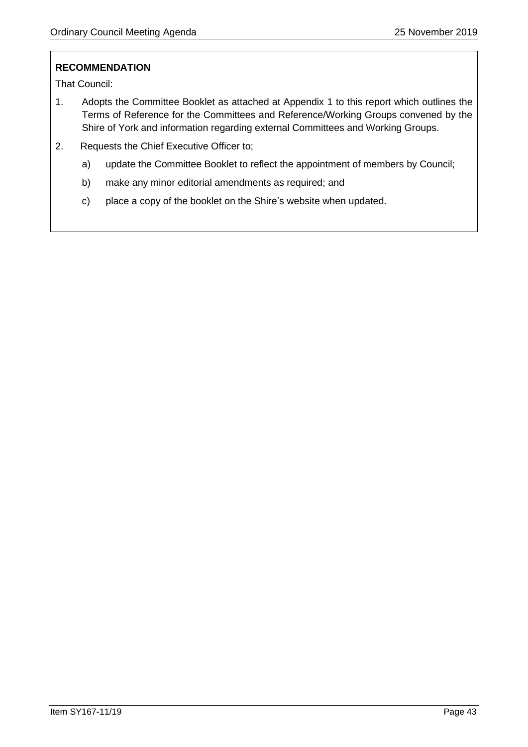That Council:

- 1. Adopts the Committee Booklet as attached at Appendix 1 to this report which outlines the Terms of Reference for the Committees and Reference/Working Groups convened by the Shire of York and information regarding external Committees and Working Groups.
- 2. Requests the Chief Executive Officer to;
	- a) update the Committee Booklet to reflect the appointment of members by Council;
	- b) make any minor editorial amendments as required; and
	- c) place a copy of the booklet on the Shire's website when updated.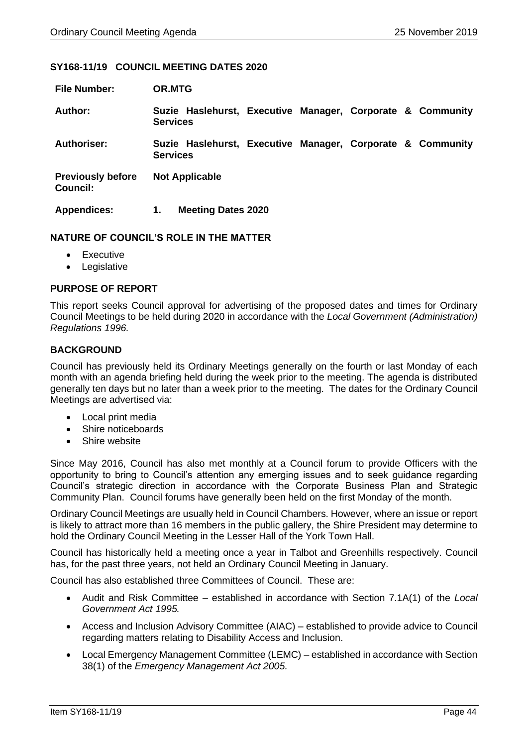## **SY168-11/19 COUNCIL MEETING DATES 2020**

| <b>File Number:</b>                         | <b>OR.MTG</b>                                                                 |
|---------------------------------------------|-------------------------------------------------------------------------------|
| Author:                                     | Suzie Haslehurst, Executive Manager, Corporate & Community<br><b>Services</b> |
| Authoriser:                                 | Suzie Haslehurst, Executive Manager, Corporate & Community<br><b>Services</b> |
| <b>Previously before</b><br><b>Council:</b> | <b>Not Applicable</b>                                                         |
| <b>Appendices:</b>                          | <b>Meeting Dates 2020</b><br>1.                                               |

## **NATURE OF COUNCIL'S ROLE IN THE MATTER**

- Executive
- Legislative

## **PURPOSE OF REPORT**

This report seeks Council approval for advertising of the proposed dates and times for Ordinary Council Meetings to be held during 2020 in accordance with the *Local Government (Administration) Regulations 1996.*

## **BACKGROUND**

Council has previously held its Ordinary Meetings generally on the fourth or last Monday of each month with an agenda briefing held during the week prior to the meeting. The agenda is distributed generally ten days but no later than a week prior to the meeting. The dates for the Ordinary Council Meetings are advertised via:

- Local print media
- Shire noticeboards
- Shire website

Since May 2016, Council has also met monthly at a Council forum to provide Officers with the opportunity to bring to Council's attention any emerging issues and to seek guidance regarding Council's strategic direction in accordance with the Corporate Business Plan and Strategic Community Plan. Council forums have generally been held on the first Monday of the month.

Ordinary Council Meetings are usually held in Council Chambers. However, where an issue or report is likely to attract more than 16 members in the public gallery, the Shire President may determine to hold the Ordinary Council Meeting in the Lesser Hall of the York Town Hall.

Council has historically held a meeting once a year in Talbot and Greenhills respectively. Council has, for the past three years, not held an Ordinary Council Meeting in January.

Council has also established three Committees of Council. These are:

- Audit and Risk Committee established in accordance with Section 7.1A(1) of the *Local Government Act 1995.*
- Access and Inclusion Advisory Committee (AIAC) established to provide advice to Council regarding matters relating to Disability Access and Inclusion.
- Local Emergency Management Committee (LEMC) established in accordance with Section 38(1) of the *Emergency Management Act 2005.*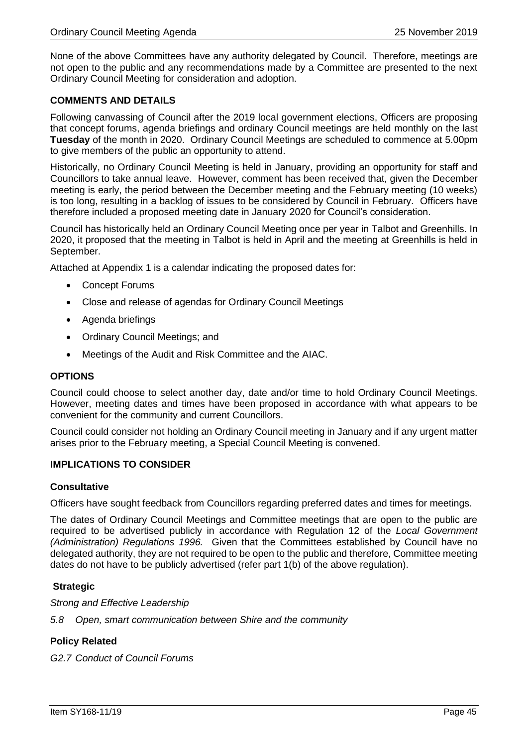None of the above Committees have any authority delegated by Council. Therefore, meetings are not open to the public and any recommendations made by a Committee are presented to the next Ordinary Council Meeting for consideration and adoption.

## **COMMENTS AND DETAILS**

Following canvassing of Council after the 2019 local government elections, Officers are proposing that concept forums, agenda briefings and ordinary Council meetings are held monthly on the last **Tuesday** of the month in 2020. Ordinary Council Meetings are scheduled to commence at 5.00pm to give members of the public an opportunity to attend.

Historically, no Ordinary Council Meeting is held in January, providing an opportunity for staff and Councillors to take annual leave. However, comment has been received that, given the December meeting is early, the period between the December meeting and the February meeting (10 weeks) is too long, resulting in a backlog of issues to be considered by Council in February. Officers have therefore included a proposed meeting date in January 2020 for Council's consideration.

Council has historically held an Ordinary Council Meeting once per year in Talbot and Greenhills. In 2020, it proposed that the meeting in Talbot is held in April and the meeting at Greenhills is held in September.

Attached at Appendix 1 is a calendar indicating the proposed dates for:

- Concept Forums
- Close and release of agendas for Ordinary Council Meetings
- Agenda briefings
- Ordinary Council Meetings; and
- Meetings of the Audit and Risk Committee and the AIAC.

# **OPTIONS**

Council could choose to select another day, date and/or time to hold Ordinary Council Meetings. However, meeting dates and times have been proposed in accordance with what appears to be convenient for the community and current Councillors.

Council could consider not holding an Ordinary Council meeting in January and if any urgent matter arises prior to the February meeting, a Special Council Meeting is convened.

# **IMPLICATIONS TO CONSIDER**

#### **Consultative**

Officers have sought feedback from Councillors regarding preferred dates and times for meetings.

The dates of Ordinary Council Meetings and Committee meetings that are open to the public are required to be advertised publicly in accordance with Regulation 12 of the *Local Government (Administration) Regulations 1996.* Given that the Committees established by Council have no delegated authority, they are not required to be open to the public and therefore, Committee meeting dates do not have to be publicly advertised (refer part 1(b) of the above regulation).

# **Strategic**

*Strong and Effective Leadership*

*5.8 Open, smart communication between Shire and the community*

# **Policy Related**

*G2.7 Conduct of Council Forums*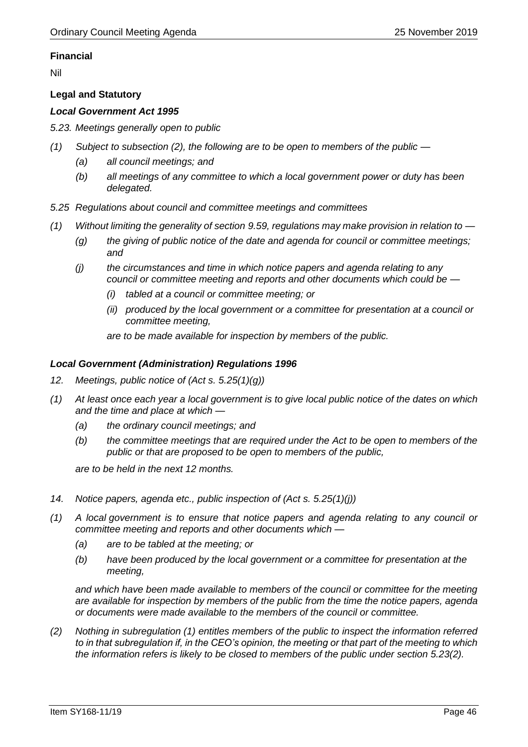# **Financial**

Nil

# **Legal and Statutory**

# *Local Government Act 1995*

*5.23. Meetings generally open to public*

- *(1) Subject to subsection (2), the following are to be open to members of the public —*
	- *(a) all council meetings; and*
	- *(b) all meetings of any committee to which a local government power or duty has been delegated.*
- *5.25 Regulations about council and committee meetings and committees*
- *(1) Without limiting the generality of section 9.59, regulations may make provision in relation to —*
	- *(g) the giving of public notice of the date and agenda for council or committee meetings; and*
	- *(j) the circumstances and time in which notice papers and agenda relating to any council or committee meeting and reports and other documents which could be —*
		- *(i) tabled at a council or committee meeting; or*
		- *(ii) produced by the local government or a committee for presentation at a council or committee meeting,*

*are to be made available for inspection by members of the public.*

# *Local Government (Administration) Regulations 1996*

- *12. Meetings, public notice of (Act s. 5.25(1)(g))*
- *(1) At least once each year a local government is to give local public notice of the dates on which and the time and place at which —*
	- *(a) the ordinary council meetings; and*
	- *(b) the committee meetings that are required under the Act to be open to members of the public or that are proposed to be open to members of the public,*

*are to be held in the next 12 months.*

- *14. Notice papers, agenda etc., public inspection of (Act s. 5.25(1)(j))*
- *(1) A local government is to ensure that notice papers and agenda relating to any council or committee meeting and reports and other documents which —*
	- *(a) are to be tabled at the meeting; or*
	- *(b) have been produced by the local government or a committee for presentation at the meeting,*

*and which have been made available to members of the council or committee for the meeting are available for inspection by members of the public from the time the notice papers, agenda or documents were made available to the members of the council or committee.*

*(2) Nothing in subregulation (1) entitles members of the public to inspect the information referred to in that subregulation if, in the CEO's opinion, the meeting or that part of the meeting to which the information refers is likely to be closed to members of the public under section 5.23(2).*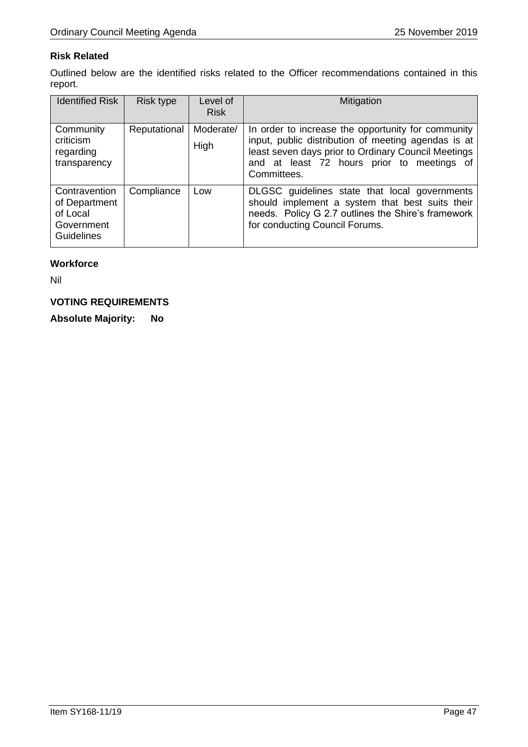# **Risk Related**

Outlined below are the identified risks related to the Officer recommendations contained in this report.

| <b>Identified Risk</b>                                                        | Risk type    | Level of<br><b>Risk</b> | Mitigation                                                                                                                                                                                                                    |
|-------------------------------------------------------------------------------|--------------|-------------------------|-------------------------------------------------------------------------------------------------------------------------------------------------------------------------------------------------------------------------------|
| Community<br>criticism<br>regarding<br>transparency                           | Reputational | Moderate/<br>High       | In order to increase the opportunity for community<br>input, public distribution of meeting agendas is at<br>least seven days prior to Ordinary Council Meetings<br>and at least 72 hours prior to meetings of<br>Committees. |
| Contravention<br>of Department<br>of Local<br>Government<br><b>Guidelines</b> | Compliance   | Low                     | DLGSC guidelines state that local governments<br>should implement a system that best suits their<br>needs. Policy G 2.7 outlines the Shire's framework<br>for conducting Council Forums.                                      |

# **Workforce**

Nil

# **VOTING REQUIREMENTS**

**Absolute Majority: No**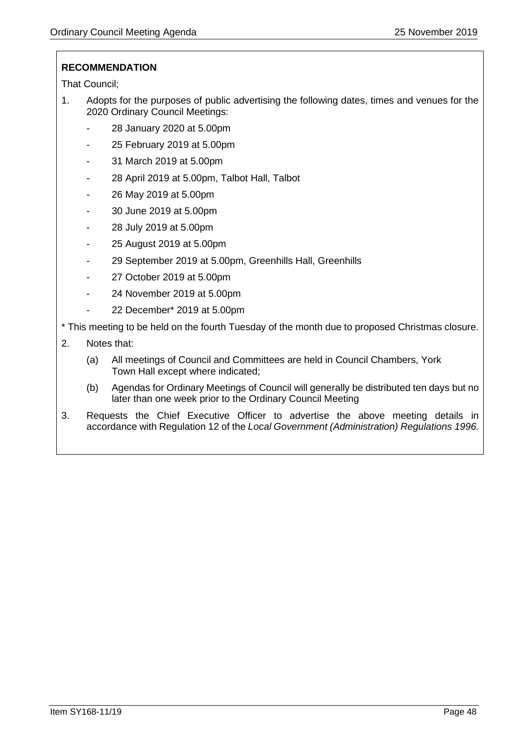That Council;

- 1. Adopts for the purposes of public advertising the following dates, times and venues for the 2020 Ordinary Council Meetings:
	- 28 January 2020 at 5.00pm
	- 25 February 2019 at 5.00pm
	- 31 March 2019 at 5.00pm
	- 28 April 2019 at 5.00pm, Talbot Hall, Talbot
	- 26 May 2019 at 5.00pm
	- 30 June 2019 at 5.00pm
	- 28 July 2019 at 5.00pm
	- 25 August 2019 at 5.00pm
	- 29 September 2019 at 5.00pm, Greenhills Hall, Greenhills
	- 27 October 2019 at 5.00pm
	- 24 November 2019 at 5.00pm
	- 22 December\* 2019 at 5.00pm

\* This meeting to be held on the fourth Tuesday of the month due to proposed Christmas closure.

- 2. Notes that:
	- (a) All meetings of Council and Committees are held in Council Chambers, York Town Hall except where indicated;
	- (b) Agendas for Ordinary Meetings of Council will generally be distributed ten days but no later than one week prior to the Ordinary Council Meeting
- 3. Requests the Chief Executive Officer to advertise the above meeting details in accordance with Regulation 12 of the *Local Government (Administration) Regulations 1996.*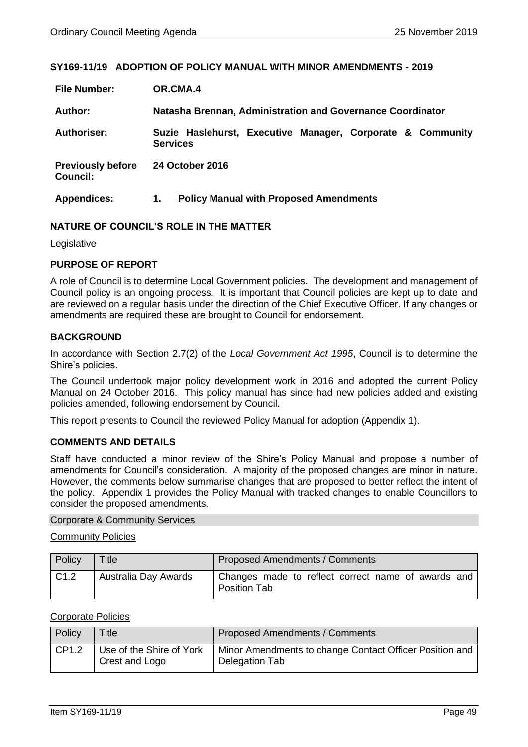## **SY169-11/19 ADOPTION OF POLICY MANUAL WITH MINOR AMENDMENTS - 2019**

| <b>File Number:</b>                         | OR.CMA.4                                                                      |  |  |
|---------------------------------------------|-------------------------------------------------------------------------------|--|--|
| Author:                                     | Natasha Brennan, Administration and Governance Coordinator                    |  |  |
| <b>Authoriser:</b>                          | Suzie Haslehurst, Executive Manager, Corporate & Community<br><b>Services</b> |  |  |
| <b>Previously before</b><br><b>Council:</b> | <b>24 October 2016</b>                                                        |  |  |
| <b>Appendices:</b>                          | <b>Policy Manual with Proposed Amendments</b><br>1.                           |  |  |

# **NATURE OF COUNCIL'S ROLE IN THE MATTER**

Legislative

## **PURPOSE OF REPORT**

A role of Council is to determine Local Government policies. The development and management of Council policy is an ongoing process. It is important that Council policies are kept up to date and are reviewed on a regular basis under the direction of the Chief Executive Officer. If any changes or amendments are required these are brought to Council for endorsement.

# **BACKGROUND**

In accordance with Section 2.7(2) of the *Local Government Act 1995*, Council is to determine the Shire's policies.

The Council undertook major policy development work in 2016 and adopted the current Policy Manual on 24 October 2016. This policy manual has since had new policies added and existing policies amended, following endorsement by Council.

This report presents to Council the reviewed Policy Manual for adoption (Appendix 1).

# **COMMENTS AND DETAILS**

Staff have conducted a minor review of the Shire's Policy Manual and propose a number of amendments for Council's consideration. A majority of the proposed changes are minor in nature. However, the comments below summarise changes that are proposed to better reflect the intent of the policy. Appendix 1 provides the Policy Manual with tracked changes to enable Councillors to consider the proposed amendments.

#### Corporate & Community Services

Community Policies

| Policy | <b>Title</b>         | <b>Proposed Amendments / Comments</b>                                     |
|--------|----------------------|---------------------------------------------------------------------------|
| C1.2   | Australia Day Awards | Changes made to reflect correct name of awards and<br><b>Position Tab</b> |

## Corporate Policies

| Policy | <b>Title</b>                               | <b>Proposed Amendments / Comments</b>                                     |
|--------|--------------------------------------------|---------------------------------------------------------------------------|
| CP1.2  | Use of the Shire of York<br>Crest and Logo | Minor Amendments to change Contact Officer Position and<br>Delegation Tab |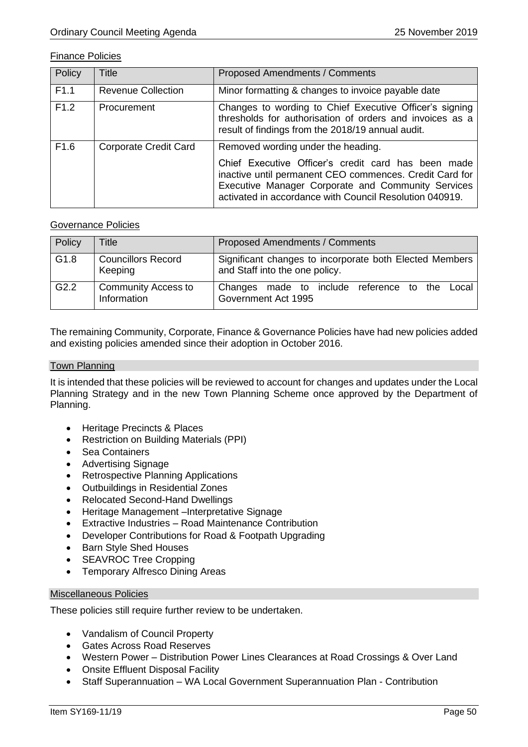# Finance Policies

| Policy | <b>Title</b>              | <b>Proposed Amendments / Comments</b>                                                                                                                                                                                                                                 |
|--------|---------------------------|-----------------------------------------------------------------------------------------------------------------------------------------------------------------------------------------------------------------------------------------------------------------------|
| F1.1   | <b>Revenue Collection</b> | Minor formatting & changes to invoice payable date                                                                                                                                                                                                                    |
| F1.2   | Procurement               | Changes to wording to Chief Executive Officer's signing<br>thresholds for authorisation of orders and invoices as a<br>result of findings from the 2018/19 annual audit.                                                                                              |
| F1.6   | Corporate Credit Card     | Removed wording under the heading.<br>Chief Executive Officer's credit card has been made<br>inactive until permanent CEO commences. Credit Card for<br>Executive Manager Corporate and Community Services<br>activated in accordance with Council Resolution 040919. |

# Governance Policies

| Policy           | Title                                     | <b>Proposed Amendments / Comments</b>                                                     |
|------------------|-------------------------------------------|-------------------------------------------------------------------------------------------|
| G <sub>1.8</sub> | <b>Councillors Record</b><br>Keeping      | Significant changes to incorporate both Elected Members<br>and Staff into the one policy. |
| G <sub>2.2</sub> | <b>Community Access to</b><br>Information | Changes made to include reference to the Local<br>Government Act 1995                     |

The remaining Community, Corporate, Finance & Governance Policies have had new policies added and existing policies amended since their adoption in October 2016.

#### Town Planning

It is intended that these policies will be reviewed to account for changes and updates under the Local Planning Strategy and in the new Town Planning Scheme once approved by the Department of Planning.

- Heritage Precincts & Places
- Restriction on Building Materials (PPI)
- Sea Containers
- Advertising Signage
- Retrospective Planning Applications
- Outbuildings in Residential Zones
- Relocated Second-Hand Dwellings
- Heritage Management –Interpretative Signage
- Extractive Industries Road Maintenance Contribution
- Developer Contributions for Road & Footpath Upgrading
- Barn Style Shed Houses
- SEAVROC Tree Cropping
- Temporary Alfresco Dining Areas

#### Miscellaneous Policies

These policies still require further review to be undertaken.

- Vandalism of Council Property
- Gates Across Road Reserves
- Western Power Distribution Power Lines Clearances at Road Crossings & Over Land
- Onsite Effluent Disposal Facility
- Staff Superannuation WA Local Government Superannuation Plan Contribution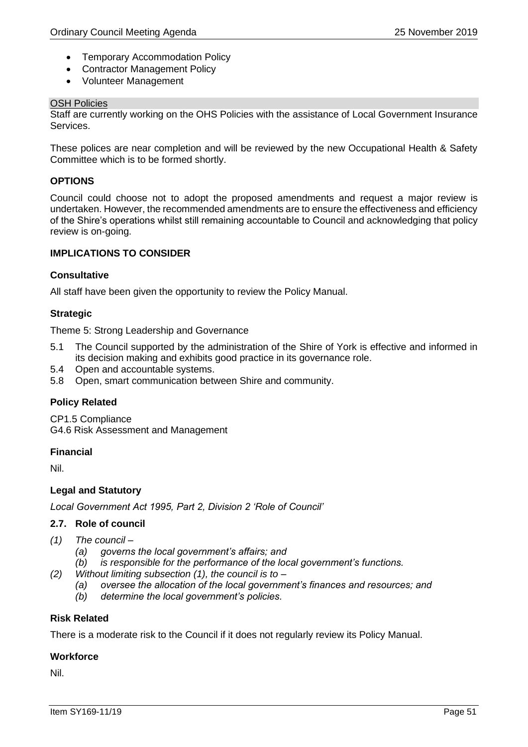- Temporary Accommodation Policy
- Contractor Management Policy
- Volunteer Management

## OSH Policies

Staff are currently working on the OHS Policies with the assistance of Local Government Insurance Services.

These polices are near completion and will be reviewed by the new Occupational Health & Safety Committee which is to be formed shortly.

# **OPTIONS**

Council could choose not to adopt the proposed amendments and request a major review is undertaken. However, the recommended amendments are to ensure the effectiveness and efficiency of the Shire's operations whilst still remaining accountable to Council and acknowledging that policy review is on-going.

# **IMPLICATIONS TO CONSIDER**

# **Consultative**

All staff have been given the opportunity to review the Policy Manual.

# **Strategic**

Theme 5: Strong Leadership and Governance

- 5.1 The Council supported by the administration of the Shire of York is effective and informed in its decision making and exhibits good practice in its governance role.
- 5.4 Open and accountable systems.
- 5.8 Open, smart communication between Shire and community.

# **Policy Related**

CP1.5 Compliance G4.6 Risk Assessment and Management

# **Financial**

Nil.

# **Legal and Statutory**

*Local Government Act 1995, Part 2, Division 2 'Role of Council'*

# **2.7. Role of council**

- *(1) The council –*
	- *(a) governs the local government's affairs; and*
	- *(b) is responsible for the performance of the local government's functions.*
- *(2) Without limiting subsection (1), the council is to –*
	- *(a) oversee the allocation of the local government's finances and resources; and*
	- *(b) determine the local government's policies.*

# **Risk Related**

There is a moderate risk to the Council if it does not regularly review its Policy Manual.

# **Workforce**

Nil.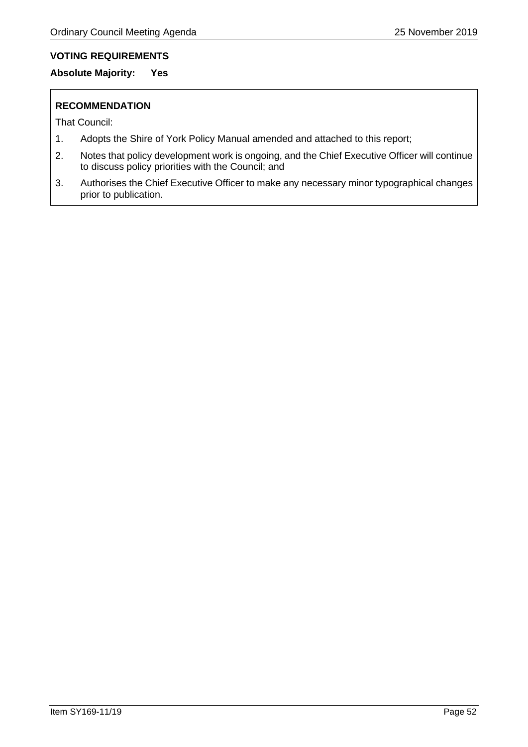# **VOTING REQUIREMENTS**

**Absolute Majority: Yes**

# **RECOMMENDATION**

That Council:

- 1. Adopts the Shire of York Policy Manual amended and attached to this report;
- 2. Notes that policy development work is ongoing, and the Chief Executive Officer will continue to discuss policy priorities with the Council; and
- 3. Authorises the Chief Executive Officer to make any necessary minor typographical changes prior to publication.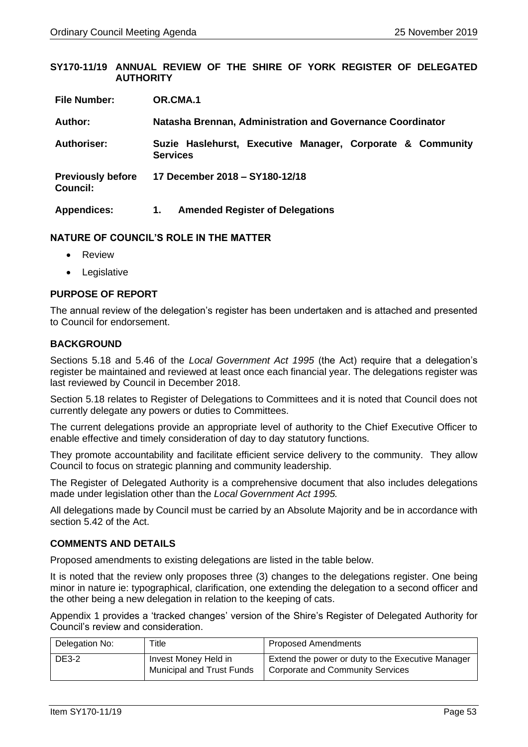**SY170-11/19 ANNUAL REVIEW OF THE SHIRE OF YORK REGISTER OF DELEGATED AUTHORITY**

| <b>File Number:</b>                         | OR.CMA.1                                                                      |  |  |
|---------------------------------------------|-------------------------------------------------------------------------------|--|--|
| Author:                                     | Natasha Brennan, Administration and Governance Coordinator                    |  |  |
| <b>Authoriser:</b>                          | Suzie Haslehurst, Executive Manager, Corporate & Community<br><b>Services</b> |  |  |
| <b>Previously before</b><br><b>Council:</b> | 17 December 2018 - SY180-12/18                                                |  |  |
| <b>Appendices:</b>                          | <b>Amended Register of Delegations</b><br>1.                                  |  |  |

## **NATURE OF COUNCIL'S ROLE IN THE MATTER**

- Review
- Legislative

# **PURPOSE OF REPORT**

The annual review of the delegation's register has been undertaken and is attached and presented to Council for endorsement.

## **BACKGROUND**

Sections 5.18 and 5.46 of the *Local Government Act 1995* (the Act) require that a delegation's register be maintained and reviewed at least once each financial year. The delegations register was last reviewed by Council in December 2018.

Section 5.18 relates to Register of Delegations to Committees and it is noted that Council does not currently delegate any powers or duties to Committees.

The current delegations provide an appropriate level of authority to the Chief Executive Officer to enable effective and timely consideration of day to day statutory functions.

They promote accountability and facilitate efficient service delivery to the community. They allow Council to focus on strategic planning and community leadership.

The Register of Delegated Authority is a comprehensive document that also includes delegations made under legislation other than the *Local Government Act 1995.*

All delegations made by Council must be carried by an Absolute Majority and be in accordance with section 5.42 of the Act.

#### **COMMENTS AND DETAILS**

Proposed amendments to existing delegations are listed in the table below.

It is noted that the review only proposes three (3) changes to the delegations register. One being minor in nature ie: typographical, clarification, one extending the delegation to a second officer and the other being a new delegation in relation to the keeping of cats.

Appendix 1 provides a 'tracked changes' version of the Shire's Register of Delegated Authority for Council's review and consideration.

| Delegation No: | Title                                                    | <b>Proposed Amendments</b>                                                                   |
|----------------|----------------------------------------------------------|----------------------------------------------------------------------------------------------|
| <b>DE3-2</b>   | Invest Money Held in<br><b>Municipal and Trust Funds</b> | Extend the power or duty to the Executive Manager<br><b>Corporate and Community Services</b> |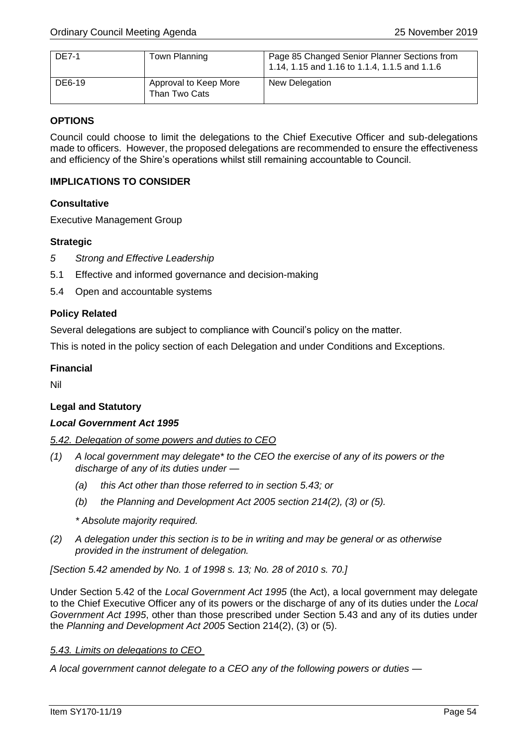| <b>DE7-1</b> | Town Planning                          | Page 85 Changed Senior Planner Sections from<br>1.14, 1.15 and 1.16 to 1.1.4, 1.1.5 and 1.1.6 |
|--------------|----------------------------------------|-----------------------------------------------------------------------------------------------|
| DE6-19       | Approval to Keep More<br>Than Two Cats | New Delegation                                                                                |

## **OPTIONS**

Council could choose to limit the delegations to the Chief Executive Officer and sub-delegations made to officers. However, the proposed delegations are recommended to ensure the effectiveness and efficiency of the Shire's operations whilst still remaining accountable to Council.

## **IMPLICATIONS TO CONSIDER**

## **Consultative**

Executive Management Group

## **Strategic**

- *5 Strong and Effective Leadership*
- 5.1 Effective and informed governance and decision-making
- 5.4 Open and accountable systems

## **Policy Related**

Several delegations are subject to compliance with Council's policy on the matter.

This is noted in the policy section of each Delegation and under Conditions and Exceptions.

## **Financial**

Nil

# **Legal and Statutory**

#### *Local Government Act 1995*

#### *5.42. Delegation of some powers and duties to CEO*

- *(1) A local government may delegate\* to the CEO the exercise of any of its powers or the discharge of any of its duties under —*
	- *(a) this Act other than those referred to in section 5.43; or*
	- *(b) the Planning and Development Act 2005 section 214(2), (3) or (5).*
	- *\* Absolute majority required.*
- *(2) A delegation under this section is to be in writing and may be general or as otherwise provided in the instrument of delegation.*

*[Section 5.42 amended by No. 1 of 1998 s. 13; No. 28 of 2010 s. 70.]*

Under Section 5.42 of the *Local Government Act 1995* (the Act), a local government may delegate to the Chief Executive Officer any of its powers or the discharge of any of its duties under the *Local Government Act 1995*, other than those prescribed under Section 5.43 and any of its duties under the *Planning and Development Act 2005* Section 214(2), (3) or (5).

#### *5.43. Limits on delegations to CEO*

*A local government cannot delegate to a CEO any of the following powers or duties —*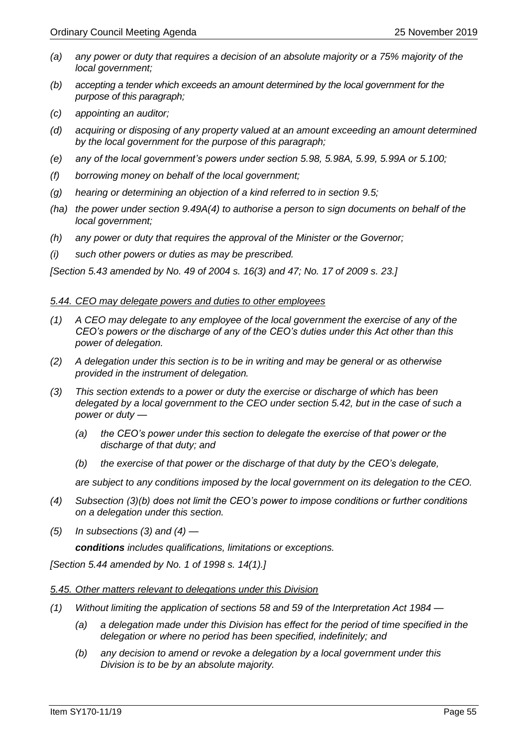- *(a) any power or duty that requires a decision of an absolute majority or a 75% majority of the local government;*
- *(b) accepting a tender which exceeds an amount determined by the local government for the purpose of this paragraph;*
- *(c) appointing an auditor;*
- *(d) acquiring or disposing of any property valued at an amount exceeding an amount determined by the local government for the purpose of this paragraph;*
- *(e) any of the local government's powers under section 5.98, 5.98A, 5.99, 5.99A or 5.100;*
- *(f) borrowing money on behalf of the local government;*
- *(g) hearing or determining an objection of a kind referred to in section 9.5;*
- *(ha) the power under section 9.49A(4) to authorise a person to sign documents on behalf of the local government;*
- *(h) any power or duty that requires the approval of the Minister or the Governor;*
- *(i) such other powers or duties as may be prescribed.*

*[Section 5.43 amended by No. 49 of 2004 s. 16(3) and 47; No. 17 of 2009 s. 23.]*

#### *5.44. CEO may delegate powers and duties to other employees*

- *(1) A CEO may delegate to any employee of the local government the exercise of any of the CEO's powers or the discharge of any of the CEO's duties under this Act other than this power of delegation.*
- *(2) A delegation under this section is to be in writing and may be general or as otherwise provided in the instrument of delegation.*
- *(3) This section extends to a power or duty the exercise or discharge of which has been delegated by a local government to the CEO under section 5.42, but in the case of such a power or duty —*
	- *(a) the CEO's power under this section to delegate the exercise of that power or the discharge of that duty; and*
	- *(b) the exercise of that power or the discharge of that duty by the CEO's delegate,*

*are subject to any conditions imposed by the local government on its delegation to the CEO.*

- *(4) Subsection (3)(b) does not limit the CEO's power to impose conditions or further conditions on a delegation under this section.*
- *(5) In subsections (3) and (4) —*

*conditions includes qualifications, limitations or exceptions.*

*[Section 5.44 amended by No. 1 of 1998 s. 14(1).]*

#### *5.45. Other matters relevant to delegations under this Division*

- *(1) Without limiting the application of sections 58 and 59 of the Interpretation Act 1984 —*
	- *(a) a delegation made under this Division has effect for the period of time specified in the delegation or where no period has been specified, indefinitely; and*
	- *(b) any decision to amend or revoke a delegation by a local government under this Division is to be by an absolute majority.*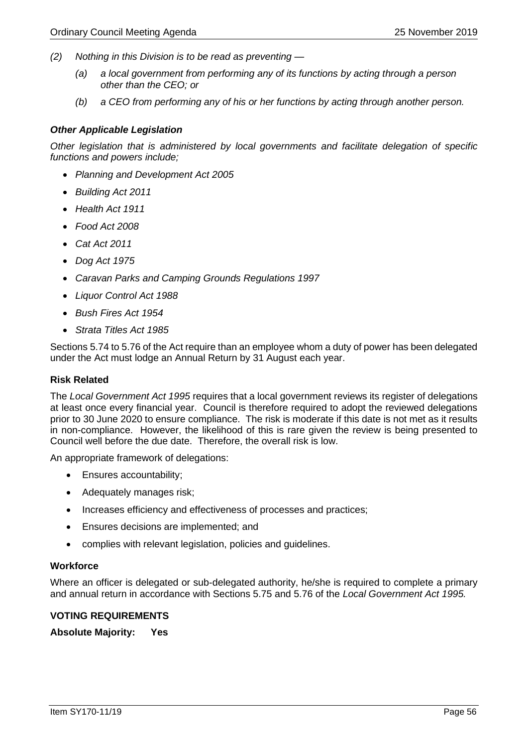- *(2) Nothing in this Division is to be read as preventing —*
	- *(a) a local government from performing any of its functions by acting through a person other than the CEO; or*
	- *(b) a CEO from performing any of his or her functions by acting through another person.*

## *Other Applicable Legislation*

*Other legislation that is administered by local governments and facilitate delegation of specific functions and powers include;*

- *Planning and Development Act 2005*
- *Building Act 2011*
- *Health Act 1911*
- *Food Act 2008*
- *Cat Act 2011*
- *Dog Act 1975*
- *Caravan Parks and Camping Grounds Regulations 1997*
- *Liquor Control Act 1988*
- *Bush Fires Act 1954*
- *Strata Titles Act 1985*

Sections 5.74 to 5.76 of the Act require than an employee whom a duty of power has been delegated under the Act must lodge an Annual Return by 31 August each year.

#### **Risk Related**

The *Local Government Act 1995* requires that a local government reviews its register of delegations at least once every financial year. Council is therefore required to adopt the reviewed delegations prior to 30 June 2020 to ensure compliance. The risk is moderate if this date is not met as it results in non-compliance. However, the likelihood of this is rare given the review is being presented to Council well before the due date. Therefore, the overall risk is low.

An appropriate framework of delegations:

- Ensures accountability;
- Adequately manages risk;
- Increases efficiency and effectiveness of processes and practices;
- Ensures decisions are implemented; and
- complies with relevant legislation, policies and guidelines.

#### **Workforce**

Where an officer is delegated or sub-delegated authority, he/she is required to complete a primary and annual return in accordance with Sections 5.75 and 5.76 of the *Local Government Act 1995.*

### **VOTING REQUIREMENTS**

**Absolute Majority: Yes**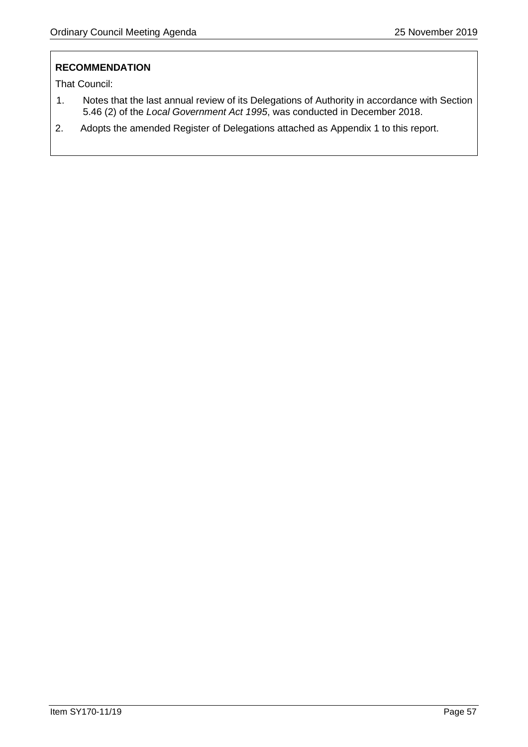That Council:

- 1. Notes that the last annual review of its Delegations of Authority in accordance with Section 5.46 (2) of the *Local Government Act 1995*, was conducted in December 2018.
- 2. Adopts the amended Register of Delegations attached as Appendix 1 to this report.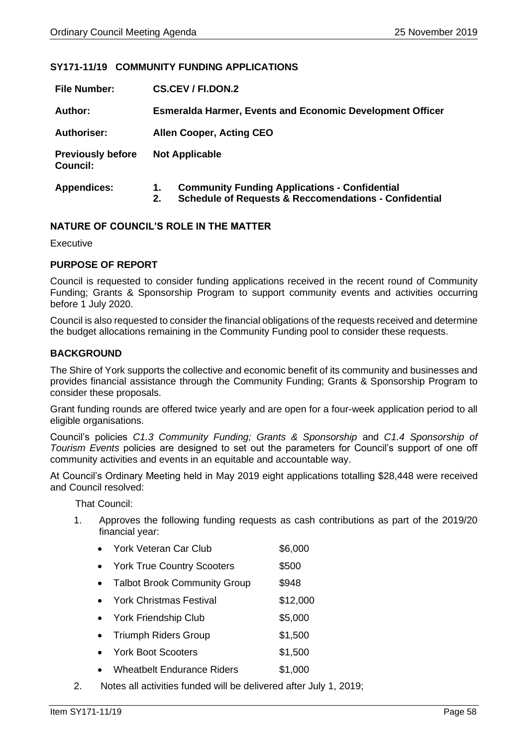# **SY171-11/19 COMMUNITY FUNDING APPLICATIONS**

| <b>File Number:</b>                         | CS.CEV / FI.DON.2                                                |                                                                                                                          |  |
|---------------------------------------------|------------------------------------------------------------------|--------------------------------------------------------------------------------------------------------------------------|--|
| Author:                                     | <b>Esmeralda Harmer, Events and Economic Development Officer</b> |                                                                                                                          |  |
| <b>Authoriser:</b>                          | <b>Allen Cooper, Acting CEO</b>                                  |                                                                                                                          |  |
| <b>Previously before</b><br><b>Council:</b> |                                                                  | <b>Not Applicable</b>                                                                                                    |  |
| <b>Appendices:</b>                          | 1.<br>2.                                                         | <b>Community Funding Applications - Confidential</b><br><b>Schedule of Requests &amp; Reccomendations - Confidential</b> |  |

# **NATURE OF COUNCIL'S ROLE IN THE MATTER**

Executive

#### **PURPOSE OF REPORT**

Council is requested to consider funding applications received in the recent round of Community Funding; Grants & Sponsorship Program to support community events and activities occurring before 1 July 2020.

Council is also requested to consider the financial obligations of the requests received and determine the budget allocations remaining in the Community Funding pool to consider these requests.

## **BACKGROUND**

The Shire of York supports the collective and economic benefit of its community and businesses and provides financial assistance through the Community Funding; Grants & Sponsorship Program to consider these proposals.

Grant funding rounds are offered twice yearly and are open for a four-week application period to all eligible organisations.

Council's policies *C1.3 Community Funding; Grants & Sponsorship* and *C1.4 Sponsorship of Tourism Events* policies are designed to set out the parameters for Council's support of one off community activities and events in an equitable and accountable way.

At Council's Ordinary Meeting held in May 2019 eight applications totalling \$28,448 were received and Council resolved:

That Council:

- 1. Approves the following funding requests as cash contributions as part of the 2019/20 financial year:
	- York Veteran Car Club \$6,000
	- York True Country Scooters \$500
	- Talbot Brook Community Group \$948
	- York Christmas Festival \$12,000
	- York Friendship Club \$5,000
	- Triumph Riders Group \$1,500
	- York Boot Scooters \$1,500
	- Wheatbelt Endurance Riders \$1,000
- 2. Notes all activities funded will be delivered after July 1, 2019;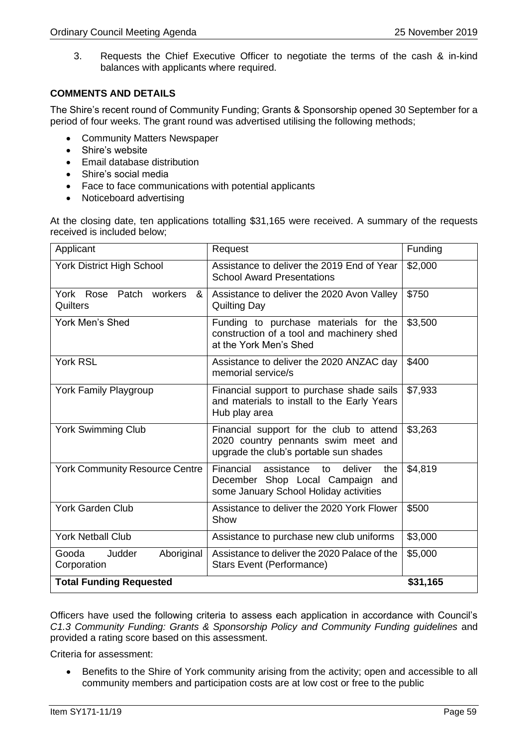3. Requests the Chief Executive Officer to negotiate the terms of the cash & in-kind balances with applicants where required.

# **COMMENTS AND DETAILS**

The Shire's recent round of Community Funding; Grants & Sponsorship opened 30 September for a period of four weeks. The grant round was advertised utilising the following methods;

- Community Matters Newspaper
- Shire's website
- Email database distribution
- Shire's social media
- Face to face communications with potential applicants
- Noticeboard advertising

At the closing date, ten applications totalling \$31,165 were received. A summary of the requests received is included below;

| Applicant                                    | Request                                                                                                                       | Funding  |
|----------------------------------------------|-------------------------------------------------------------------------------------------------------------------------------|----------|
| <b>York District High School</b>             | Assistance to deliver the 2019 End of Year<br><b>School Award Presentations</b>                                               | \$2,000  |
| York Rose Patch workers<br>&<br>Quilters     | Assistance to deliver the 2020 Avon Valley<br><b>Quilting Day</b>                                                             | \$750    |
| <b>York Men's Shed</b>                       | Funding to purchase materials for the<br>construction of a tool and machinery shed<br>at the York Men's Shed                  | \$3,500  |
| York RSL                                     | Assistance to deliver the 2020 ANZAC day<br>memorial service/s                                                                | \$400    |
| York Family Playgroup                        | Financial support to purchase shade sails<br>and materials to install to the Early Years<br>Hub play area                     | \$7,933  |
| <b>York Swimming Club</b>                    | Financial support for the club to attend<br>2020 country pennants swim meet and<br>upgrade the club's portable sun shades     | \$3,263  |
| <b>York Community Resource Centre</b>        | Financial<br>assistance<br>deliver<br>the<br>to<br>December Shop Local Campaign and<br>some January School Holiday activities | \$4,819  |
| <b>York Garden Club</b>                      | Assistance to deliver the 2020 York Flower<br>Show                                                                            | \$500    |
| <b>York Netball Club</b>                     | Assistance to purchase new club uniforms                                                                                      | \$3,000  |
| Gooda<br>Judder<br>Aboriginal<br>Corporation | Assistance to deliver the 2020 Palace of the<br>Stars Event (Performance)                                                     | \$5,000  |
| <b>Total Funding Requested</b>               |                                                                                                                               | \$31,165 |

Officers have used the following criteria to assess each application in accordance with Council's *C1.3 Community Funding: Grants & Sponsorship Policy and Community Funding guidelines* and provided a rating score based on this assessment.

Criteria for assessment:

• Benefits to the Shire of York community arising from the activity; open and accessible to all community members and participation costs are at low cost or free to the public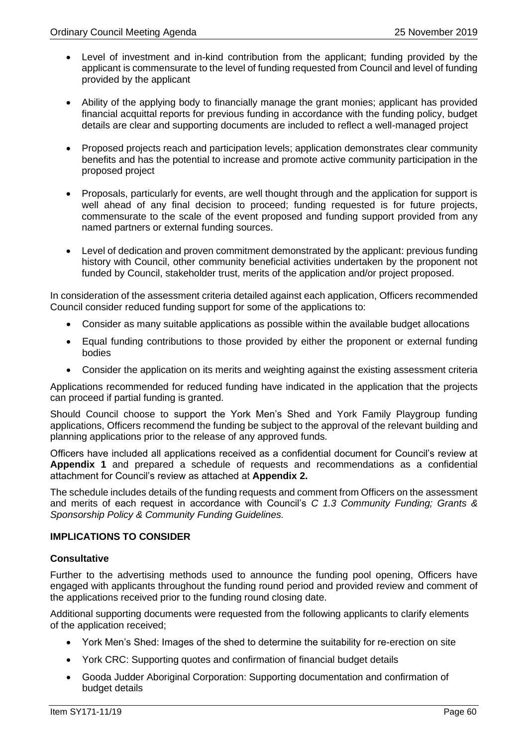- Level of investment and in-kind contribution from the applicant; funding provided by the applicant is commensurate to the level of funding requested from Council and level of funding provided by the applicant
- Ability of the applying body to financially manage the grant monies; applicant has provided financial acquittal reports for previous funding in accordance with the funding policy, budget details are clear and supporting documents are included to reflect a well-managed project
- Proposed projects reach and participation levels; application demonstrates clear community benefits and has the potential to increase and promote active community participation in the proposed project
- Proposals, particularly for events, are well thought through and the application for support is well ahead of any final decision to proceed; funding requested is for future projects, commensurate to the scale of the event proposed and funding support provided from any named partners or external funding sources.
- Level of dedication and proven commitment demonstrated by the applicant: previous funding history with Council, other community beneficial activities undertaken by the proponent not funded by Council, stakeholder trust, merits of the application and/or project proposed.

In consideration of the assessment criteria detailed against each application, Officers recommended Council consider reduced funding support for some of the applications to:

- Consider as many suitable applications as possible within the available budget allocations
- Equal funding contributions to those provided by either the proponent or external funding bodies
- Consider the application on its merits and weighting against the existing assessment criteria

Applications recommended for reduced funding have indicated in the application that the projects can proceed if partial funding is granted.

Should Council choose to support the York Men's Shed and York Family Playgroup funding applications, Officers recommend the funding be subject to the approval of the relevant building and planning applications prior to the release of any approved funds.

Officers have included all applications received as a confidential document for Council's review at **Appendix 1** and prepared a schedule of requests and recommendations as a confidential attachment for Council's review as attached at **Appendix 2.**

The schedule includes details of the funding requests and comment from Officers on the assessment and merits of each request in accordance with Council's *C 1.3 Community Funding; Grants & Sponsorship Policy & Community Funding Guidelines.*

# **IMPLICATIONS TO CONSIDER**

# **Consultative**

Further to the advertising methods used to announce the funding pool opening, Officers have engaged with applicants throughout the funding round period and provided review and comment of the applications received prior to the funding round closing date.

Additional supporting documents were requested from the following applicants to clarify elements of the application received;

- York Men's Shed: Images of the shed to determine the suitability for re-erection on site
- York CRC: Supporting quotes and confirmation of financial budget details
- Gooda Judder Aboriginal Corporation: Supporting documentation and confirmation of budget details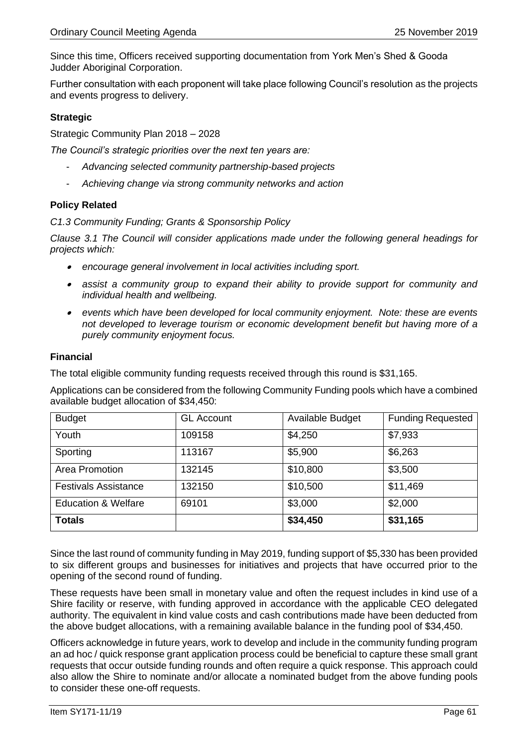Since this time, Officers received supporting documentation from York Men's Shed & Gooda Judder Aboriginal Corporation.

Further consultation with each proponent will take place following Council's resolution as the projects and events progress to delivery.

# **Strategic**

Strategic Community Plan 2018 – 2028

*The Council's strategic priorities over the next ten years are:*

- *Advancing selected community partnership-based projects*
- *Achieving change via strong community networks and action*

# **Policy Related**

*C1.3 Community Funding; Grants & Sponsorship Policy*

*Clause 3.1 The Council will consider applications made under the following general headings for projects which:*

- *encourage general involvement in local activities including sport.*
- *assist a community group to expand their ability to provide support for community and individual health and wellbeing.*
- *events which have been developed for local community enjoyment. Note: these are events not developed to leverage tourism or economic development benefit but having more of a purely community enjoyment focus.*

# **Financial**

The total eligible community funding requests received through this round is \$31,165.

Applications can be considered from the following Community Funding pools which have a combined available budget allocation of \$34,450:

| <b>Budget</b>                  | <b>GL Account</b> | Available Budget | <b>Funding Requested</b> |
|--------------------------------|-------------------|------------------|--------------------------|
| Youth                          | 109158            | \$4,250          | \$7,933                  |
| Sporting                       | 113167            | \$5,900          | \$6,263                  |
| Area Promotion                 | 132145            | \$10,800         | \$3,500                  |
| <b>Festivals Assistance</b>    | 132150            | \$10,500         | \$11,469                 |
| <b>Education &amp; Welfare</b> | 69101             | \$3,000          | \$2,000                  |
| <b>Totals</b>                  |                   | \$34,450         | \$31,165                 |

Since the last round of community funding in May 2019, funding support of \$5,330 has been provided to six different groups and businesses for initiatives and projects that have occurred prior to the opening of the second round of funding.

These requests have been small in monetary value and often the request includes in kind use of a Shire facility or reserve, with funding approved in accordance with the applicable CEO delegated authority. The equivalent in kind value costs and cash contributions made have been deducted from the above budget allocations, with a remaining available balance in the funding pool of \$34,450.

Officers acknowledge in future years, work to develop and include in the community funding program an ad hoc / quick response grant application process could be beneficial to capture these small grant requests that occur outside funding rounds and often require a quick response. This approach could also allow the Shire to nominate and/or allocate a nominated budget from the above funding pools to consider these one-off requests.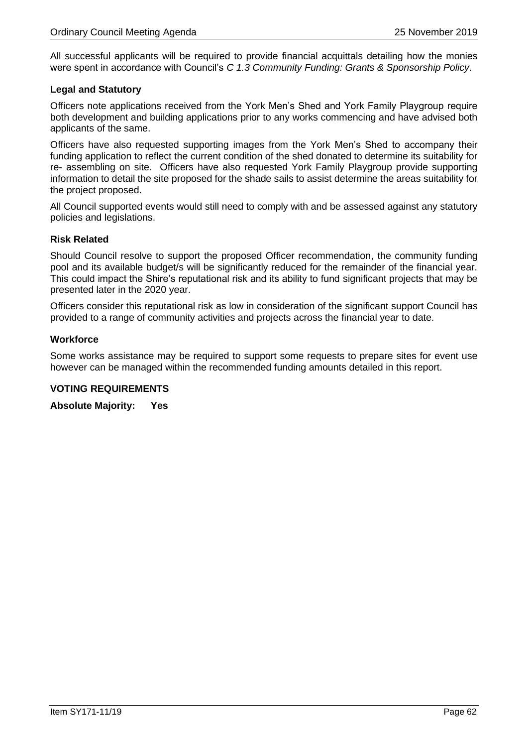All successful applicants will be required to provide financial acquittals detailing how the monies were spent in accordance with Council's *C 1.3 Community Funding: Grants & Sponsorship Policy*.

## **Legal and Statutory**

Officers note applications received from the York Men's Shed and York Family Playgroup require both development and building applications prior to any works commencing and have advised both applicants of the same.

Officers have also requested supporting images from the York Men's Shed to accompany their funding application to reflect the current condition of the shed donated to determine its suitability for re- assembling on site. Officers have also requested York Family Playgroup provide supporting information to detail the site proposed for the shade sails to assist determine the areas suitability for the project proposed.

All Council supported events would still need to comply with and be assessed against any statutory policies and legislations.

## **Risk Related**

Should Council resolve to support the proposed Officer recommendation, the community funding pool and its available budget/s will be significantly reduced for the remainder of the financial year. This could impact the Shire's reputational risk and its ability to fund significant projects that may be presented later in the 2020 year.

Officers consider this reputational risk as low in consideration of the significant support Council has provided to a range of community activities and projects across the financial year to date.

#### **Workforce**

Some works assistance may be required to support some requests to prepare sites for event use however can be managed within the recommended funding amounts detailed in this report.

#### **VOTING REQUIREMENTS**

**Absolute Majority: Yes**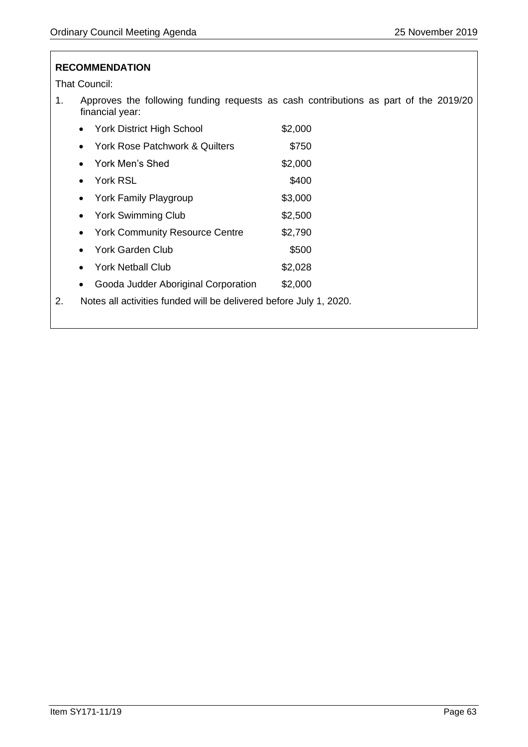That Council:

1. Approves the following funding requests as cash contributions as part of the 2019/20 financial year:

| <b>York District High School</b>      | \$2,000 |
|---------------------------------------|---------|
| York Rose Patchwork & Quilters        | \$750   |
| York Men's Shed                       | \$2,000 |
| York RSL                              | \$400   |
| York Family Playgroup                 | \$3,000 |
| <b>York Swimming Club</b>             | \$2,500 |
| <b>York Community Resource Centre</b> | \$2,790 |
| <b>York Garden Club</b>               | \$500   |
| York Netball Club                     | \$2,028 |
| Gooda Judder Aboriginal Corporation   | \$2.000 |

2. Notes all activities funded will be delivered before July 1, 2020.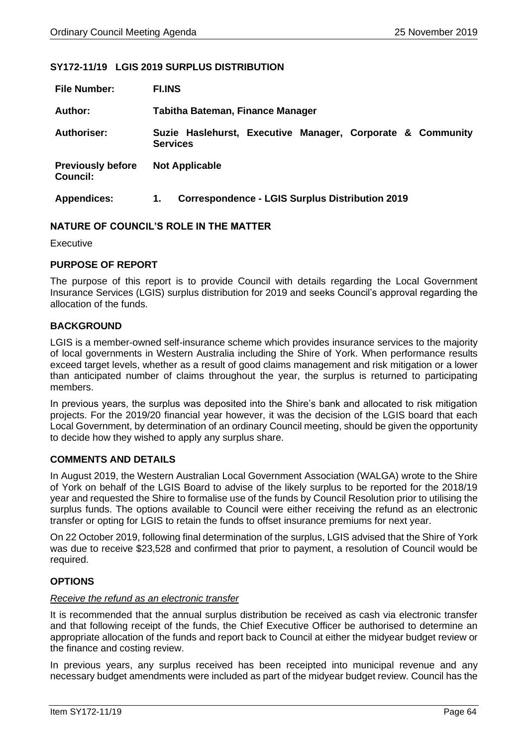## **SY172-11/19 LGIS 2019 SURPLUS DISTRIBUTION**

| <b>File Number:</b>                         | <b>FI.INS</b>                                                                 |
|---------------------------------------------|-------------------------------------------------------------------------------|
| Author:                                     | Tabitha Bateman, Finance Manager                                              |
| <b>Authoriser:</b>                          | Suzie Haslehurst, Executive Manager, Corporate & Community<br><b>Services</b> |
| <b>Previously before</b><br><b>Council:</b> | <b>Not Applicable</b>                                                         |
| <b>Appendices:</b>                          | <b>Correspondence - LGIS Surplus Distribution 2019</b><br>1.                  |

## **NATURE OF COUNCIL'S ROLE IN THE MATTER**

Executive

## **PURPOSE OF REPORT**

The purpose of this report is to provide Council with details regarding the Local Government Insurance Services (LGIS) surplus distribution for 2019 and seeks Council's approval regarding the allocation of the funds.

## **BACKGROUND**

LGIS is a member-owned self-insurance scheme which provides insurance services to the majority of local governments in Western Australia including the Shire of York. When performance results exceed target levels, whether as a result of good claims management and risk mitigation or a lower than anticipated number of claims throughout the year, the surplus is returned to participating members.

In previous years, the surplus was deposited into the Shire's bank and allocated to risk mitigation projects. For the 2019/20 financial year however, it was the decision of the LGIS board that each Local Government, by determination of an ordinary Council meeting, should be given the opportunity to decide how they wished to apply any surplus share.

# **COMMENTS AND DETAILS**

In August 2019, the Western Australian Local Government Association (WALGA) wrote to the Shire of York on behalf of the LGIS Board to advise of the likely surplus to be reported for the 2018/19 year and requested the Shire to formalise use of the funds by Council Resolution prior to utilising the surplus funds. The options available to Council were either receiving the refund as an electronic transfer or opting for LGIS to retain the funds to offset insurance premiums for next year.

On 22 October 2019, following final determination of the surplus, LGIS advised that the Shire of York was due to receive \$23,528 and confirmed that prior to payment, a resolution of Council would be required.

# **OPTIONS**

#### *Receive the refund as an electronic transfer*

It is recommended that the annual surplus distribution be received as cash via electronic transfer and that following receipt of the funds, the Chief Executive Officer be authorised to determine an appropriate allocation of the funds and report back to Council at either the midyear budget review or the finance and costing review.

In previous years, any surplus received has been receipted into municipal revenue and any necessary budget amendments were included as part of the midyear budget review. Council has the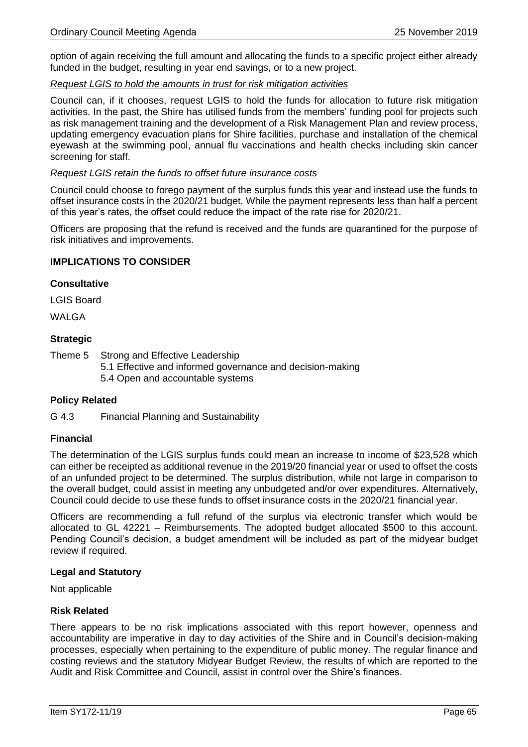option of again receiving the full amount and allocating the funds to a specific project either already funded in the budget, resulting in year end savings, or to a new project.

# *Request LGIS to hold the amounts in trust for risk mitigation activities*

Council can, if it chooses, request LGIS to hold the funds for allocation to future risk mitigation activities. In the past, the Shire has utilised funds from the members' funding pool for projects such as risk management training and the development of a Risk Management Plan and review process, updating emergency evacuation plans for Shire facilities, purchase and installation of the chemical eyewash at the swimming pool, annual flu vaccinations and health checks including skin cancer screening for staff.

## *Request LGIS retain the funds to offset future insurance costs*

Council could choose to forego payment of the surplus funds this year and instead use the funds to offset insurance costs in the 2020/21 budget. While the payment represents less than half a percent of this year's rates, the offset could reduce the impact of the rate rise for 2020/21.

Officers are proposing that the refund is received and the funds are quarantined for the purpose of risk initiatives and improvements.

# **IMPLICATIONS TO CONSIDER**

## **Consultative**

LGIS Board

WALGA

## **Strategic**

Theme 5 Strong and Effective Leadership

5.1 Effective and informed governance and decision-making 5.4 Open and accountable systems

# **Policy Related**

G 4.3 Financial Planning and Sustainability

# **Financial**

The determination of the LGIS surplus funds could mean an increase to income of \$23,528 which can either be receipted as additional revenue in the 2019/20 financial year or used to offset the costs of an unfunded project to be determined. The surplus distribution, while not large in comparison to the overall budget, could assist in meeting any unbudgeted and/or over expenditures. Alternatively, Council could decide to use these funds to offset insurance costs in the 2020/21 financial year.

Officers are recommending a full refund of the surplus via electronic transfer which would be allocated to GL 42221 – Reimbursements. The adopted budget allocated \$500 to this account. Pending Council's decision, a budget amendment will be included as part of the midyear budget review if required.

#### **Legal and Statutory**

Not applicable

# **Risk Related**

There appears to be no risk implications associated with this report however, openness and accountability are imperative in day to day activities of the Shire and in Council's decision-making processes, especially when pertaining to the expenditure of public money. The regular finance and costing reviews and the statutory Midyear Budget Review, the results of which are reported to the Audit and Risk Committee and Council, assist in control over the Shire's finances.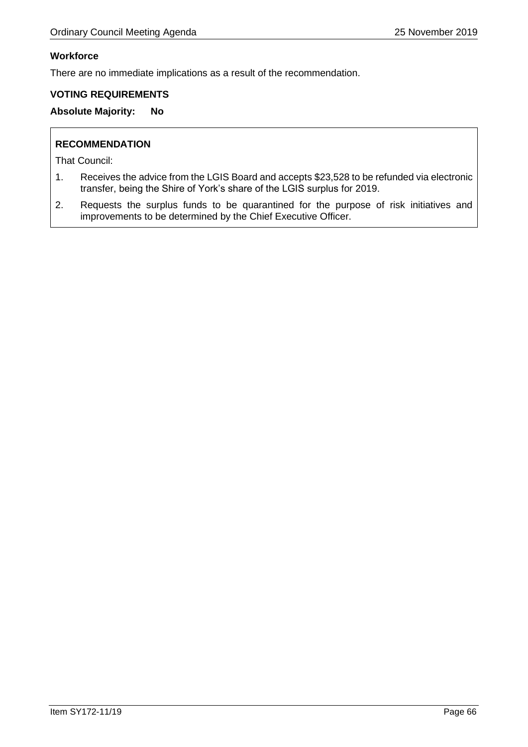# **Workforce**

There are no immediate implications as a result of the recommendation.

# **VOTING REQUIREMENTS**

**Absolute Majority: No**

# **RECOMMENDATION**

That Council:

- 1. Receives the advice from the LGIS Board and accepts \$23,528 to be refunded via electronic transfer, being the Shire of York's share of the LGIS surplus for 2019.
- 2. Requests the surplus funds to be quarantined for the purpose of risk initiatives and improvements to be determined by the Chief Executive Officer.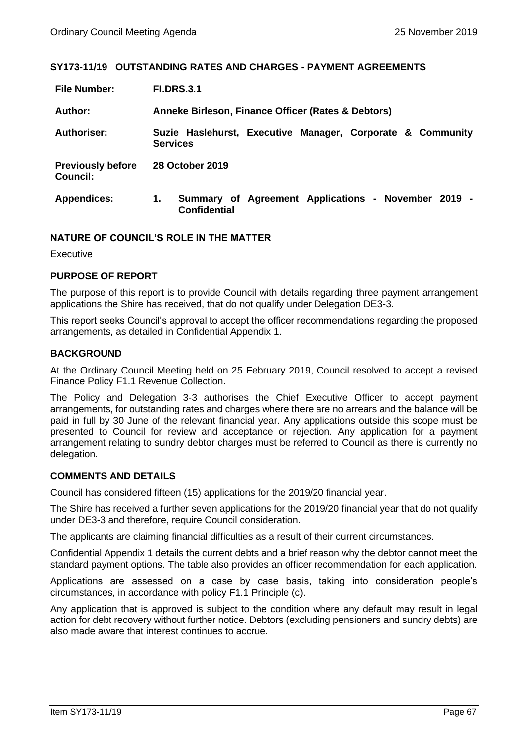## **SY173-11/19 OUTSTANDING RATES AND CHARGES - PAYMENT AGREEMENTS**

| <b>File Number:</b>                         | <b>FI.DRS.3.1</b>                                                                |
|---------------------------------------------|----------------------------------------------------------------------------------|
| Author:                                     | Anneke Birleson, Finance Officer (Rates & Debtors)                               |
| Authoriser:                                 | Suzie Haslehurst, Executive Manager, Corporate & Community<br><b>Services</b>    |
| <b>Previously before</b><br><b>Council:</b> | 28 October 2019                                                                  |
| <b>Appendices:</b>                          | Summary of Agreement Applications - November 2019 -<br>1.<br><b>Confidential</b> |

## **NATURE OF COUNCIL'S ROLE IN THE MATTER**

Executive

# **PURPOSE OF REPORT**

The purpose of this report is to provide Council with details regarding three payment arrangement applications the Shire has received, that do not qualify under Delegation DE3-3.

This report seeks Council's approval to accept the officer recommendations regarding the proposed arrangements, as detailed in Confidential Appendix 1.

## **BACKGROUND**

At the Ordinary Council Meeting held on 25 February 2019, Council resolved to accept a revised Finance Policy F1.1 Revenue Collection.

The Policy and Delegation 3-3 authorises the Chief Executive Officer to accept payment arrangements, for outstanding rates and charges where there are no arrears and the balance will be paid in full by 30 June of the relevant financial year. Any applications outside this scope must be presented to Council for review and acceptance or rejection. Any application for a payment arrangement relating to sundry debtor charges must be referred to Council as there is currently no delegation.

# **COMMENTS AND DETAILS**

Council has considered fifteen (15) applications for the 2019/20 financial year.

The Shire has received a further seven applications for the 2019/20 financial year that do not qualify under DE3-3 and therefore, require Council consideration.

The applicants are claiming financial difficulties as a result of their current circumstances.

Confidential Appendix 1 details the current debts and a brief reason why the debtor cannot meet the standard payment options. The table also provides an officer recommendation for each application.

Applications are assessed on a case by case basis, taking into consideration people's circumstances, in accordance with policy F1.1 Principle (c).

Any application that is approved is subject to the condition where any default may result in legal action for debt recovery without further notice. Debtors (excluding pensioners and sundry debts) are also made aware that interest continues to accrue.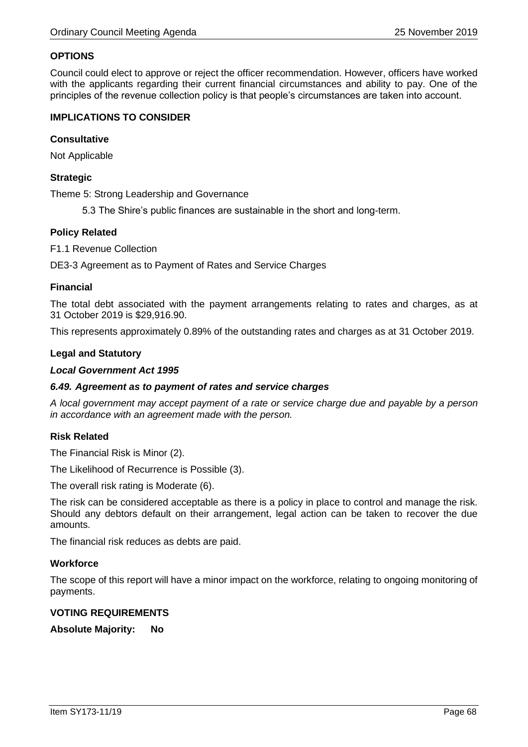# **OPTIONS**

Council could elect to approve or reject the officer recommendation. However, officers have worked with the applicants regarding their current financial circumstances and ability to pay. One of the principles of the revenue collection policy is that people's circumstances are taken into account.

## **IMPLICATIONS TO CONSIDER**

## **Consultative**

Not Applicable

# **Strategic**

Theme 5: Strong Leadership and Governance

5.3 The Shire's public finances are sustainable in the short and long-term.

## **Policy Related**

F1.1 Revenue Collection

DE3-3 Agreement as to Payment of Rates and Service Charges

## **Financial**

The total debt associated with the payment arrangements relating to rates and charges, as at 31 October 2019 is \$29,916.90.

This represents approximately 0.89% of the outstanding rates and charges as at 31 October 2019.

## **Legal and Statutory**

### *Local Government Act 1995*

#### *6.49. Agreement as to payment of rates and service charges*

*A local government may accept payment of a rate or service charge due and payable by a person in accordance with an agreement made with the person.*

#### **Risk Related**

The Financial Risk is Minor (2).

The Likelihood of Recurrence is Possible (3).

The overall risk rating is Moderate (6).

The risk can be considered acceptable as there is a policy in place to control and manage the risk. Should any debtors default on their arrangement, legal action can be taken to recover the due amounts.

The financial risk reduces as debts are paid.

# **Workforce**

The scope of this report will have a minor impact on the workforce, relating to ongoing monitoring of payments.

#### **VOTING REQUIREMENTS**

**Absolute Majority: No**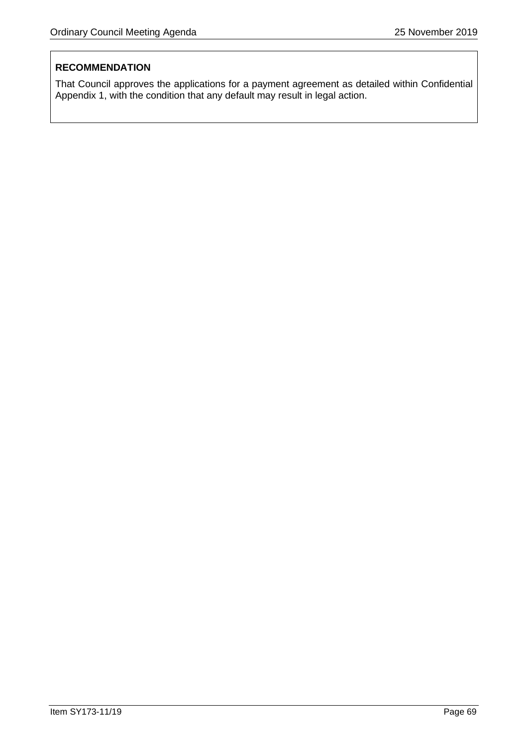That Council approves the applications for a payment agreement as detailed within Confidential Appendix 1, with the condition that any default may result in legal action.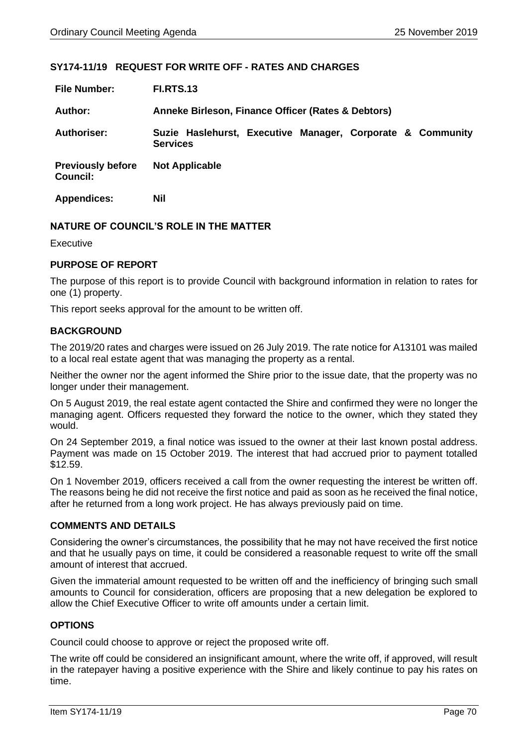# **SY174-11/19 REQUEST FOR WRITE OFF - RATES AND CHARGES**

| <b>File Number:</b>                         | <b>FI.RTS.13</b>                                                              |
|---------------------------------------------|-------------------------------------------------------------------------------|
| Author:                                     | Anneke Birleson, Finance Officer (Rates & Debtors)                            |
| <b>Authoriser:</b>                          | Suzie Haslehurst, Executive Manager, Corporate & Community<br><b>Services</b> |
| <b>Previously before</b><br><b>Council:</b> | <b>Not Applicable</b>                                                         |
| <b>Appendices:</b>                          | <b>Nil</b>                                                                    |

# **NATURE OF COUNCIL'S ROLE IN THE MATTER**

Executive

## **PURPOSE OF REPORT**

The purpose of this report is to provide Council with background information in relation to rates for one (1) property.

This report seeks approval for the amount to be written off.

## **BACKGROUND**

The 2019/20 rates and charges were issued on 26 July 2019. The rate notice for A13101 was mailed to a local real estate agent that was managing the property as a rental.

Neither the owner nor the agent informed the Shire prior to the issue date, that the property was no longer under their management.

On 5 August 2019, the real estate agent contacted the Shire and confirmed they were no longer the managing agent. Officers requested they forward the notice to the owner, which they stated they would.

On 24 September 2019, a final notice was issued to the owner at their last known postal address. Payment was made on 15 October 2019. The interest that had accrued prior to payment totalled \$12.59.

On 1 November 2019, officers received a call from the owner requesting the interest be written off. The reasons being he did not receive the first notice and paid as soon as he received the final notice, after he returned from a long work project. He has always previously paid on time.

#### **COMMENTS AND DETAILS**

Considering the owner's circumstances, the possibility that he may not have received the first notice and that he usually pays on time, it could be considered a reasonable request to write off the small amount of interest that accrued.

Given the immaterial amount requested to be written off and the inefficiency of bringing such small amounts to Council for consideration, officers are proposing that a new delegation be explored to allow the Chief Executive Officer to write off amounts under a certain limit.

# **OPTIONS**

Council could choose to approve or reject the proposed write off.

The write off could be considered an insignificant amount, where the write off, if approved, will result in the ratepayer having a positive experience with the Shire and likely continue to pay his rates on time.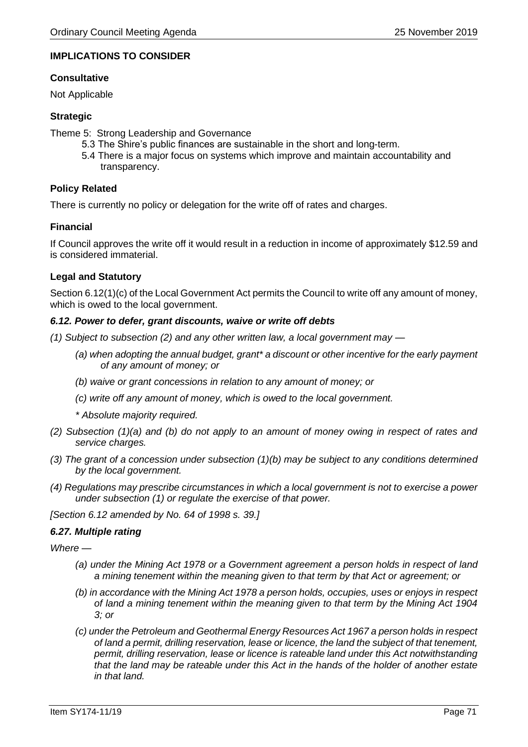# **IMPLICATIONS TO CONSIDER**

## **Consultative**

Not Applicable

# **Strategic**

Theme 5: Strong Leadership and Governance

- 5.3 The Shire's public finances are sustainable in the short and long-term.
- 5.4 There is a major focus on systems which improve and maintain accountability and transparency.

# **Policy Related**

There is currently no policy or delegation for the write off of rates and charges.

# **Financial**

If Council approves the write off it would result in a reduction in income of approximately \$12.59 and is considered immaterial.

# **Legal and Statutory**

Section 6.12(1)(c) of the Local Government Act permits the Council to write off any amount of money, which is owed to the local government.

## *6.12. Power to defer, grant discounts, waive or write off debts*

- *(1) Subject to subsection (2) and any other written law, a local government may —*
	- *(a) when adopting the annual budget, grant\* a discount or other incentive for the early payment of any amount of money; or*
	- *(b) waive or grant concessions in relation to any amount of money; or*
	- *(c) write off any amount of money, which is owed to the local government.*
	- *\* Absolute majority required.*
- *(2) Subsection (1)(a) and (b) do not apply to an amount of money owing in respect of rates and service charges.*
- *(3) The grant of a concession under subsection (1)(b) may be subject to any conditions determined by the local government.*
- *(4) Regulations may prescribe circumstances in which a local government is not to exercise a power under subsection (1) or regulate the exercise of that power.*

*[Section 6.12 amended by No. 64 of 1998 s. 39.]*

# *6.27. Multiple rating*

*Where —*

- *(a) under the Mining Act 1978 or a Government agreement a person holds in respect of land a mining tenement within the meaning given to that term by that Act or agreement; or*
- *(b) in accordance with the Mining Act 1978 a person holds, occupies, uses or enjoys in respect of land a mining tenement within the meaning given to that term by the Mining Act 1904 3; or*
- *(c) under the Petroleum and Geothermal Energy Resources Act 1967 a person holds in respect of land a permit, drilling reservation, lease or licence, the land the subject of that tenement, permit, drilling reservation, lease or licence is rateable land under this Act notwithstanding that the land may be rateable under this Act in the hands of the holder of another estate in that land.*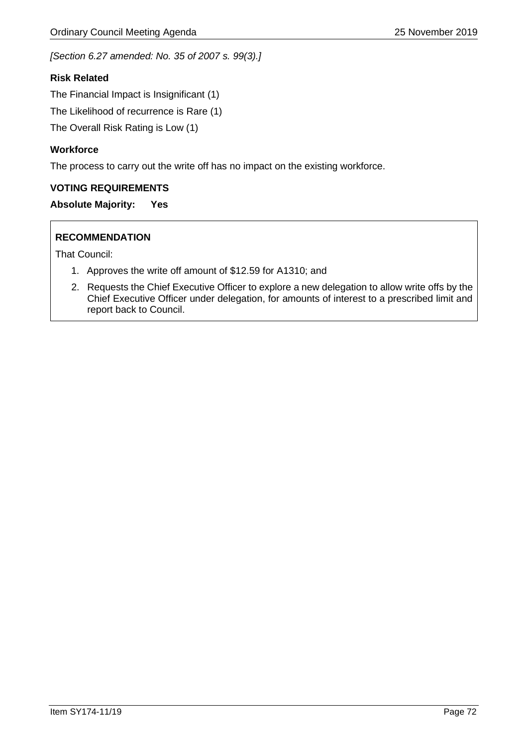*[Section 6.27 amended: No. 35 of 2007 s. 99(3).]*

# **Risk Related**

The Financial Impact is Insignificant (1)

The Likelihood of recurrence is Rare (1)

The Overall Risk Rating is Low (1)

# **Workforce**

The process to carry out the write off has no impact on the existing workforce.

# **VOTING REQUIREMENTS**

# **Absolute Majority: Yes**

# **RECOMMENDATION**

That Council:

- 1. Approves the write off amount of \$12.59 for A1310; and
- 2. Requests the Chief Executive Officer to explore a new delegation to allow write offs by the Chief Executive Officer under delegation, for amounts of interest to a prescribed limit and report back to Council.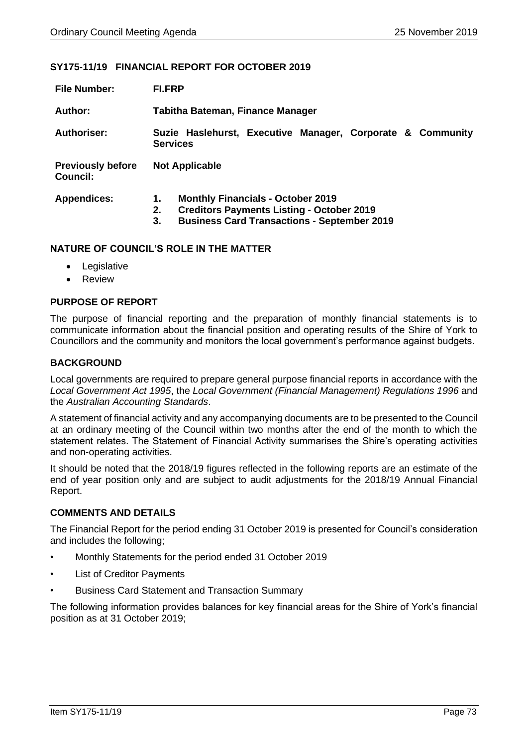#### **SY175-11/19 FINANCIAL REPORT FOR OCTOBER 2019**

| <b>File Number:</b>                         | FI.FRP                                                                                                                                                               |  |
|---------------------------------------------|----------------------------------------------------------------------------------------------------------------------------------------------------------------------|--|
| Author:                                     | Tabitha Bateman, Finance Manager                                                                                                                                     |  |
| <b>Authoriser:</b>                          | Suzie Haslehurst, Executive Manager, Corporate & Community<br><b>Services</b>                                                                                        |  |
| <b>Previously before</b><br><b>Council:</b> | <b>Not Applicable</b>                                                                                                                                                |  |
| <b>Appendices:</b>                          | <b>Monthly Financials - October 2019</b><br>1.<br><b>Creditors Payments Listing - October 2019</b><br>2.<br><b>Business Card Transactions - September 2019</b><br>3. |  |

#### **NATURE OF COUNCIL'S ROLE IN THE MATTER**

- Legislative
- Review

## **PURPOSE OF REPORT**

The purpose of financial reporting and the preparation of monthly financial statements is to communicate information about the financial position and operating results of the Shire of York to Councillors and the community and monitors the local government's performance against budgets.

## **BACKGROUND**

Local governments are required to prepare general purpose financial reports in accordance with the *Local Government Act 1995*, the *Local Government (Financial Management) Regulations 1996* and the *Australian Accounting Standards*.

A statement of financial activity and any accompanying documents are to be presented to the Council at an ordinary meeting of the Council within two months after the end of the month to which the statement relates. The Statement of Financial Activity summarises the Shire's operating activities and non-operating activities.

It should be noted that the 2018/19 figures reflected in the following reports are an estimate of the end of year position only and are subject to audit adjustments for the 2018/19 Annual Financial Report.

## **COMMENTS AND DETAILS**

The Financial Report for the period ending 31 October 2019 is presented for Council's consideration and includes the following;

- Monthly Statements for the period ended 31 October 2019
- List of Creditor Payments
- Business Card Statement and Transaction Summary

The following information provides balances for key financial areas for the Shire of York's financial position as at 31 October 2019;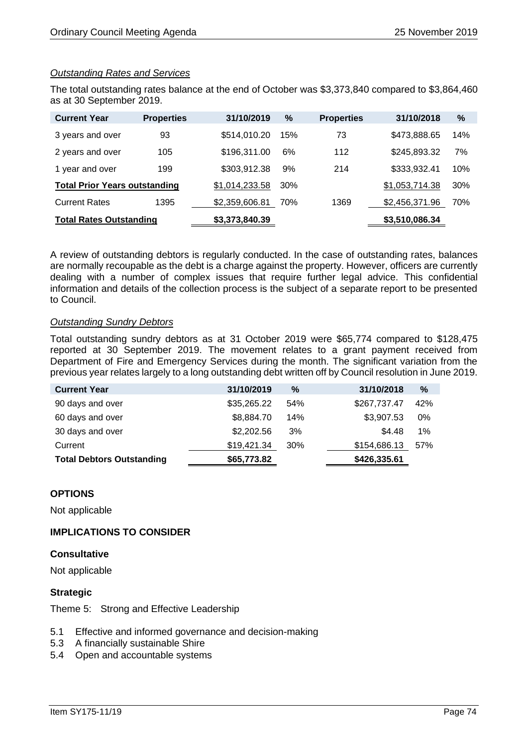## *Outstanding Rates and Services*

The total outstanding rates balance at the end of October was \$3,373,840 compared to \$3,864,460 as at 30 September 2019.

| <b>Current Year</b>                  | <b>Properties</b> | 31/10/2019     | $\%$ | <b>Properties</b> | 31/10/2018     | %   |
|--------------------------------------|-------------------|----------------|------|-------------------|----------------|-----|
| 3 years and over                     | 93                | \$514,010.20   | 15%  | 73                | \$473,888.65   | 14% |
| 2 years and over                     | 105               | \$196,311.00   | 6%   | 112               | \$245,893.32   | 7%  |
| 1 year and over                      | 199               | \$303,912.38   | 9%   | 214               | \$333,932.41   | 10% |
| <b>Total Prior Years outstanding</b> |                   | \$1,014,233.58 | 30%  |                   | \$1,053,714.38 | 30% |
| <b>Current Rates</b>                 | 1395              | \$2,359,606.81 | 70%  | 1369              | \$2,456,371.96 | 70% |
| <b>Total Rates Outstanding</b>       |                   | \$3,373,840.39 |      |                   | \$3,510,086.34 |     |

A review of outstanding debtors is regularly conducted. In the case of outstanding rates, balances are normally recoupable as the debt is a charge against the property. However, officers are currently dealing with a number of complex issues that require further legal advice. This confidential information and details of the collection process is the subject of a separate report to be presented to Council.

#### *Outstanding Sundry Debtors*

Total outstanding sundry debtors as at 31 October 2019 were \$65,774 compared to \$128,475 reported at 30 September 2019. The movement relates to a grant payment received from Department of Fire and Emergency Services during the month. The significant variation from the previous year relates largely to a long outstanding debt written off by Council resolution in June 2019.

| <b>Current Year</b>              | 31/10/2019  | $\%$ | 31/10/2018   | $\%$  |
|----------------------------------|-------------|------|--------------|-------|
| 90 days and over                 | \$35,265.22 | 54%  | \$267,737.47 | 42%   |
| 60 days and over                 | \$8,884.70  | 14%  | \$3,907.53   | 0%    |
| 30 days and over                 | \$2,202.56  | 3%   | \$4.48       | $1\%$ |
| Current                          | \$19,421.34 | 30%  | \$154,686.13 | 57%   |
| <b>Total Debtors Outstanding</b> | \$65,773.82 |      | \$426,335.61 |       |

## **OPTIONS**

Not applicable

## **IMPLICATIONS TO CONSIDER**

#### **Consultative**

Not applicable

## **Strategic**

Theme 5: Strong and Effective Leadership

- 5.1 Effective and informed governance and decision-making
- 5.3 A financially sustainable Shire
- 5.4 Open and accountable systems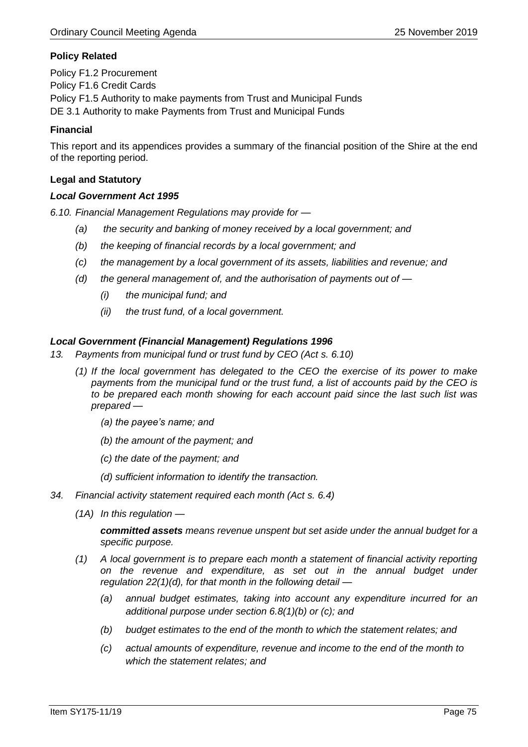## **Policy Related**

Policy F1.2 Procurement Policy F1.6 Credit Cards Policy F1.5 Authority to make payments from Trust and Municipal Funds DE 3.1 Authority to make Payments from Trust and Municipal Funds

## **Financial**

This report and its appendices provides a summary of the financial position of the Shire at the end of the reporting period.

### **Legal and Statutory**

#### *Local Government Act 1995*

*6.10. Financial Management Regulations may provide for —*

- *(a) the security and banking of money received by a local government; and*
- *(b) the keeping of financial records by a local government; and*
- *(c) the management by a local government of its assets, liabilities and revenue; and*
- *(d) the general management of, and the authorisation of payments out of —*
	- *(i) the municipal fund; and*
	- *(ii) the trust fund, of a local government.*

#### *Local Government (Financial Management) Regulations 1996*

- *13. Payments from municipal fund or trust fund by CEO (Act s. 6.10)*
	- *(1) If the local government has delegated to the CEO the exercise of its power to make payments from the municipal fund or the trust fund, a list of accounts paid by the CEO is to be prepared each month showing for each account paid since the last such list was prepared —*
		- *(a) the payee's name; and*
		- *(b) the amount of the payment; and*
		- *(c) the date of the payment; and*
		- *(d) sufficient information to identify the transaction.*
- *34. Financial activity statement required each month (Act s. 6.4)*
	- *(1A) In this regulation —*

*committed assets means revenue unspent but set aside under the annual budget for a specific purpose.*

- *(1) A local government is to prepare each month a statement of financial activity reporting on the revenue and expenditure, as set out in the annual budget under regulation 22(1)(d), for that month in the following detail —*
	- *(a) annual budget estimates, taking into account any expenditure incurred for an additional purpose under section 6.8(1)(b) or (c); and*
	- *(b) budget estimates to the end of the month to which the statement relates; and*
	- *(c) actual amounts of expenditure, revenue and income to the end of the month to which the statement relates; and*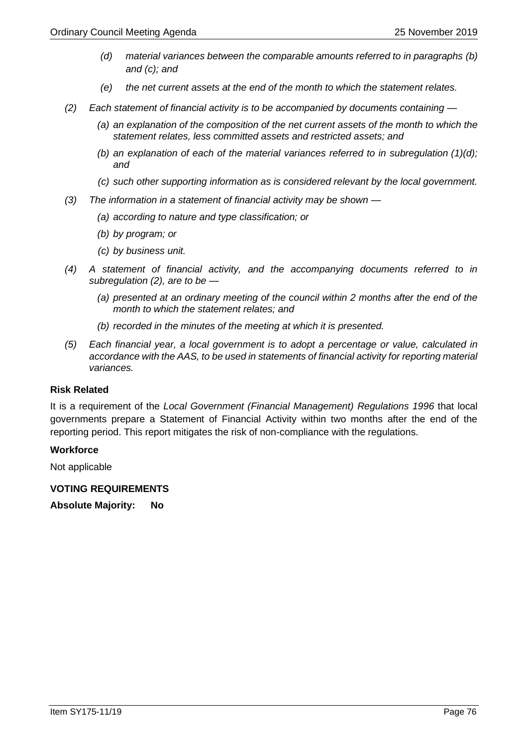- *(d) material variances between the comparable amounts referred to in paragraphs (b) and (c); and*
- *(e) the net current assets at the end of the month to which the statement relates.*
- *(2) Each statement of financial activity is to be accompanied by documents containing —*
	- *(a) an explanation of the composition of the net current assets of the month to which the statement relates, less committed assets and restricted assets; and*
	- *(b) an explanation of each of the material variances referred to in subregulation (1)(d); and*
	- *(c) such other supporting information as is considered relevant by the local government.*
- *(3) The information in a statement of financial activity may be shown —*
	- *(a) according to nature and type classification; or*
	- *(b) by program; or*
	- *(c) by business unit.*
- *(4) A statement of financial activity, and the accompanying documents referred to in subregulation (2), are to be —*
	- *(a) presented at an ordinary meeting of the council within 2 months after the end of the month to which the statement relates; and*
	- *(b) recorded in the minutes of the meeting at which it is presented.*
- *(5) Each financial year, a local government is to adopt a percentage or value, calculated in accordance with the AAS, to be used in statements of financial activity for reporting material variances.*

#### **Risk Related**

It is a requirement of the *Local Government (Financial Management) Regulations 1996* that local governments prepare a Statement of Financial Activity within two months after the end of the reporting period. This report mitigates the risk of non-compliance with the regulations.

## **Workforce**

Not applicable

**VOTING REQUIREMENTS**

**Absolute Majority: No**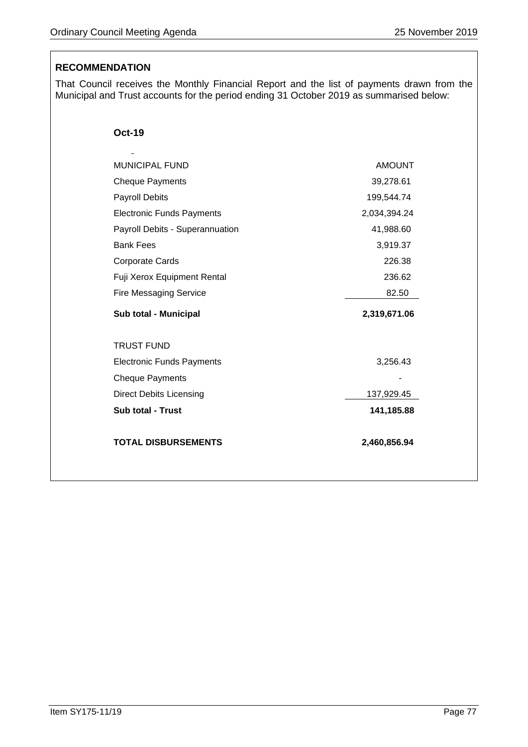# **RECOMMENDATION**

That Council receives the Monthly Financial Report and the list of payments drawn from the Municipal and Trust accounts for the period ending 31 October 2019 as summarised below:

 $\overline{a}$ 

| <b>MUNICIPAL FUND</b>            | <b>AMOUNT</b> |
|----------------------------------|---------------|
| <b>Cheque Payments</b>           | 39,278.61     |
| <b>Payroll Debits</b>            | 199,544.74    |
| <b>Electronic Funds Payments</b> | 2,034,394.24  |
| Payroll Debits - Superannuation  | 41,988.60     |
| <b>Bank Fees</b>                 | 3,919.37      |
| Corporate Cards                  | 226.38        |
| Fuji Xerox Equipment Rental      | 236.62        |
| <b>Fire Messaging Service</b>    | 82.50         |
| Sub total - Municipal            | 2,319,671.06  |
|                                  |               |
| <b>TRUST FUND</b>                |               |
| <b>Electronic Funds Payments</b> | 3,256.43      |
| <b>Cheque Payments</b>           |               |
| <b>Direct Debits Licensing</b>   | 137,929.45    |
| <b>Sub total - Trust</b>         | 141,185.88    |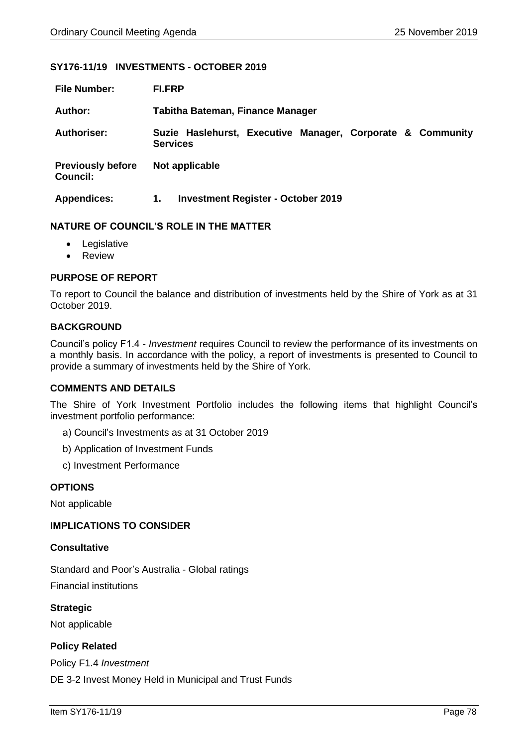### **SY176-11/19 INVESTMENTS - OCTOBER 2019**

| <b>File Number:</b>                         | <b>FI.FRP</b>                                                                 |  |
|---------------------------------------------|-------------------------------------------------------------------------------|--|
| Author:                                     | Tabitha Bateman, Finance Manager                                              |  |
| <b>Authoriser:</b>                          | Suzie Haslehurst, Executive Manager, Corporate & Community<br><b>Services</b> |  |
| <b>Previously before</b><br><b>Council:</b> | Not applicable                                                                |  |
| <b>Appendices:</b>                          | <b>Investment Register - October 2019</b><br>1.                               |  |

#### **NATURE OF COUNCIL'S ROLE IN THE MATTER**

- Legislative
- Review

## **PURPOSE OF REPORT**

To report to Council the balance and distribution of investments held by the Shire of York as at 31 October 2019.

#### **BACKGROUND**

Council's policy F1.4 - *Investment* requires Council to review the performance of its investments on a monthly basis. In accordance with the policy, a report of investments is presented to Council to provide a summary of investments held by the Shire of York.

#### **COMMENTS AND DETAILS**

The Shire of York Investment Portfolio includes the following items that highlight Council's investment portfolio performance:

- a) Council's Investments as at 31 October 2019
- b) Application of Investment Funds
- c) Investment Performance

#### **OPTIONS**

Not applicable

#### **IMPLICATIONS TO CONSIDER**

#### **Consultative**

Standard and Poor's Australia - Global ratings Financial institutions

**Strategic** Not applicable

## **Policy Related**

Policy F1.4 *Investment* DE 3-2 Invest Money Held in Municipal and Trust Funds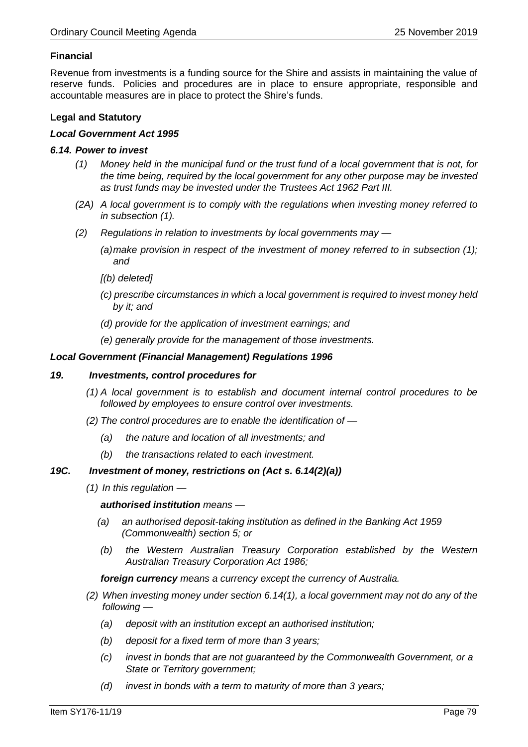## **Financial**

Revenue from investments is a funding source for the Shire and assists in maintaining the value of reserve funds. Policies and procedures are in place to ensure appropriate, responsible and accountable measures are in place to protect the Shire's funds.

## **Legal and Statutory**

#### *Local Government Act 1995*

#### *6.14. Power to invest*

- *(1) Money held in the municipal fund or the trust fund of a local government that is not, for the time being, required by the local government for any other purpose may be invested as trust funds may be invested under the Trustees Act 1962 Part III.*
- *(2A) A local government is to comply with the regulations when investing money referred to in subsection (1).*
- *(2) Regulations in relation to investments by local governments may —*
	- *(a)make provision in respect of the investment of money referred to in subsection (1); and*
	- *[(b) deleted]*
	- *(c) prescribe circumstances in which a local government is required to invest money held by it; and*
	- *(d) provide for the application of investment earnings; and*
	- *(e) generally provide for the management of those investments.*

#### *Local Government (Financial Management) Regulations 1996*

#### *19. Investments, control procedures for*

- *(1) A local government is to establish and document internal control procedures to be followed by employees to ensure control over investments.*
- *(2) The control procedures are to enable the identification of —*
	- *(a) the nature and location of all investments; and*
	- *(b) the transactions related to each investment.*

#### *19C. Investment of money, restrictions on (Act s. 6.14(2)(a))*

*(1) In this regulation —*

*authorised institution means —*

- *(a) an authorised deposit-taking institution as defined in the Banking Act 1959 (Commonwealth) section 5; or*
- *(b) the Western Australian Treasury Corporation established by the Western Australian Treasury Corporation Act 1986;*

*foreign currency means a currency except the currency of Australia.*

- *(2) When investing money under section 6.14(1), a local government may not do any of the following —*
	- *(a) deposit with an institution except an authorised institution;*
	- *(b) deposit for a fixed term of more than 3 years;*
	- *(c) invest in bonds that are not guaranteed by the Commonwealth Government, or a State or Territory government;*
	- *(d) invest in bonds with a term to maturity of more than 3 years;*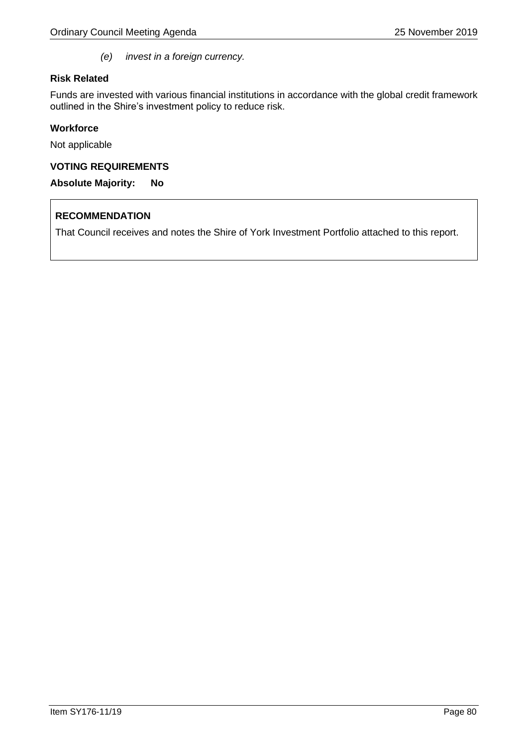*(e) invest in a foreign currency.*

## **Risk Related**

Funds are invested with various financial institutions in accordance with the global credit framework outlined in the Shire's investment policy to reduce risk.

## **Workforce**

Not applicable

## **VOTING REQUIREMENTS**

**Absolute Majority: No**

# **RECOMMENDATION**

That Council receives and notes the Shire of York Investment Portfolio attached to this report.